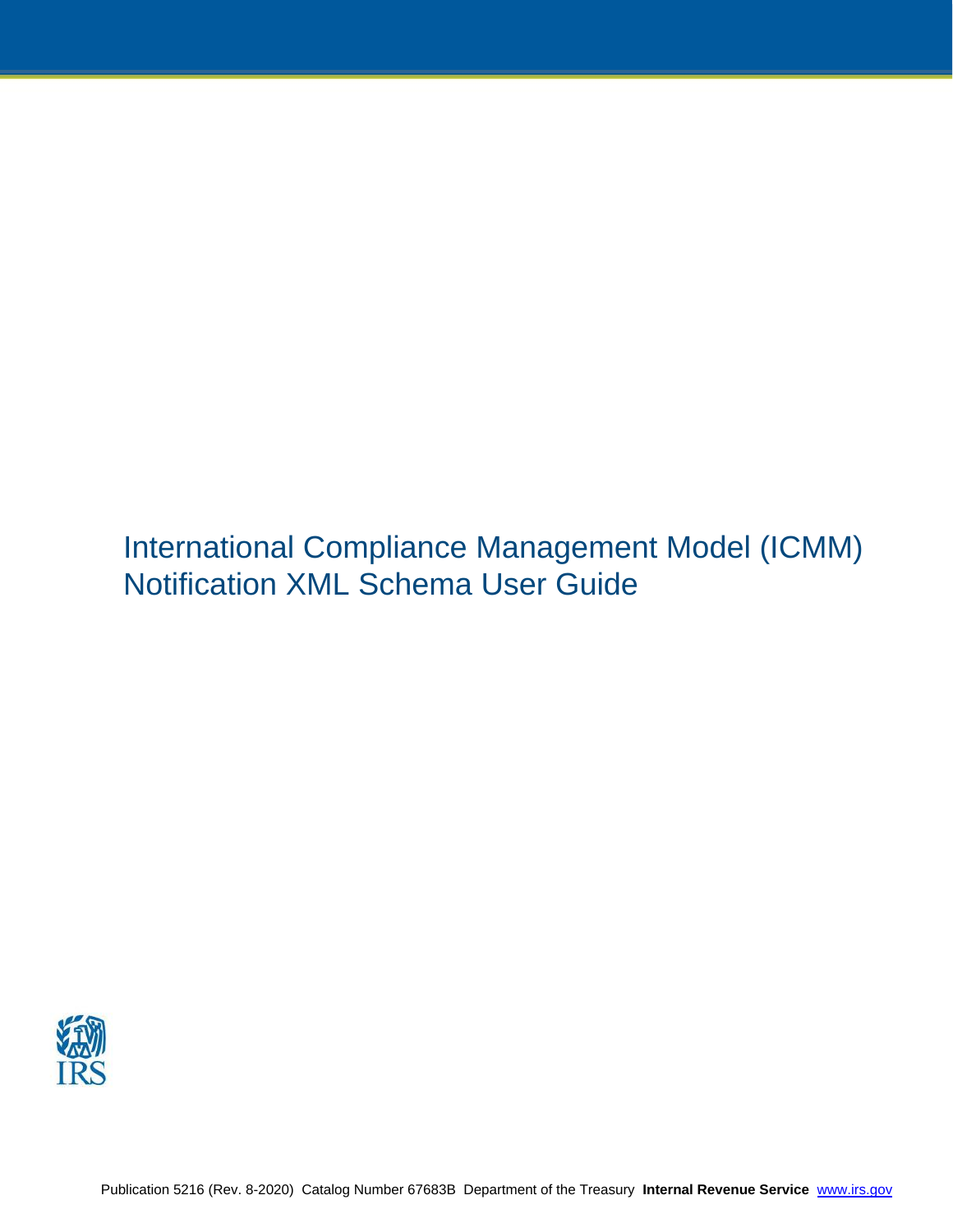International Compliance Management Model (ICMM) Notification XML Schema User Guide

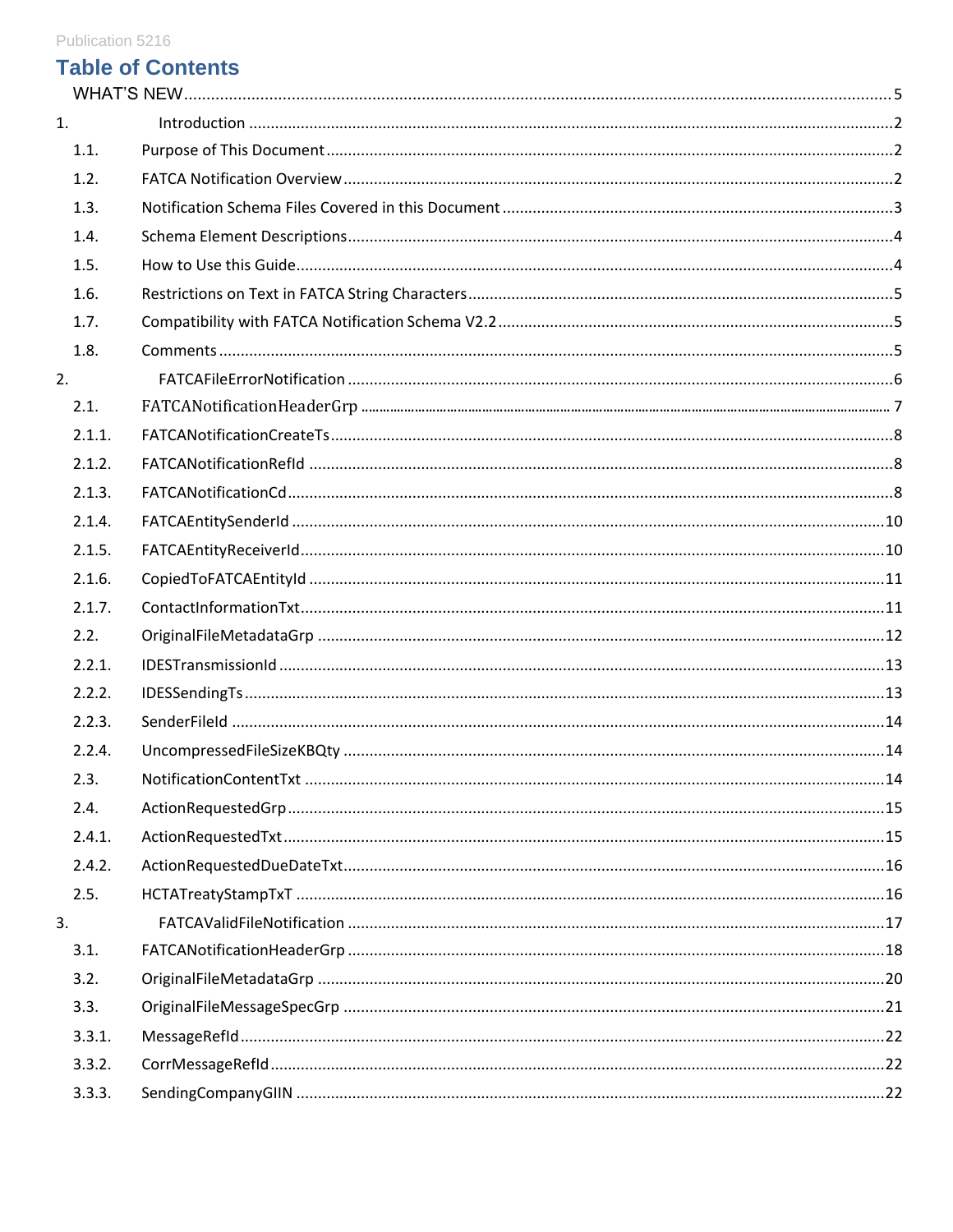# **Table of Contents**

| 1.     |  |
|--------|--|
| 1.1.   |  |
| 1.2.   |  |
| 1.3.   |  |
| 1.4.   |  |
| 1.5.   |  |
| 1.6.   |  |
| 1.7.   |  |
| 1.8.   |  |
| 2.     |  |
| 2.1.   |  |
| 2.1.1. |  |
| 2.1.2. |  |
| 2.1.3. |  |
| 2.1.4. |  |
| 2.1.5. |  |
| 2.1.6. |  |
| 2.1.7. |  |
| 2.2.   |  |
| 2.2.1. |  |
| 2.2.2. |  |
| 2.2.3. |  |
| 2.2.4. |  |
| 2.3.   |  |
| 2.4.   |  |
| 2.4.1. |  |
| 2.4.2. |  |
| 2.5.   |  |
| 3.     |  |
| 3.1.   |  |
| 3.2.   |  |
| 3.3.   |  |
| 3.3.1. |  |
| 3.3.2. |  |
| 3.3.3. |  |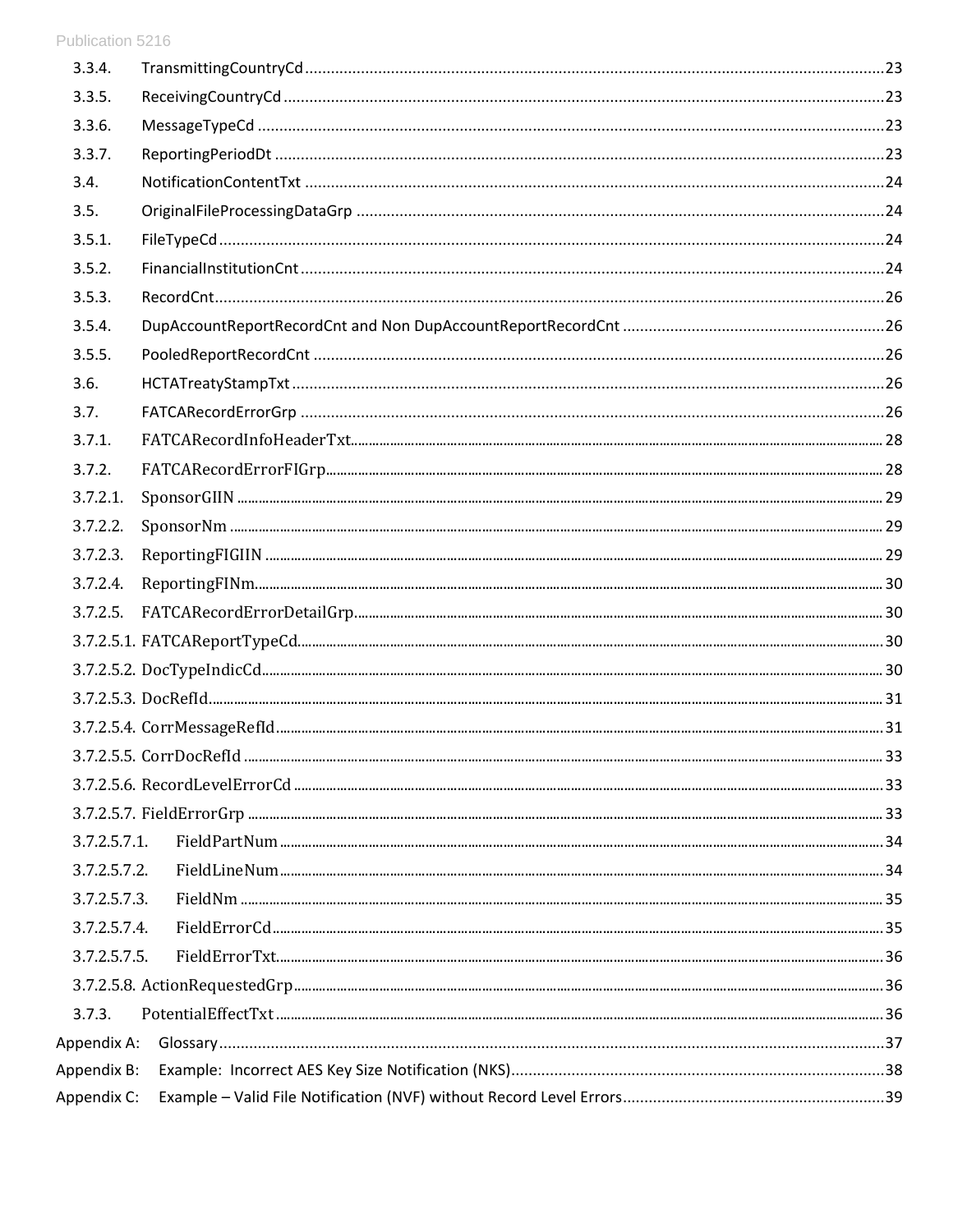| 3.3.4.       |  |
|--------------|--|
| 3.3.5.       |  |
| 3.3.6.       |  |
| 3.3.7.       |  |
| 3.4.         |  |
| 3.5.         |  |
| 3.5.1.       |  |
| 3.5.2.       |  |
| 3.5.3.       |  |
| 3.5.4.       |  |
| 3.5.5.       |  |
| 3.6.         |  |
| 3.7.         |  |
| 3.7.1.       |  |
| 3.7.2.       |  |
| 3.7.2.1.     |  |
| 3.7.2.2.     |  |
| 3.7.2.3.     |  |
| 3.7.2.4.     |  |
| 3.7.2.5.     |  |
|              |  |
|              |  |
|              |  |
|              |  |
|              |  |
|              |  |
|              |  |
| 3.7.2.5.7.1. |  |
| 3.7.2.5.7.2. |  |
| 3.7.2.5.7.3. |  |
| 3.7.2.5.7.4. |  |
| 3.7.2.5.7.5. |  |
|              |  |
| 3.7.3.       |  |
| Appendix A:  |  |
| Appendix B:  |  |
| Appendix C:  |  |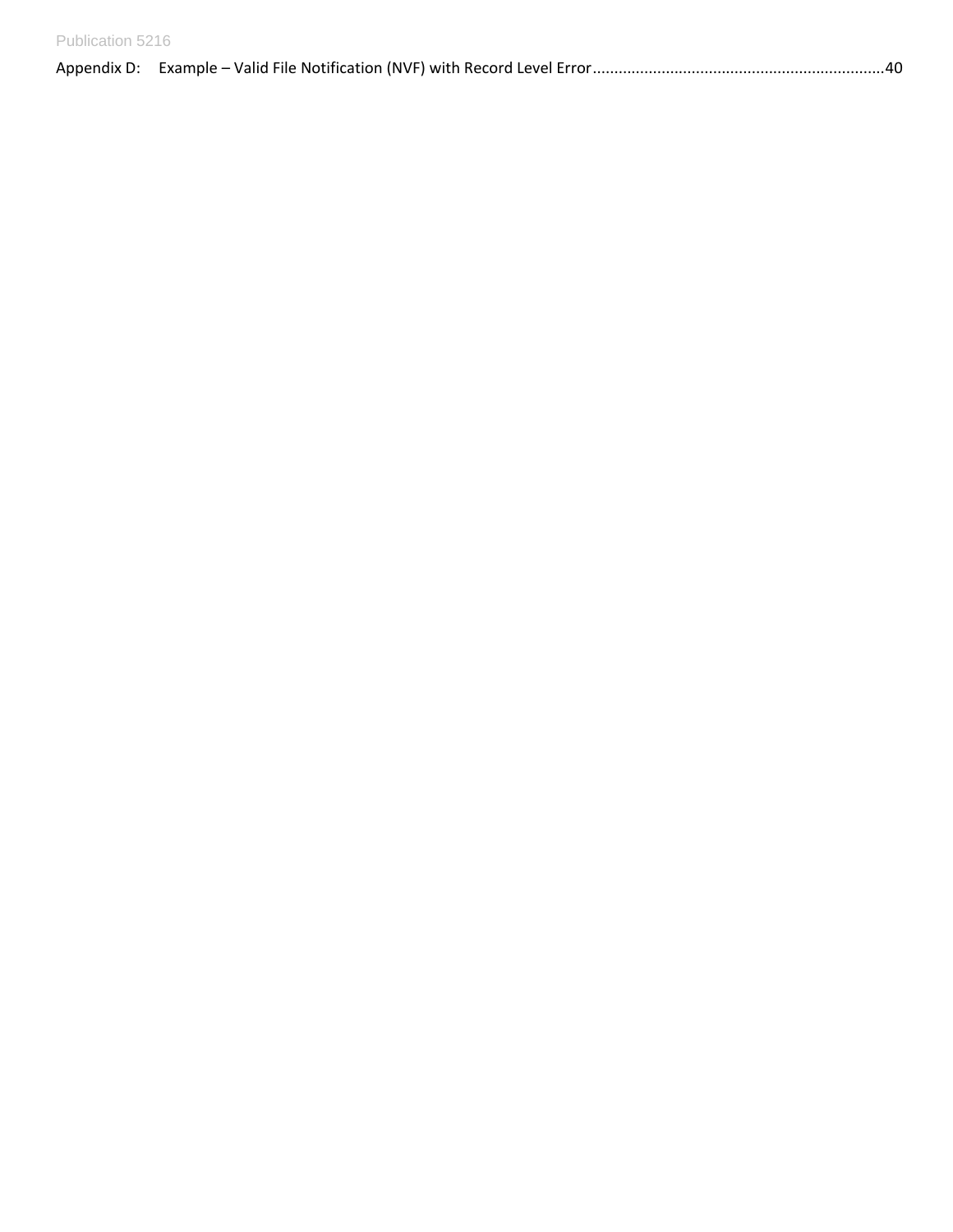| Publication 5216 |  |
|------------------|--|
|                  |  |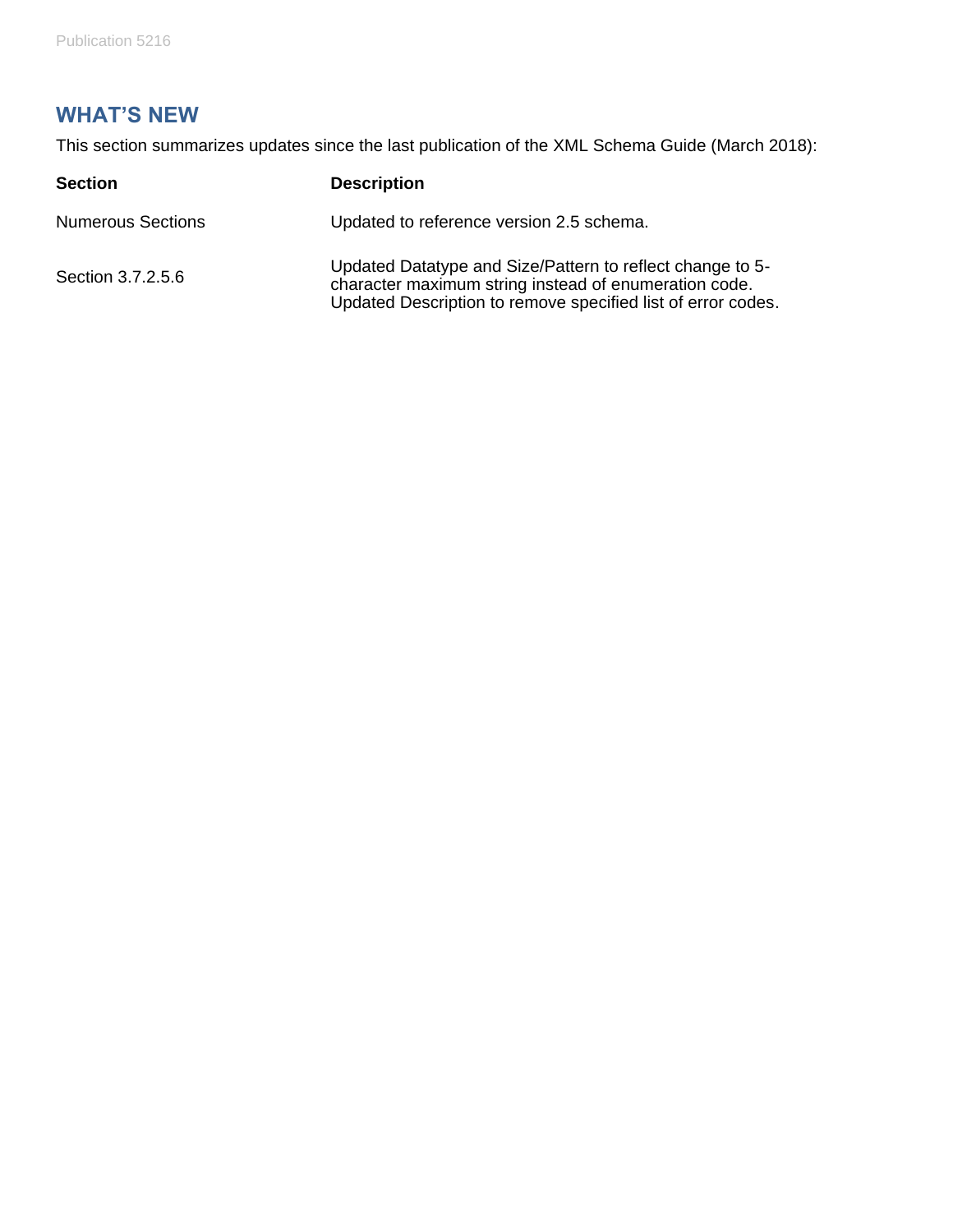# <span id="page-4-0"></span>**WHAT'S NEW**

This section summarizes updates since the last publication of the XML Schema Guide (March 2018):

| <b>Section</b>           | <b>Description</b>                                                                                                                                                                 |
|--------------------------|------------------------------------------------------------------------------------------------------------------------------------------------------------------------------------|
| <b>Numerous Sections</b> | Updated to reference version 2.5 schema.                                                                                                                                           |
| Section 3.7.2.5.6        | Updated Datatype and Size/Pattern to reflect change to 5-<br>character maximum string instead of enumeration code.<br>Updated Description to remove specified list of error codes. |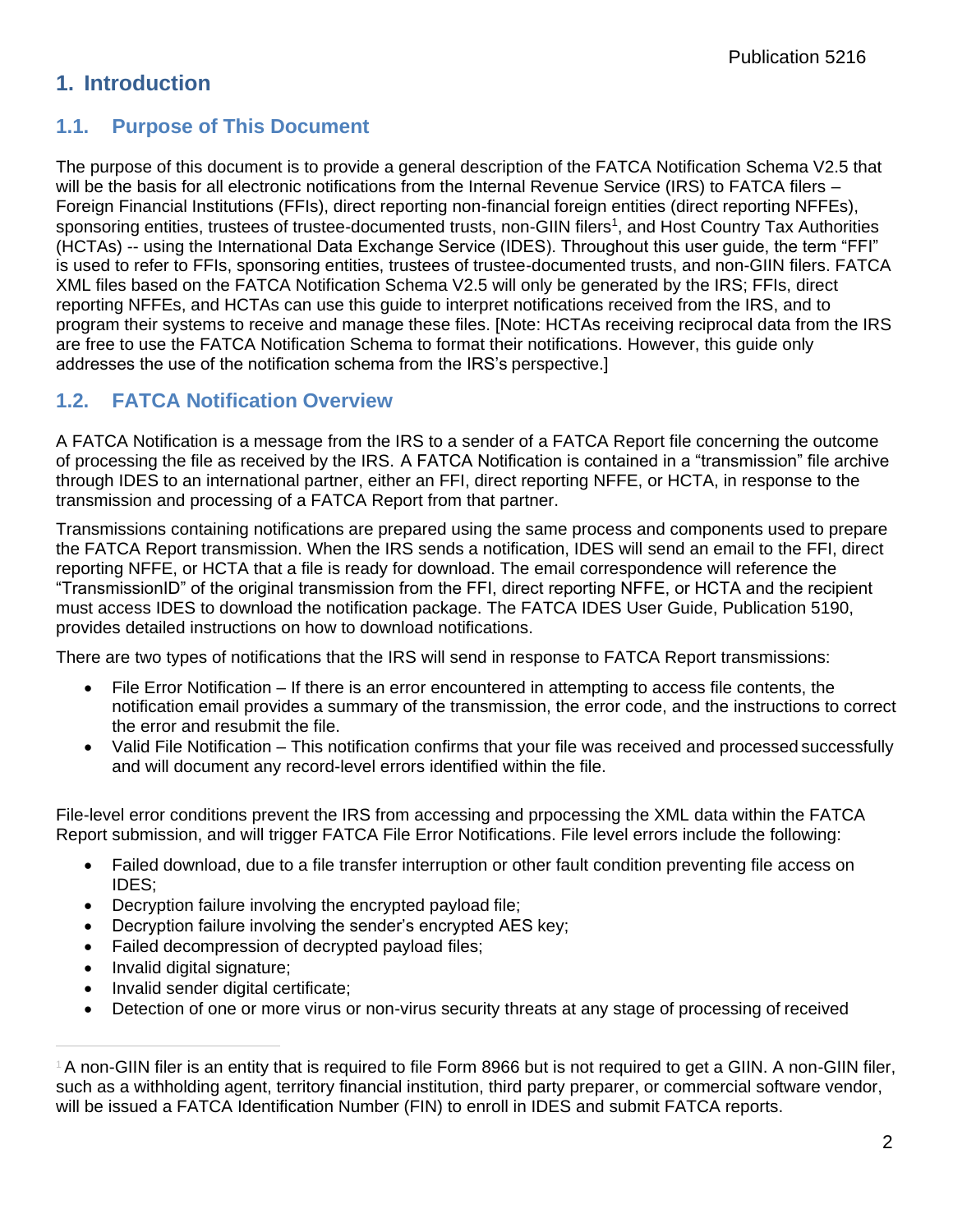# <span id="page-5-0"></span>**1. Introduction**

### <span id="page-5-1"></span>**1.1. Purpose of This Document**

The purpose of this document is to provide a general description of the FATCA Notification Schema V2.5 that will be the basis for all electronic notifications from the Internal Revenue Service (IRS) to FATCA filers – Foreign Financial Institutions (FFIs), direct reporting non-financial foreign entities (direct reporting NFFEs), sponsoring entities, trustees of trustee-documented trusts, non-GIIN filers<sup>1</sup>, and Host Country Tax Authorities (HCTAs) -- using the International Data Exchange Service (IDES). Throughout this user guide, the term "FFI" is used to refer to FFIs, sponsoring entities, trustees of trustee-documented trusts, and non-GIIN filers. FATCA XML files based on the FATCA Notification Schema V2.5 will only be generated by the IRS; FFIs, direct reporting NFFEs, and HCTAs can use this guide to interpret notifications received from the IRS, and to program their systems to receive and manage these files. [Note: HCTAs receiving reciprocal data from the IRS are free to use the FATCA Notification Schema to format their notifications. However, this guide only addresses the use of the notification schema from the IRS's perspective.]

## <span id="page-5-2"></span>**1.2. FATCA Notification Overview**

A FATCA Notification is a message from the IRS to a sender of a FATCA Report file concerning the outcome of processing the file as received by the IRS. A FATCA Notification is contained in a "transmission" file archive through IDES to an international partner, either an FFI, direct reporting NFFE, or HCTA, in response to the transmission and processing of a FATCA Report from that partner.

Transmissions containing notifications are prepared using the same process and components used to prepare the FATCA Report transmission. When the IRS sends a notification, IDES will send an email to the FFI, direct reporting NFFE, or HCTA that a file is ready for download. The email correspondence will reference the "TransmissionID" of the original transmission from the FFI, direct reporting NFFE, or HCTA and the recipient must access IDES to download the notification package. The FATCA IDES User Guide, Publication 5190, provides detailed instructions on how to download notifications.

There are two types of notifications that the IRS will send in response to FATCA Report transmissions:

- File Error Notification If there is an error encountered in attempting to access file contents, the notification email provides a summary of the transmission, the error code, and the instructions to correct the error and resubmit the file.
- Valid File Notification This notification confirms that your file was received and processed successfully and will document any record-level errors identified within the file.

File-level error conditions prevent the IRS from accessing and prpocessing the XML data within the FATCA Report submission, and will trigger FATCA File Error Notifications. File level errors include the following:

- Failed download, due to a file transfer interruption or other fault condition preventing file access on IDES;
- Decryption failure involving the encrypted payload file;
- Decryption failure involving the sender's encrypted AES key;
- Failed decompression of decrypted payload files;
- Invalid digital signature;
- Invalid sender digital certificate;
- Detection of one or more virus or non-virus security threats at any stage of processing of received

<sup>1</sup>A non-GIIN filer is an entity that is required to file Form 8966 but is not required to get a GIIN. A non-GIIN filer, such as a withholding agent, territory financial institution, third party preparer, or commercial software vendor, will be issued a FATCA Identification Number (FIN) to enroll in IDES and submit FATCA reports.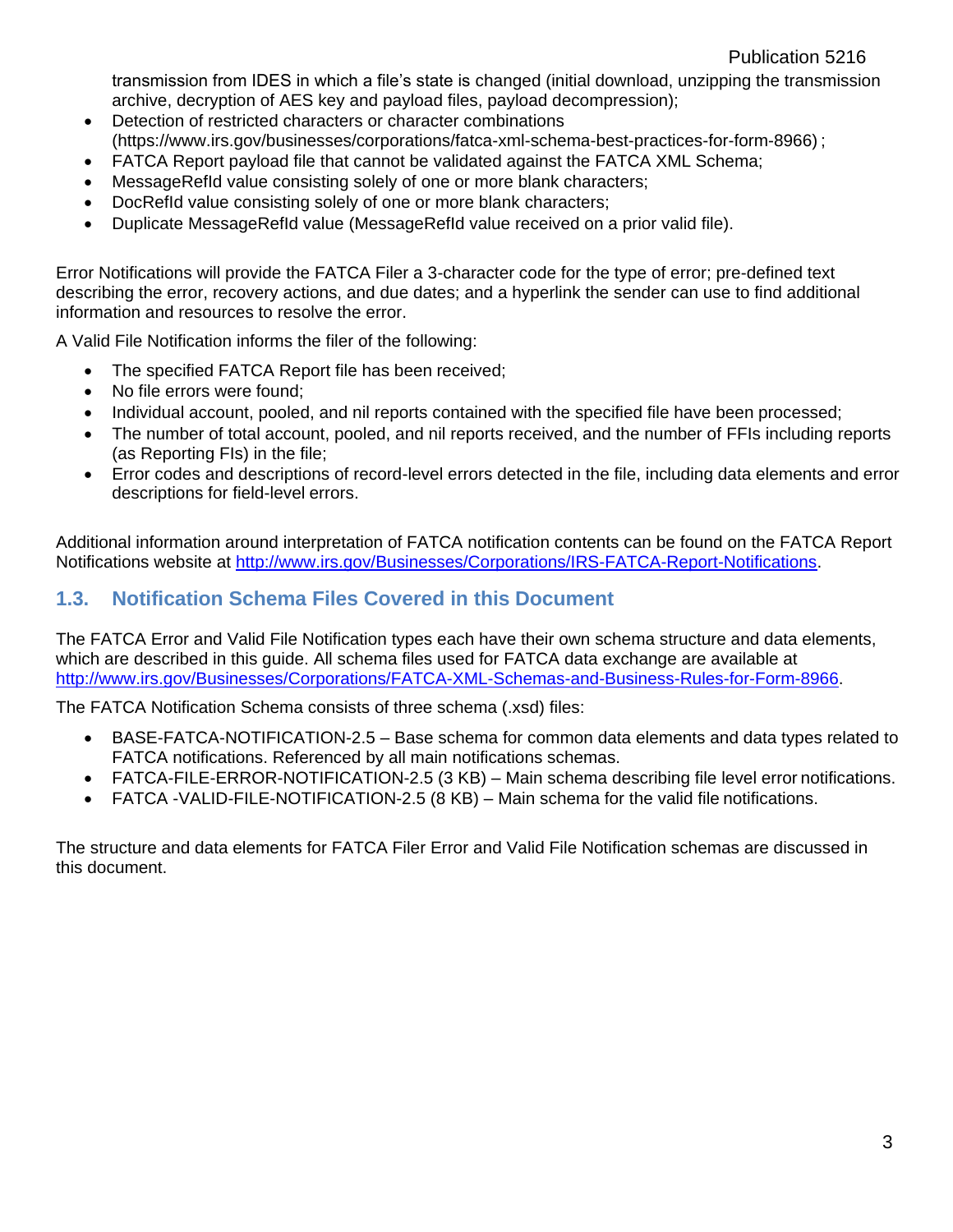transmission from IDES in which a file's state is changed (initial download, unzipping the transmission archive, decryption of AES key and payload files, payload decompression);

- Detection of restricted characters or character combinations (https:/[/www.irs.gov/businesses/corporations/fatca-xml-schema-best-practices-for-form-8966\)](http://www.irs.gov/businesses/corporations/fatca-xml-schema-best-practices-for-form-8966)) ;
- FATCA Report payload file that cannot be validated against the FATCA XML Schema;
- MessageRefId value consisting solely of one or more blank characters;
- DocRefId value consisting solely of one or more blank characters;
- Duplicate MessageRefId value (MessageRefId value received on a prior valid file).

Error Notifications will provide the FATCA Filer a 3-character code for the type of error; pre-defined text describing the error, recovery actions, and due dates; and a hyperlink the sender can use to find additional information and resources to resolve the error.

A Valid File Notification informs the filer of the following:

- The specified FATCA Report file has been received;
- No file errors were found;
- Individual account, pooled, and nil reports contained with the specified file have been processed;
- The number of total account, pooled, and nil reports received, and the number of FFIs including reports (as Reporting FIs) in the file;
- Error codes and descriptions of record-level errors detected in the file, including data elements and error descriptions for field-level errors.

Additional information around interpretation of FATCA notification contents can be found on the FATCA Report Notifications website at [http://www.irs.gov/Businesses/Corporations/IRS-FATCA-Report-Notifications.](http://www.irs.gov/Businesses/Corporations/IRS-FATCA-Report-Notifications)

#### <span id="page-6-0"></span>**1.3. Notification Schema Files Covered in this Document**

The FATCA Error and Valid File Notification types each have their own schema structure and data elements, which are described in this guide. All schema files used for FATCA data exchange are available at [http://www.irs.gov/Businesses/Corporations/FATCA-XML-Schemas-and-Business-Rules-for-Form-8966.](http://www.irs.gov/Businesses/Corporations/FATCA-XML-Schemas-and-Business-Rules-for-Form-8966)

The FATCA Notification Schema consists of three schema (.xsd) files:

- BASE-FATCA-NOTIFICATION-2.5 Base schema for common data elements and data types related to FATCA notifications. Referenced by all main notifications schemas.
- FATCA-FILE-ERROR-NOTIFICATION-2.5 (3 KB) Main schema describing file level error notifications.
- FATCA -VALID-FILE-NOTIFICATION-2.5 (8 KB) Main schema for the valid file notifications.

The structure and data elements for FATCA Filer Error and Valid File Notification schemas are discussed in this document.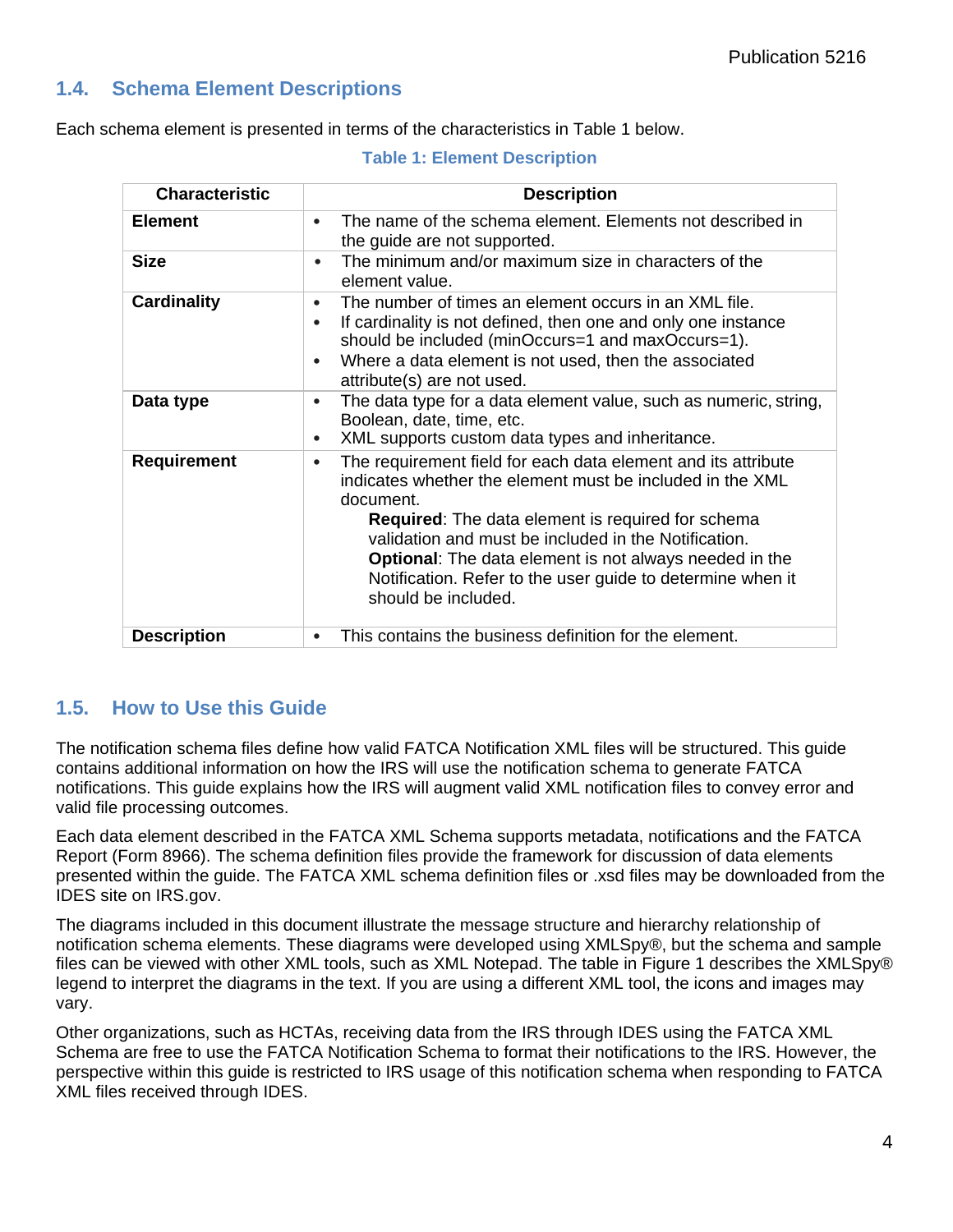#### <span id="page-7-0"></span>**1.4. Schema Element Descriptions**

Each schema element is presented in terms of the characteristics in Table 1 below.

| <b>Characteristic</b> | <b>Description</b>                                                                                                                                                                                                                                                                                                                                                                                                             |
|-----------------------|--------------------------------------------------------------------------------------------------------------------------------------------------------------------------------------------------------------------------------------------------------------------------------------------------------------------------------------------------------------------------------------------------------------------------------|
| <b>Element</b>        | The name of the schema element. Elements not described in<br>$\bullet$<br>the guide are not supported.                                                                                                                                                                                                                                                                                                                         |
| <b>Size</b>           | The minimum and/or maximum size in characters of the<br>$\bullet$<br>element value.                                                                                                                                                                                                                                                                                                                                            |
| <b>Cardinality</b>    | The number of times an element occurs in an XML file.<br>$\bullet$<br>If cardinality is not defined, then one and only one instance<br>$\bullet$<br>should be included (minOccurs=1 and maxOccurs=1).<br>Where a data element is not used, then the associated<br>$\bullet$<br>attribute(s) are not used.                                                                                                                      |
| Data type             | The data type for a data element value, such as numeric, string,<br>$\bullet$<br>Boolean, date, time, etc.<br>XML supports custom data types and inheritance.<br>$\bullet$                                                                                                                                                                                                                                                     |
| <b>Requirement</b>    | The requirement field for each data element and its attribute<br>$\bullet$<br>indicates whether the element must be included in the XML<br>document.<br><b>Required:</b> The data element is required for schema<br>validation and must be included in the Notification.<br><b>Optional:</b> The data element is not always needed in the<br>Notification. Refer to the user guide to determine when it<br>should be included. |
| <b>Description</b>    | This contains the business definition for the element.                                                                                                                                                                                                                                                                                                                                                                         |

#### **Table 1: Element Description**

#### <span id="page-7-1"></span>**1.5. How to Use this Guide**

The notification schema files define how valid FATCA Notification XML files will be structured. This guide contains additional information on how the IRS will use the notification schema to generate FATCA notifications. This guide explains how the IRS will augment valid XML notification files to convey error and valid file processing outcomes.

Each data element described in the FATCA XML Schema supports metadata, notifications and the FATCA Report (Form 8966). The schema definition files provide the framework for discussion of data elements presented within the guide. The FATCA XML schema definition files or .xsd files may be downloaded from the [IDES s](http://www.irs.gov/Businesses/Corporations/FATCA-XML-Schemas-and-Business-Rules-for-Form-8966)ite on IRS.gov.

The diagrams included in this document illustrate the message structure and hierarchy relationship of notification schema elements. These diagrams were developed using XMLSpy®, but the schema and sample files can be viewed with other XML tools, such as XML Notepad. The table in Figure 1 describes the XMLSpy® legend to interpret the diagrams in the text. If you are using a different XML tool, the icons and images may vary.

Other organizations, such as HCTAs, receiving data from the IRS through IDES using the FATCA XML Schema are free to use the FATCA Notification Schema to format their notifications to the IRS. However, the perspective within this guide is restricted to IRS usage of this notification schema when responding to FATCA XML files received through IDES.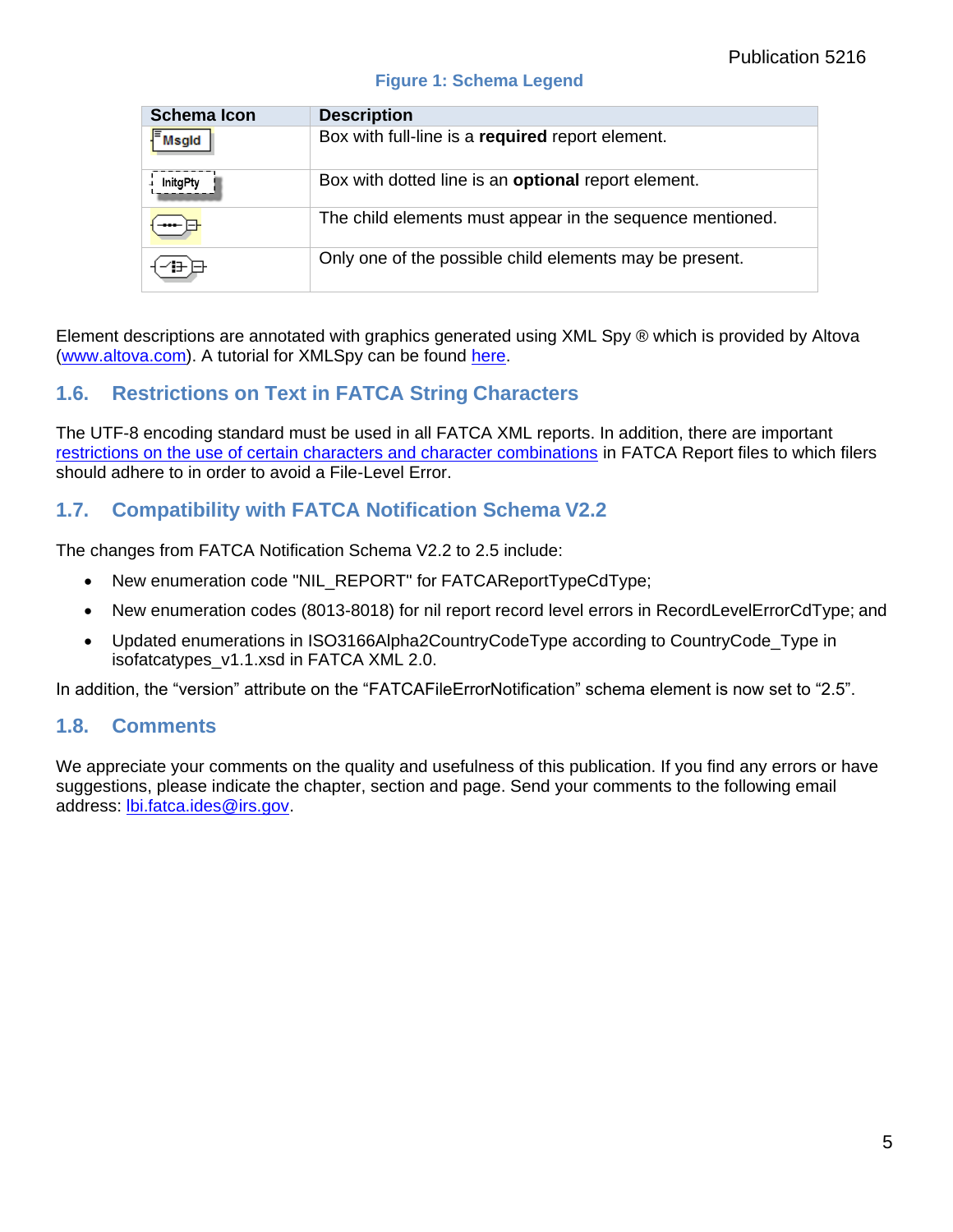#### **Figure 1: Schema Legend**

| <b>Schema Icon</b> | <b>Description</b>                                         |
|--------------------|------------------------------------------------------------|
| Msgld              | Box with full-line is a required report element.           |
| InitgPty           | Box with dotted line is an <b>optional</b> report element. |
|                    | The child elements must appear in the sequence mentioned.  |
|                    | Only one of the possible child elements may be present.    |

Element descriptions are annotated with graphics generated using XML Spy ® which is provided by Altova [\(www.altova.com\)](http://www.altova.com/). A tutorial for XMLSpy can be found [here.](http://www.altova.com/documents/XMLSpyTutorial.pdf)

#### <span id="page-8-0"></span>**1.6. Restrictions on Text in FATCA String Characters**

The UTF-8 encoding standard must be used in all FATCA XML reports. In addition, there are important [restrictions on the use of certain characters and character combinations](http://www.irs.gov/Businesses/Corporations/FATCA-XML-Schema-Best-Practices-for-Form-8966) in FATCA Report files to which filers should adhere to in order to avoid a File-Level Error.

#### <span id="page-8-1"></span>**1.7. Compatibility with FATCA Notification Schema V2.2**

The changes from FATCA Notification Schema V2.2 to 2.5 include:

- New enumeration code "NIL\_REPORT" for FATCAReportTypeCdType;
- New enumeration codes (8013-8018) for nil report record level errors in RecordLevelErrorCdType; and
- Updated enumerations in ISO3166Alpha2CountryCodeType according to CountryCode\_Type in isofatcatypes\_v1.1.xsd in FATCA XML 2.0.

In addition, the "version" attribute on the "FATCAFileErrorNotification" schema element is now set to "2.5".

#### <span id="page-8-2"></span>**1.8. Comments**

We appreciate your comments on the quality and usefulness of this publication. If you find any errors or have suggestions, please indicate the chapter, section and page. Send your comments to the following email address: [lbi.fatca.ides@irs.gov.](mailto:lbi.fatca.ides@irs.gov)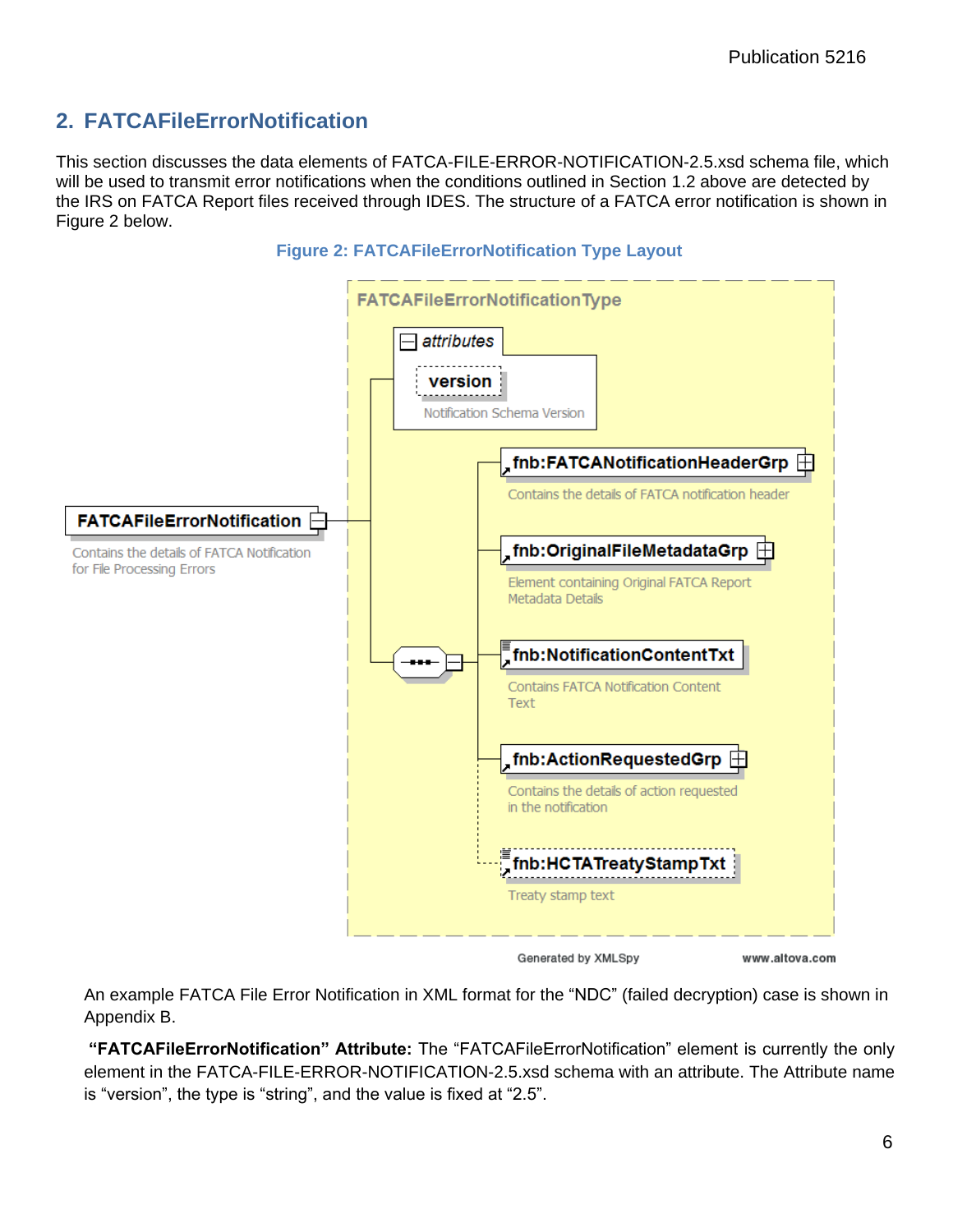# <span id="page-9-0"></span>**2. FATCAFileErrorNotification**

This section discusses the data elements of FATCA-FILE-ERROR-NOTIFICATION-2.5.xsd schema file, which will be used to transmit error notifications when the conditions outlined in Section 1.2 above are detected by the IRS on FATCA Report files received through IDES. The structure of a FATCA error notification is shown in Figure 2 below.



**Figure 2: FATCAFileErrorNotification Type Layout**

An example FATCA File Error Notification in XML format for the "NDC" (failed decryption) case is shown in Appendix B.

**"FATCAFileErrorNotification" Attribute:** The "FATCAFileErrorNotification" element is currently the only element in the FATCA-FILE-ERROR-NOTIFICATION-2.5.xsd schema with an attribute. The Attribute name is "version", the type is "string", and the value is fixed at "2.5".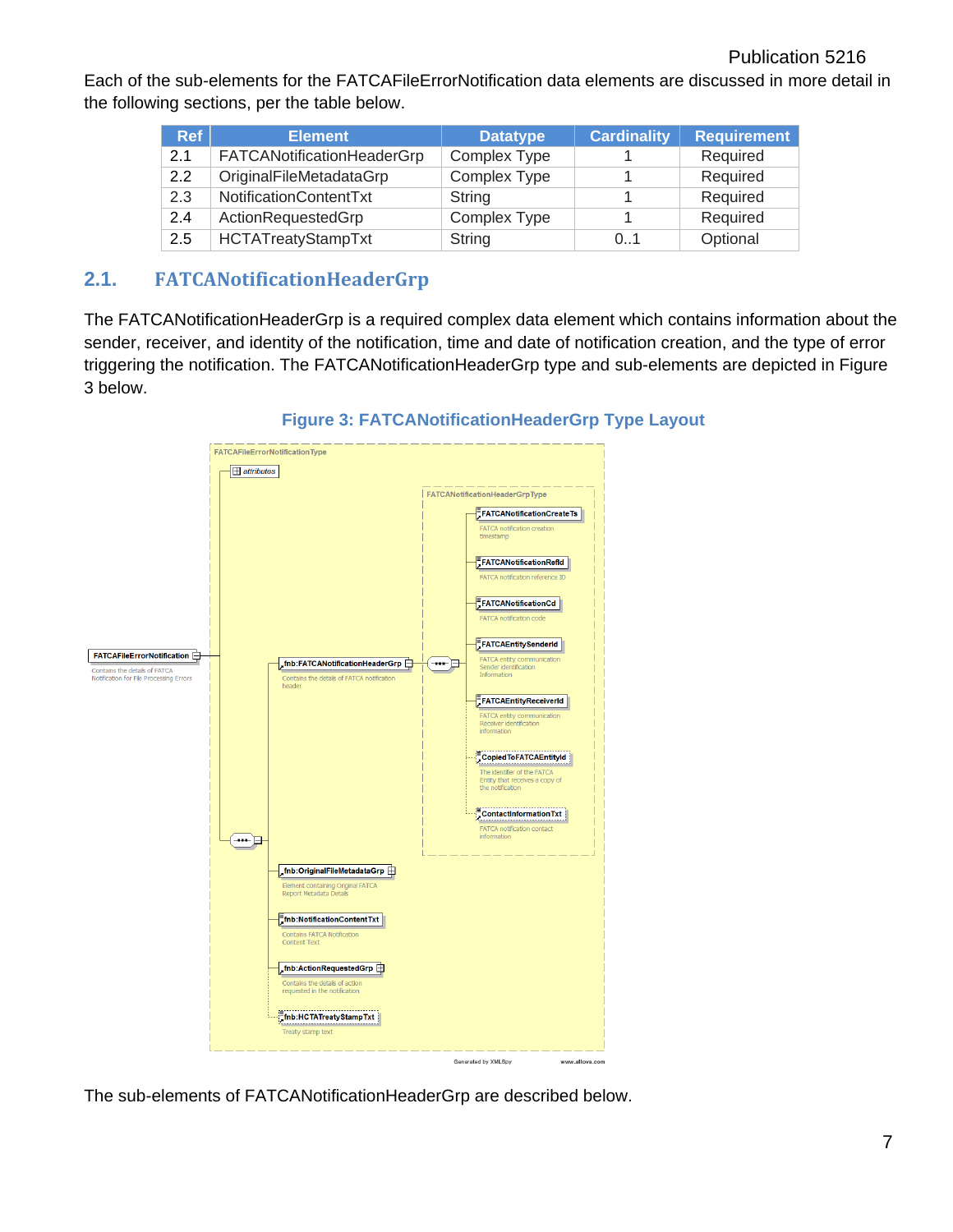Each of the sub-elements for the FATCAFileErrorNotification data elements are discussed in more detail in the following sections, per the table below.

| <b>Ref</b> | <b>Element</b>             | <b>Datatype</b>     | <b>Cardinality</b> | <b>Requirement</b> |
|------------|----------------------------|---------------------|--------------------|--------------------|
| 2.1        | FATCANotificationHeaderGrp | <b>Complex Type</b> |                    | Required           |
| 2.2        | OriginalFileMetadataGrp    | <b>Complex Type</b> |                    | Required           |
| 2.3        | NotificationContentTxt     | String              |                    | Required           |
| 2.4        | ActionRequestedGrp         | <b>Complex Type</b> |                    | Required           |
| 2.5        | <b>HCTATreatyStampTxt</b>  | String              | 0.1                | Optional           |

#### <span id="page-10-0"></span>**2.1. FATCANotificationHeaderGrp**

The FATCANotificationHeaderGrp is a required complex data element which contains information about the sender, receiver, and identity of the notification, time and date of notification creation, and the type of error triggering the notification. The FATCANotificationHeaderGrp type and sub-elements are depicted in Figure 3 below.



**Figure 3: FATCANotificationHeaderGrp Type Layout**

The sub-elements of FATCANotificationHeaderGrp are described below.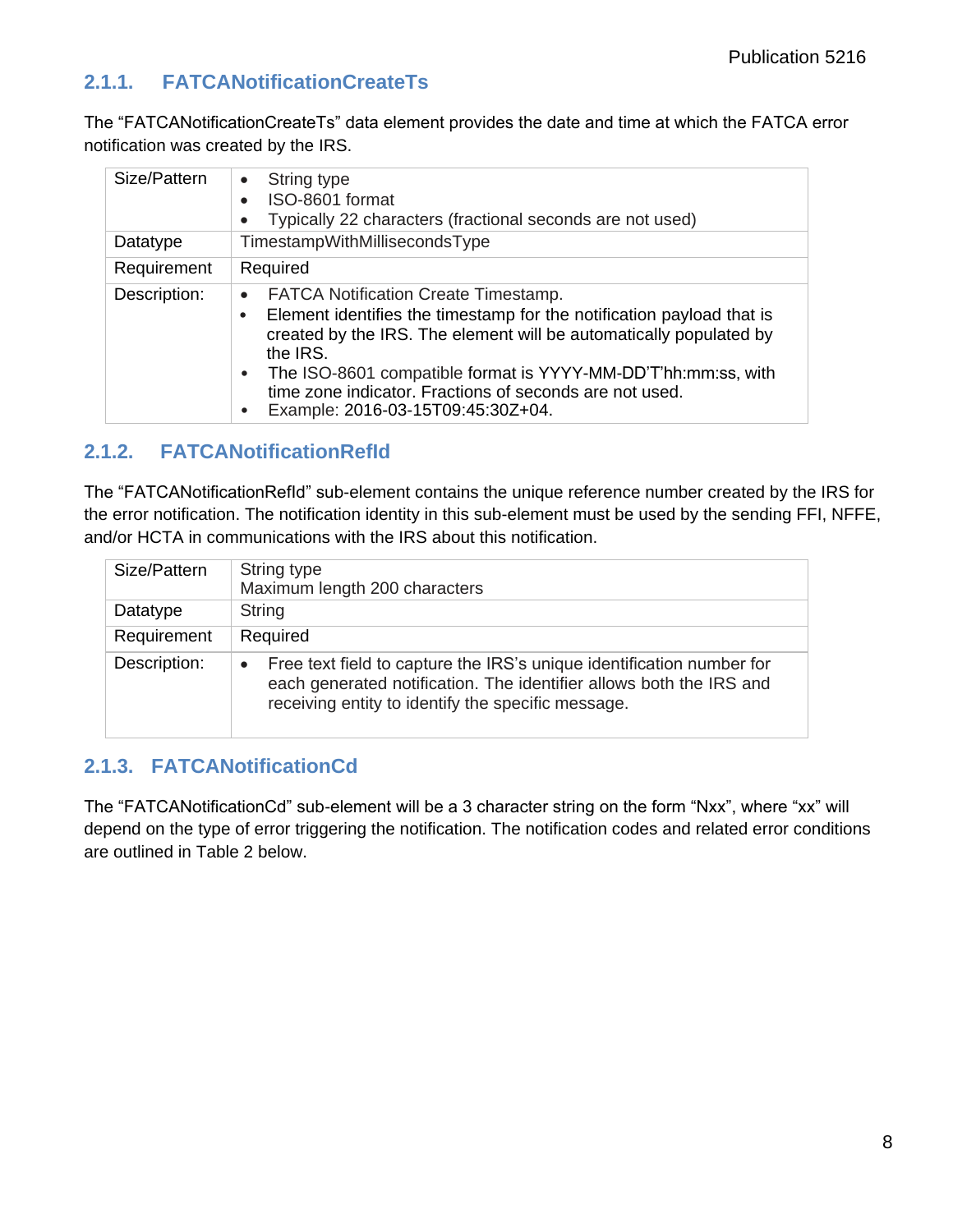# <span id="page-11-0"></span>**2.1.1. FATCANotificationCreateTs**

The "FATCANotificationCreateTs" data element provides the date and time at which the FATCA error notification was created by the IRS.

| Size/Pattern | String type<br>$\bullet$<br>ISO-8601 format<br>Typically 22 characters (fractional seconds are not used)                                                                                                                                                                                                                                                                             |
|--------------|--------------------------------------------------------------------------------------------------------------------------------------------------------------------------------------------------------------------------------------------------------------------------------------------------------------------------------------------------------------------------------------|
| Datatype     | TimestampWithMillisecondsType                                                                                                                                                                                                                                                                                                                                                        |
| Requirement  | Required                                                                                                                                                                                                                                                                                                                                                                             |
| Description: | <b>FATCA Notification Create Timestamp.</b><br>$\bullet$<br>Element identifies the timestamp for the notification payload that is<br>created by the IRS. The element will be automatically populated by<br>the IRS.<br>The ISO-8601 compatible format is YYYY-MM-DD'T'hh:mm:ss, with<br>time zone indicator. Fractions of seconds are not used.<br>Example: 2016-03-15T09:45:30Z+04. |

## <span id="page-11-1"></span>**2.1.2. FATCANotificationRefId**

The "FATCANotificationRefId" sub-element contains the unique reference number created by the IRS for the error notification. The notification identity in this sub-element must be used by the sending FFI, NFFE, and/or HCTA in communications with the IRS about this notification.

| Size/Pattern | String type<br>Maximum length 200 characters                                                                                                                                                                    |
|--------------|-----------------------------------------------------------------------------------------------------------------------------------------------------------------------------------------------------------------|
| Datatype     | String                                                                                                                                                                                                          |
| Requirement  | Required                                                                                                                                                                                                        |
| Description: | Free text field to capture the IRS's unique identification number for<br>$\bullet$<br>each generated notification. The identifier allows both the IRS and<br>receiving entity to identify the specific message. |

#### <span id="page-11-2"></span>**2.1.3. FATCANotificationCd**

The "FATCANotificationCd" sub-element will be a 3 character string on the form "Nxx", where "xx" will depend on the type of error triggering the notification. The notification codes and related error conditions are outlined in Table 2 below.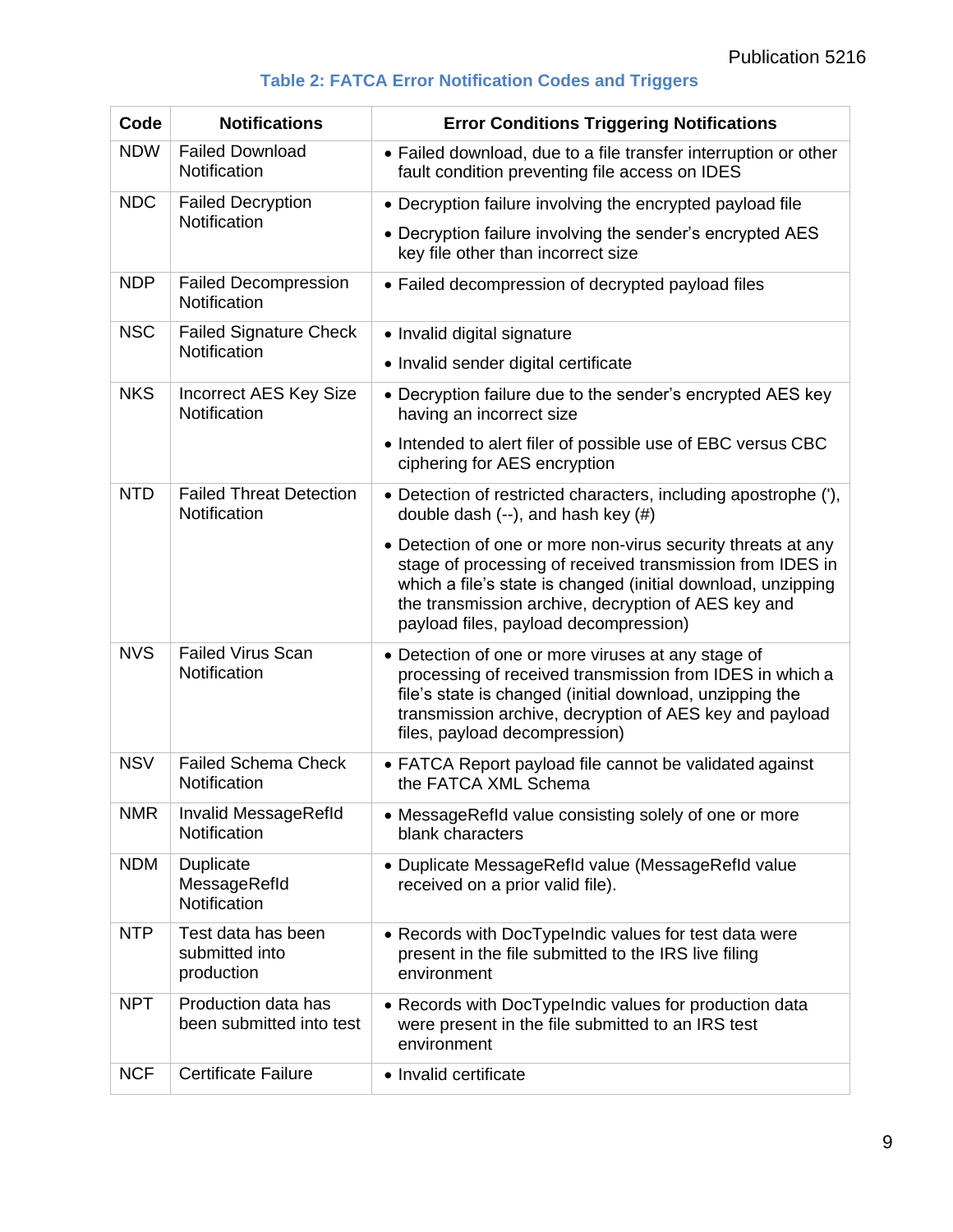|  |  | <b>Table 2: FATCA Error Notification Codes and Triggers</b> |
|--|--|-------------------------------------------------------------|
|--|--|-------------------------------------------------------------|

| Code       | <b>Notifications</b>                               | <b>Error Conditions Triggering Notifications</b>                                                                                                                                                                                                                                          |
|------------|----------------------------------------------------|-------------------------------------------------------------------------------------------------------------------------------------------------------------------------------------------------------------------------------------------------------------------------------------------|
| <b>NDW</b> | <b>Failed Download</b><br>Notification             | • Failed download, due to a file transfer interruption or other<br>fault condition preventing file access on IDES                                                                                                                                                                         |
| <b>NDC</b> | <b>Failed Decryption</b>                           | • Decryption failure involving the encrypted payload file                                                                                                                                                                                                                                 |
|            | Notification                                       | • Decryption failure involving the sender's encrypted AES<br>key file other than incorrect size                                                                                                                                                                                           |
| <b>NDP</b> | <b>Failed Decompression</b><br>Notification        | • Failed decompression of decrypted payload files                                                                                                                                                                                                                                         |
| <b>NSC</b> | <b>Failed Signature Check</b><br>Notification      | • Invalid digital signature                                                                                                                                                                                                                                                               |
|            |                                                    | • Invalid sender digital certificate                                                                                                                                                                                                                                                      |
| <b>NKS</b> | <b>Incorrect AES Key Size</b><br>Notification      | • Decryption failure due to the sender's encrypted AES key<br>having an incorrect size                                                                                                                                                                                                    |
|            |                                                    | • Intended to alert filer of possible use of EBC versus CBC<br>ciphering for AES encryption                                                                                                                                                                                               |
| <b>NTD</b> | <b>Failed Threat Detection</b><br>Notification     | • Detection of restricted characters, including apostrophe ('),<br>double dash $(-)$ , and hash key $(\#)$                                                                                                                                                                                |
|            |                                                    | • Detection of one or more non-virus security threats at any<br>stage of processing of received transmission from IDES in<br>which a file's state is changed (initial download, unzipping<br>the transmission archive, decryption of AES key and<br>payload files, payload decompression) |
| <b>NVS</b> | <b>Failed Virus Scan</b><br>Notification           | • Detection of one or more viruses at any stage of<br>processing of received transmission from IDES in which a<br>file's state is changed (initial download, unzipping the<br>transmission archive, decryption of AES key and payload<br>files, payload decompression)                    |
| <b>NSV</b> | <b>Failed Schema Check</b><br>Notification         | • FATCA Report payload file cannot be validated against<br>the FATCA XML Schema                                                                                                                                                                                                           |
| <b>NMR</b> | Invalid MessageRefld<br>Notification               | • MessageRefld value consisting solely of one or more<br>blank characters                                                                                                                                                                                                                 |
| <b>NDM</b> | Duplicate<br>MessageRefld<br>Notification          | • Duplicate MessageRefld value (MessageRefld value<br>received on a prior valid file).                                                                                                                                                                                                    |
| <b>NTP</b> | Test data has been<br>submitted into<br>production | • Records with DocTypeIndic values for test data were<br>present in the file submitted to the IRS live filing<br>environment                                                                                                                                                              |
| <b>NPT</b> | Production data has<br>been submitted into test    | • Records with DocTypeIndic values for production data<br>were present in the file submitted to an IRS test<br>environment                                                                                                                                                                |
| <b>NCF</b> | <b>Certificate Failure</b>                         | • Invalid certificate                                                                                                                                                                                                                                                                     |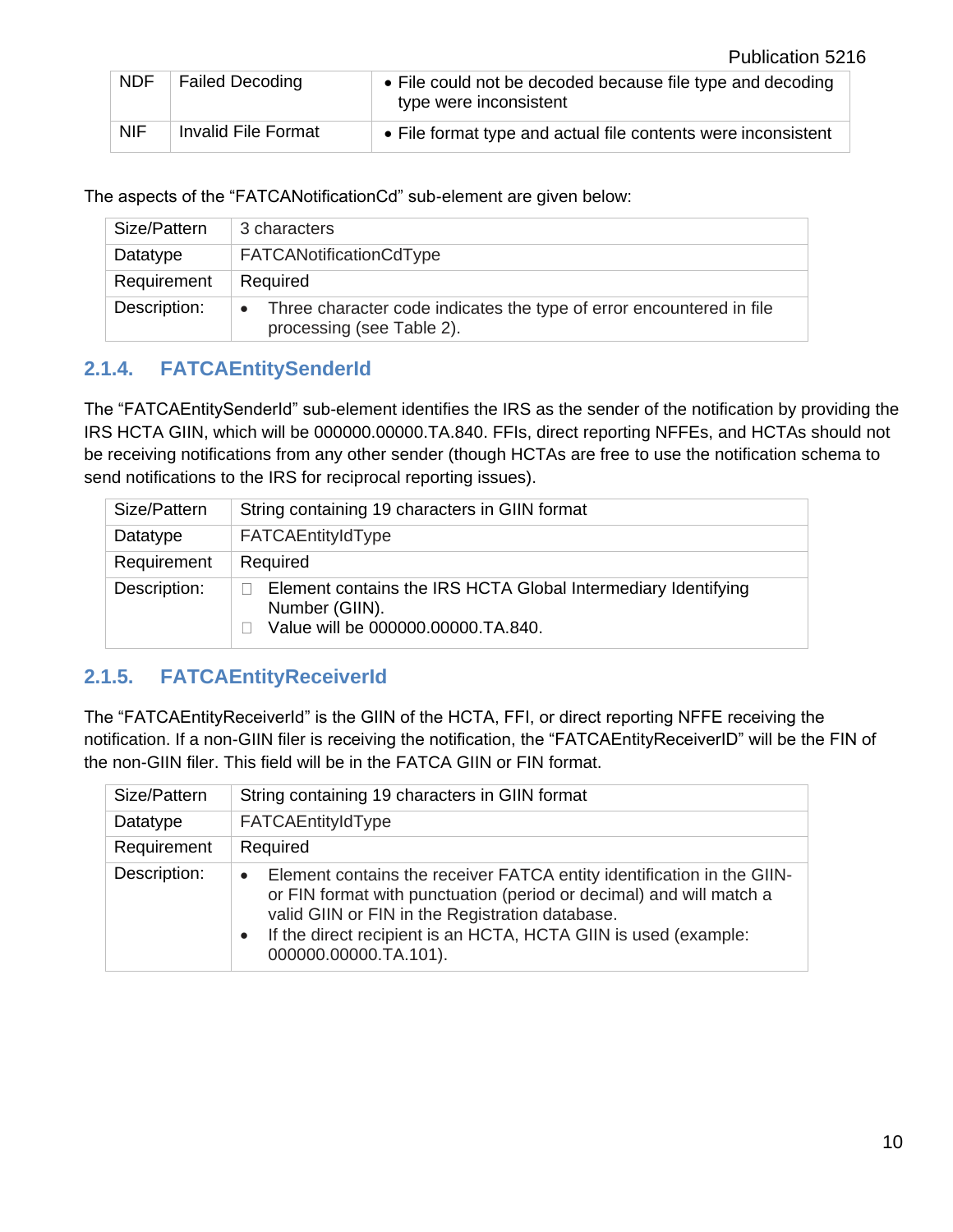| <b>NDF</b> | <b>Failed Decoding</b> | • File could not be decoded because file type and decoding<br>type were inconsistent |
|------------|------------------------|--------------------------------------------------------------------------------------|
| <b>NIF</b> | Invalid File Format    | • File format type and actual file contents were inconsistent                        |

The aspects of the "FATCANotificationCd" sub-element are given below:

| Size/Pattern | 3 characters                                                                                      |
|--------------|---------------------------------------------------------------------------------------------------|
| Datatype     | FATCANotificationCdType                                                                           |
| Requirement  | Required                                                                                          |
| Description: | Three character code indicates the type of error encountered in file<br>processing (see Table 2). |

#### <span id="page-13-0"></span>**2.1.4. FATCAEntitySenderId**

The "FATCAEntitySenderId" sub-element identifies the IRS as the sender of the notification by providing the IRS HCTA GIIN, which will be 000000.00000.TA.840. FFIs, direct reporting NFFEs, and HCTAs should not be receiving notifications from any other sender (though HCTAs are free to use the notification schema to send notifications to the IRS for reciprocal reporting issues).

| Size/Pattern | String containing 19 characters in GIIN format                                                                        |
|--------------|-----------------------------------------------------------------------------------------------------------------------|
| Datatype     | FATCAEntityIdType                                                                                                     |
| Requirement  | Required                                                                                                              |
| Description: | Element contains the IRS HCTA Global Intermediary Identifying<br>Number (GIIN).<br>Value will be 000000.00000.TA.840. |

#### <span id="page-13-1"></span>**2.1.5. FATCAEntityReceiverId**

The "FATCAEntityReceiverId" is the GIIN of the HCTA, FFI, or direct reporting NFFE receiving the notification. If a non-GIIN filer is receiving the notification, the "FATCAEntityReceiverID" will be the FIN of the non-GIIN filer. This field will be in the FATCA GIIN or FIN format.

| Size/Pattern | String containing 19 characters in GIIN format                                                                                                                                                                                                                                                            |
|--------------|-----------------------------------------------------------------------------------------------------------------------------------------------------------------------------------------------------------------------------------------------------------------------------------------------------------|
| Datatype     | FATCAEntityIdType                                                                                                                                                                                                                                                                                         |
| Requirement  | Required                                                                                                                                                                                                                                                                                                  |
| Description: | Element contains the receiver FATCA entity identification in the GIIN-<br>$\bullet$<br>or FIN format with punctuation (period or decimal) and will match a<br>valid GIIN or FIN in the Registration database.<br>If the direct recipient is an HCTA, HCTA GIIN is used (example:<br>000000.00000.TA.101). |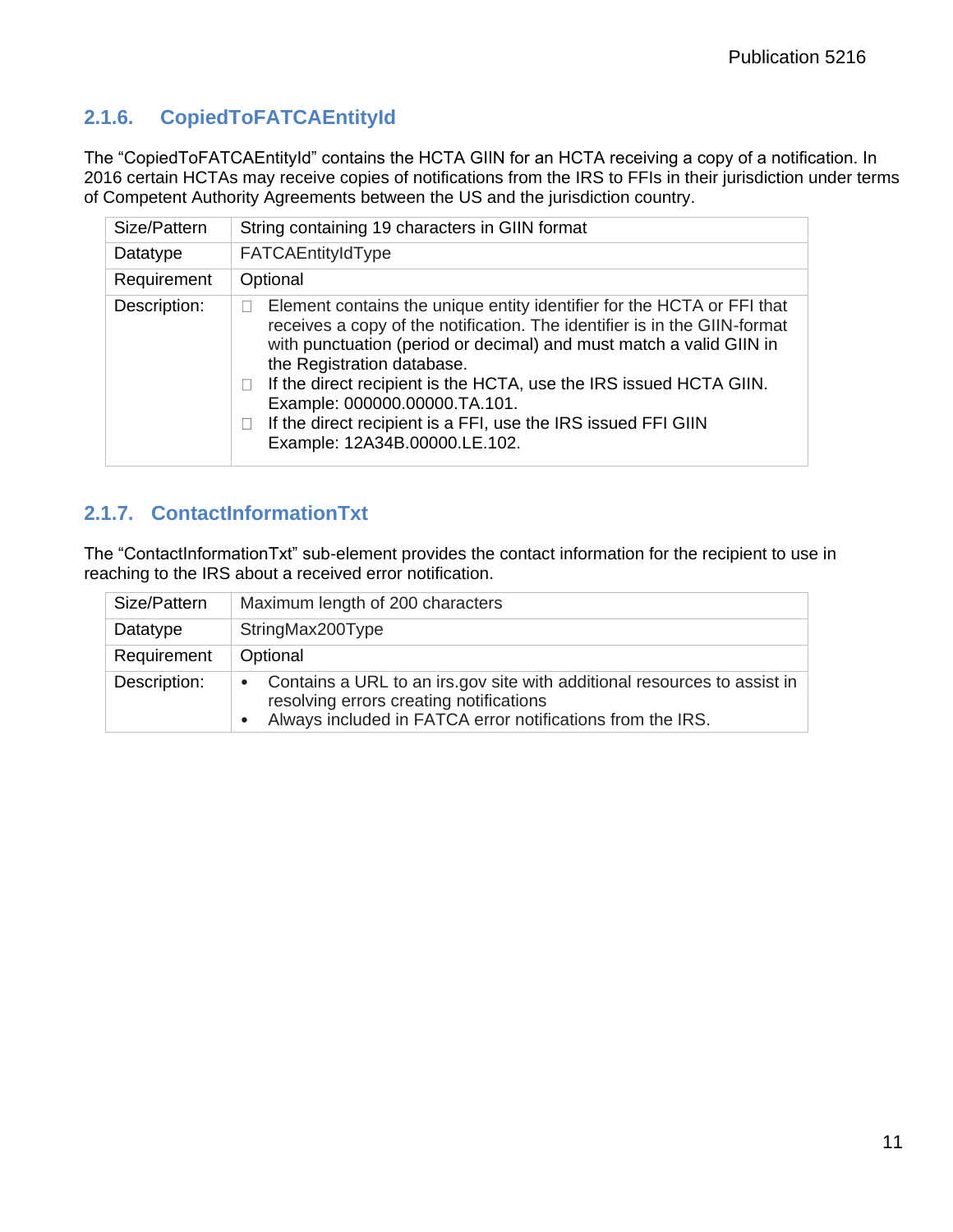# <span id="page-14-0"></span>**2.1.6. CopiedToFATCAEntityId**

The "CopiedToFATCAEntityId" contains the HCTA GIIN for an HCTA receiving a copy of a notification. In 2016 certain HCTAs may receive copies of notifications from the IRS to FFIs in their jurisdiction under terms of Competent Authority Agreements between the US and the jurisdiction country.

| Size/Pattern | String containing 19 characters in GIIN format                                                                                                                                                                                                                                                                                                                                                                                                                                      |
|--------------|-------------------------------------------------------------------------------------------------------------------------------------------------------------------------------------------------------------------------------------------------------------------------------------------------------------------------------------------------------------------------------------------------------------------------------------------------------------------------------------|
| Datatype     | FATCAEntityIdType                                                                                                                                                                                                                                                                                                                                                                                                                                                                   |
| Requirement  | Optional                                                                                                                                                                                                                                                                                                                                                                                                                                                                            |
| Description: | Element contains the unique entity identifier for the HCTA or FFI that<br>receives a copy of the notification. The identifier is in the GIIN-format<br>with punctuation (period or decimal) and must match a valid GIIN in<br>the Registration database.<br>If the direct recipient is the HCTA, use the IRS issued HCTA GIIN.<br>Example: 000000.00000.TA.101.<br>If the direct recipient is a FFI, use the IRS issued FFI GIIN<br>$\blacksquare$<br>Example: 12A34B.00000.LE.102. |

## <span id="page-14-1"></span>**2.1.7. ContactInformationTxt**

The "ContactInformationTxt" sub-element provides the contact information for the recipient to use in reaching to the IRS about a received error notification.

| Size/Pattern | Maximum length of 200 characters                                                                                                                                                               |
|--------------|------------------------------------------------------------------------------------------------------------------------------------------------------------------------------------------------|
| Datatype     | StringMax200Type                                                                                                                                                                               |
| Requirement  | Optional                                                                                                                                                                                       |
| Description: | Contains a URL to an irs.gov site with additional resources to assist in<br>$\bullet$<br>resolving errors creating notifications<br>Always included in FATCA error notifications from the IRS. |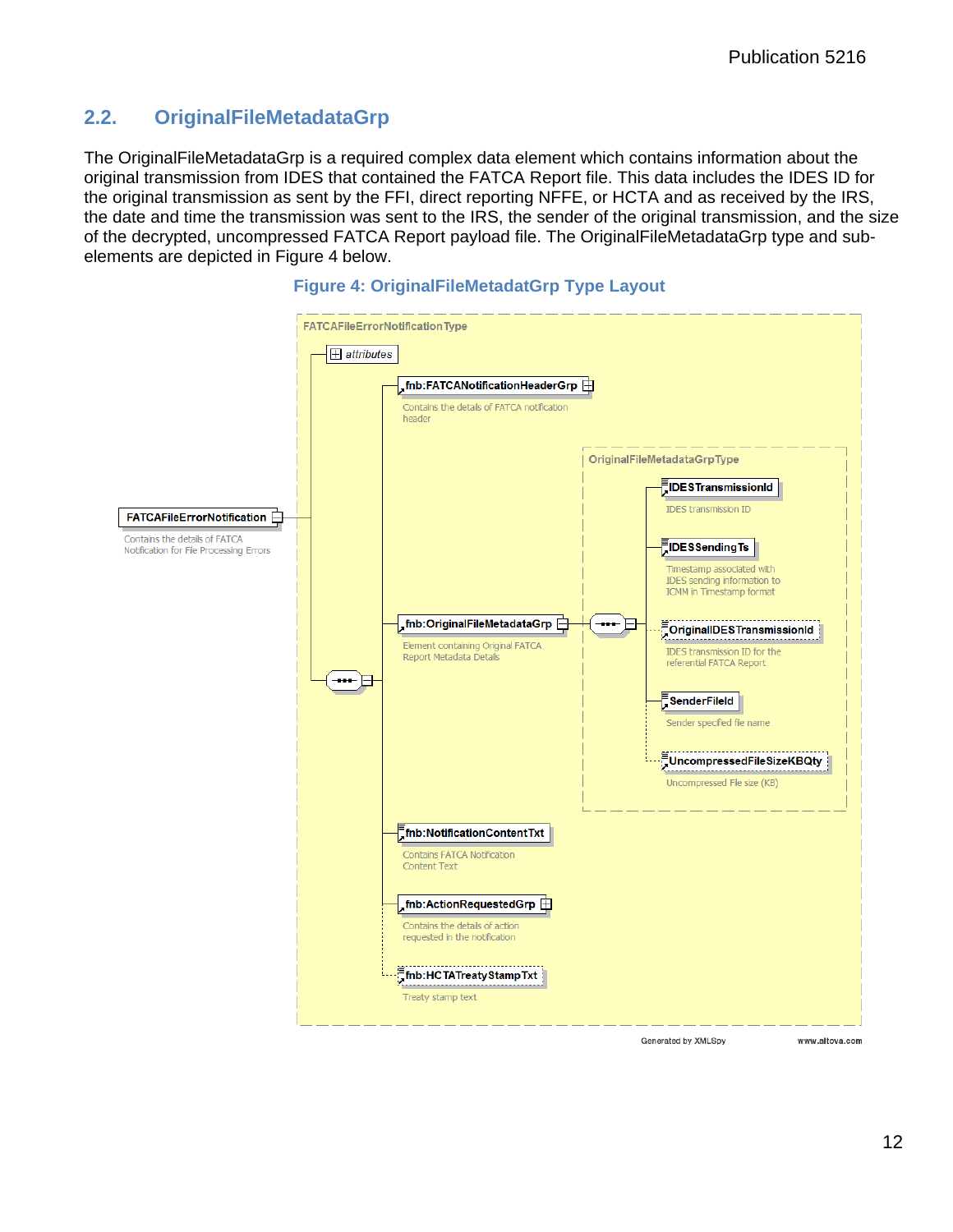#### <span id="page-15-0"></span>**2.2. OriginalFileMetadataGrp**

The OriginalFileMetadataGrp is a required complex data element which contains information about the original transmission from IDES that contained the FATCA Report file. This data includes the IDES ID for the original transmission as sent by the FFI, direct reporting NFFE, or HCTA and as received by the IRS, the date and time the transmission was sent to the IRS, the sender of the original transmission, and the size of the decrypted, uncompressed FATCA Report payload file. The OriginalFileMetadataGrp type and subelements are depicted in Figure 4 below.



#### **Figure 4: OriginalFileMetadatGrp Type Layout**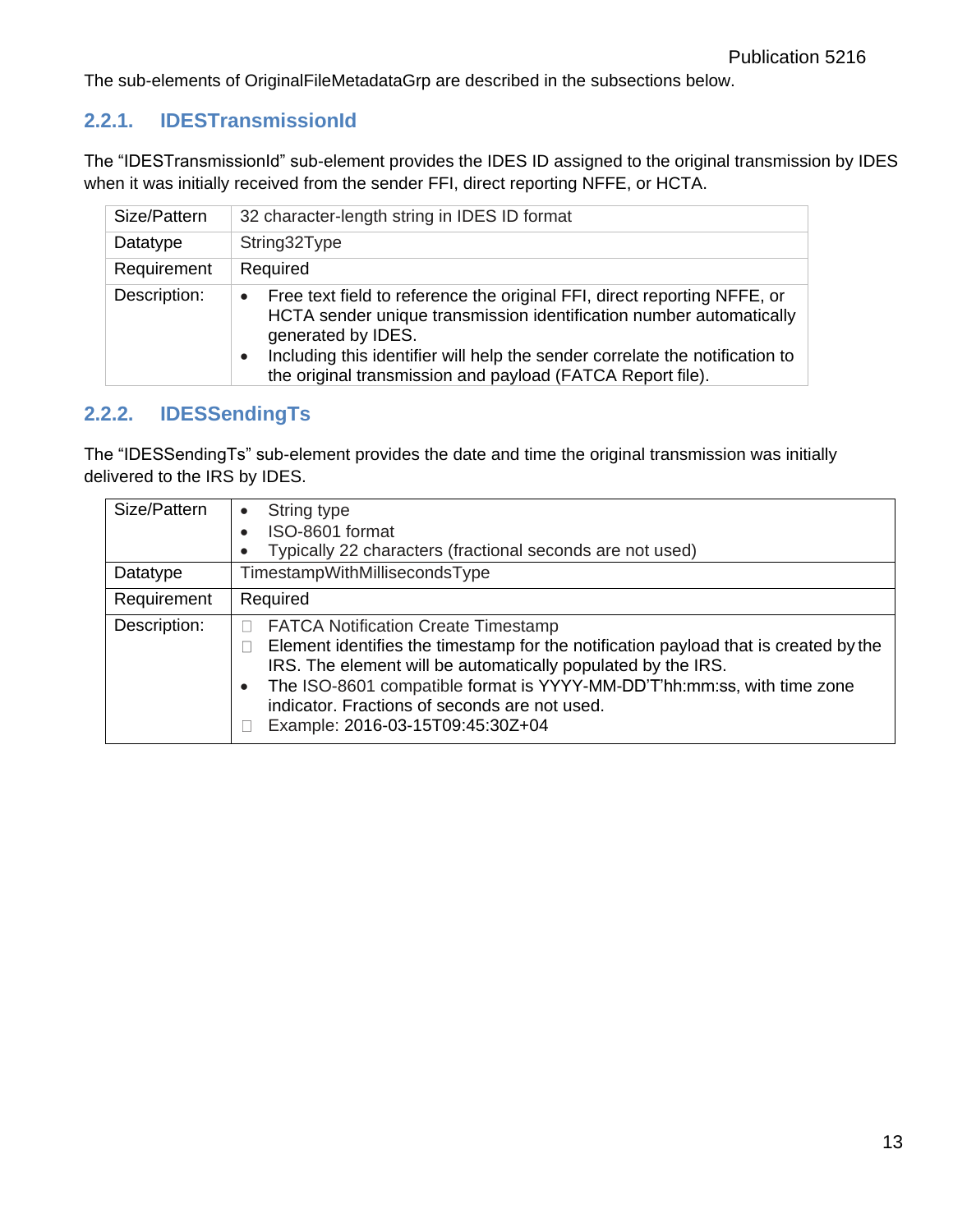The sub-elements of OriginalFileMetadataGrp are described in the subsections below.

# <span id="page-16-0"></span>**2.2.1. IDESTransmissionId**

The "IDESTransmissionId" sub-element provides the IDES ID assigned to the original transmission by IDES when it was initially received from the sender FFI, direct reporting NFFE, or HCTA.

| Size/Pattern | 32 character-length string in IDES ID format                                                                                                                                                                                                                                                                        |
|--------------|---------------------------------------------------------------------------------------------------------------------------------------------------------------------------------------------------------------------------------------------------------------------------------------------------------------------|
| Datatype     | String32Type                                                                                                                                                                                                                                                                                                        |
| Requirement  | Required                                                                                                                                                                                                                                                                                                            |
| Description: | Free text field to reference the original FFI, direct reporting NFFE, or<br>HCTA sender unique transmission identification number automatically<br>generated by IDES.<br>Including this identifier will help the sender correlate the notification to<br>the original transmission and payload (FATCA Report file). |

# <span id="page-16-1"></span>**2.2.2. IDESSendingTs**

The "IDESSendingTs" sub-element provides the date and time the original transmission was initially delivered to the IRS by IDES.

| Size/Pattern | String type<br>$\bullet$<br>ISO-8601 format<br>Typically 22 characters (fractional seconds are not used)                                                                                                                                                                                                                                                                        |
|--------------|---------------------------------------------------------------------------------------------------------------------------------------------------------------------------------------------------------------------------------------------------------------------------------------------------------------------------------------------------------------------------------|
| Datatype     | TimestampWithMillisecondsType                                                                                                                                                                                                                                                                                                                                                   |
| Requirement  | Required                                                                                                                                                                                                                                                                                                                                                                        |
| Description: | <b>FATCA Notification Create Timestamp</b><br>Element identifies the timestamp for the notification payload that is created by the<br>IRS. The element will be automatically populated by the IRS.<br>The ISO-8601 compatible format is YYYY-MM-DD'T'hh:mm:ss, with time zone<br>$\bullet$<br>indicator. Fractions of seconds are not used.<br>Example: 2016-03-15T09:45:30Z+04 |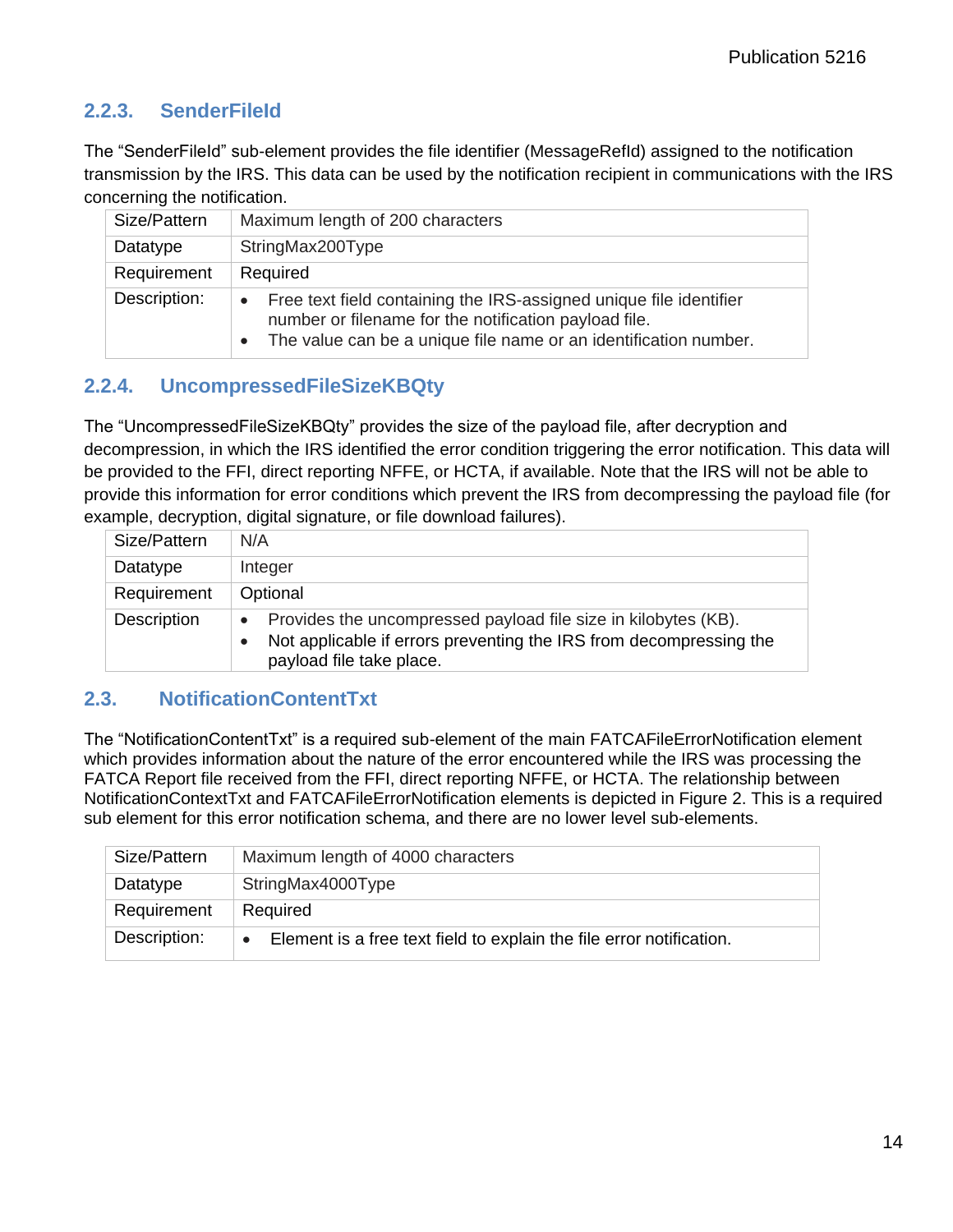### <span id="page-17-0"></span>**2.2.3. SenderFileId**

The "SenderFileId" sub-element provides the file identifier (MessageRefId) assigned to the notification transmission by the IRS. This data can be used by the notification recipient in communications with the IRS concerning the notification.

| Size/Pattern | Maximum length of 200 characters                                                                                                                                                                |
|--------------|-------------------------------------------------------------------------------------------------------------------------------------------------------------------------------------------------|
| Datatype     | StringMax200Type                                                                                                                                                                                |
| Requirement  | Required                                                                                                                                                                                        |
| Description: | Free text field containing the IRS-assigned unique file identifier<br>number or filename for the notification payload file.<br>The value can be a unique file name or an identification number. |

#### <span id="page-17-1"></span>**2.2.4. UncompressedFileSizeKBQty**

The "UncompressedFileSizeKBQty" provides the size of the payload file, after decryption and decompression, in which the IRS identified the error condition triggering the error notification. This data will be provided to the FFI, direct reporting NFFE, or HCTA, if available. Note that the IRS will not be able to provide this information for error conditions which prevent the IRS from decompressing the payload file (for example, decryption, digital signature, or file download failures).

| Size/Pattern       | N/A                                                                                                                                                                           |
|--------------------|-------------------------------------------------------------------------------------------------------------------------------------------------------------------------------|
| Datatype           | Integer                                                                                                                                                                       |
| Requirement        | Optional                                                                                                                                                                      |
| <b>Description</b> | Provides the uncompressed payload file size in kilobytes (KB).<br>$\bullet$<br>Not applicable if errors preventing the IRS from decompressing the<br>payload file take place. |

#### <span id="page-17-2"></span>**2.3. NotificationContentTxt**

The "NotificationContentTxt" is a required sub-element of the main FATCAFileErrorNotification element which provides information about the nature of the error encountered while the IRS was processing the FATCA Report file received from the FFI, direct reporting NFFE, or HCTA. The relationship between NotificationContextTxt and FATCAFileErrorNotification elements is depicted in Figure 2. This is a required sub element for this error notification schema, and there are no lower level sub-elements.

| Size/Pattern | Maximum length of 4000 characters                                                 |
|--------------|-----------------------------------------------------------------------------------|
| Datatype     | StringMax4000Type                                                                 |
| Requirement  | Required                                                                          |
| Description: | Element is a free text field to explain the file error notification.<br>$\bullet$ |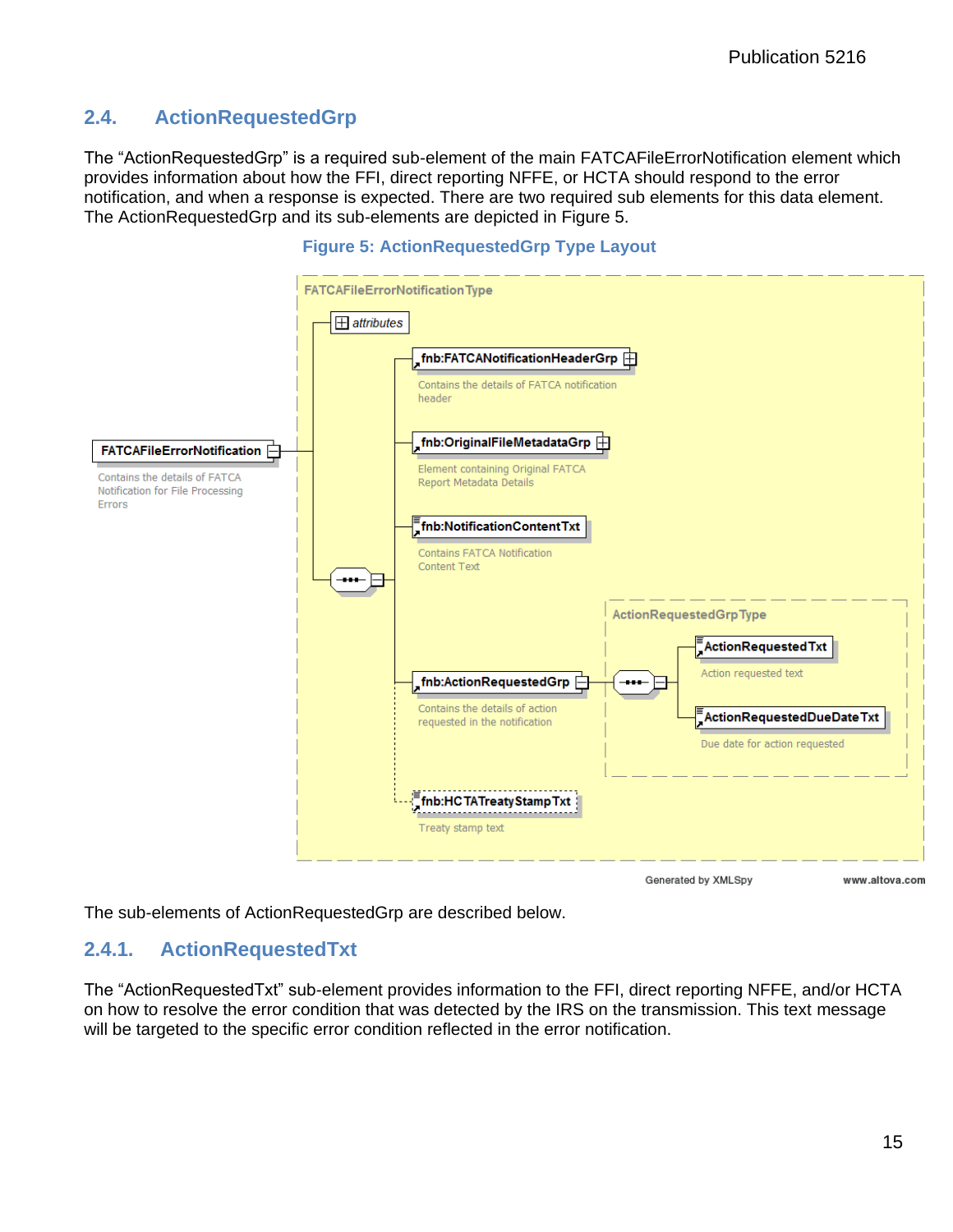#### <span id="page-18-0"></span>**2.4. ActionRequestedGrp**

The "ActionRequestedGrp" is a required sub-element of the main FATCAFileErrorNotification element which provides information about how the FFI, direct reporting NFFE, or HCTA should respond to the error notification, and when a response is expected. There are two required sub elements for this data element. The ActionRequestedGrp and its sub-elements are depicted in Figure 5.



#### **Figure 5: ActionRequestedGrp Type Layout**

Generated by XMLSpy

www.altova.com

<span id="page-18-1"></span>The sub-elements of ActionRequestedGrp are described below.

#### **2.4.1. ActionRequestedTxt**

The "ActionRequestedTxt" sub-element provides information to the FFI, direct reporting NFFE, and/or HCTA on how to resolve the error condition that was detected by the IRS on the transmission. This text message will be targeted to the specific error condition reflected in the error notification.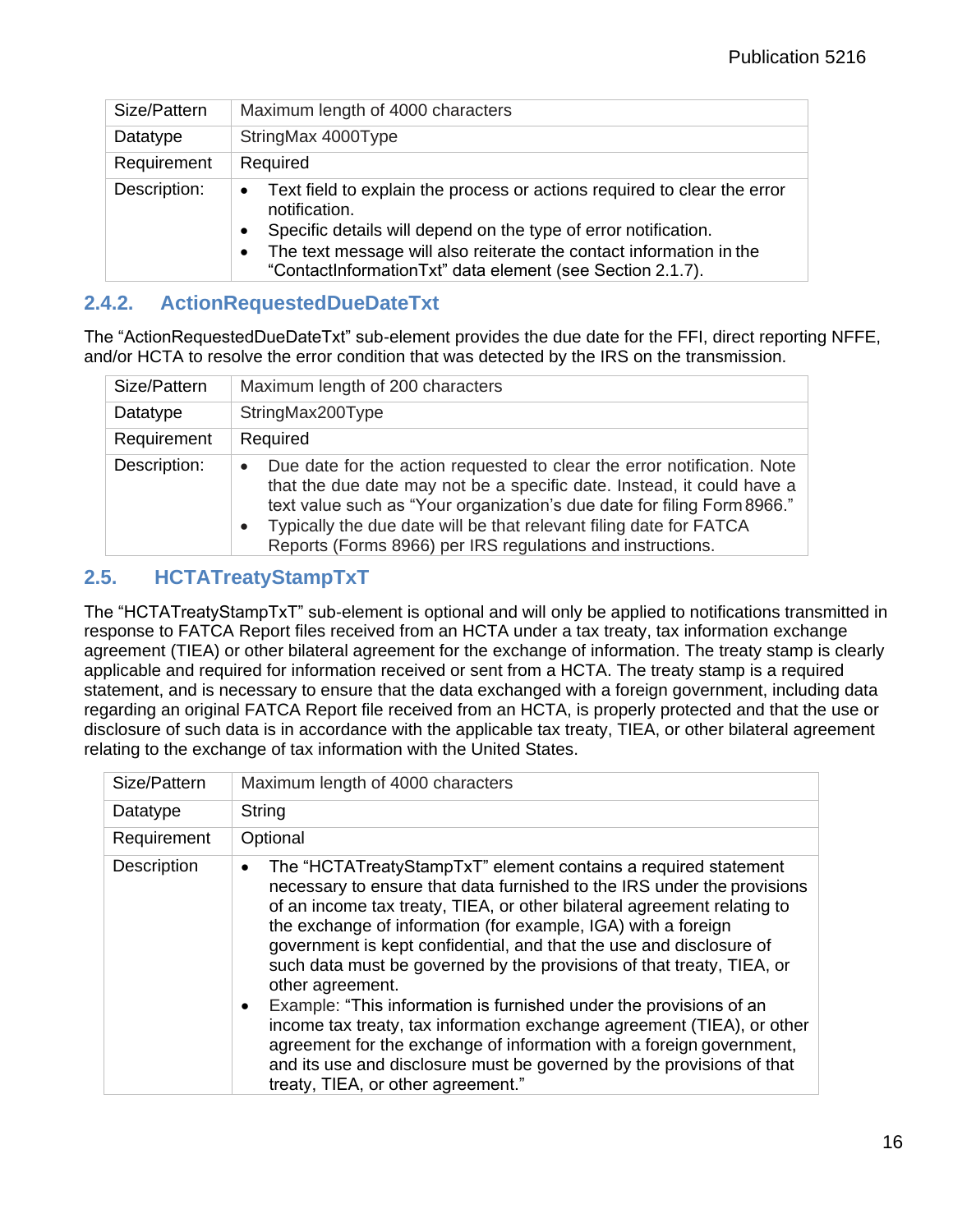| Size/Pattern | Maximum length of 4000 characters                                                                                                             |
|--------------|-----------------------------------------------------------------------------------------------------------------------------------------------|
| Datatype     | StringMax 4000Type                                                                                                                            |
| Requirement  | Required                                                                                                                                      |
| Description: | Text field to explain the process or actions required to clear the error<br>$\bullet$<br>notification.                                        |
|              | Specific details will depend on the type of error notification.<br>$\bullet$                                                                  |
|              | The text message will also reiterate the contact information in the<br>$\bullet$<br>"ContactInformationTxt" data element (see Section 2.1.7). |

#### <span id="page-19-0"></span>**2.4.2. ActionRequestedDueDateTxt**

The "ActionRequestedDueDateTxt" sub-element provides the due date for the FFI, direct reporting NFFE, and/or HCTA to resolve the error condition that was detected by the IRS on the transmission.

| Size/Pattern | Maximum length of 200 characters                                                                                                                                                                                                                                                                                                                                                           |
|--------------|--------------------------------------------------------------------------------------------------------------------------------------------------------------------------------------------------------------------------------------------------------------------------------------------------------------------------------------------------------------------------------------------|
| Datatype     | StringMax200Type                                                                                                                                                                                                                                                                                                                                                                           |
| Requirement  | Required                                                                                                                                                                                                                                                                                                                                                                                   |
| Description: | Due date for the action requested to clear the error notification. Note<br>$\bullet$<br>that the due date may not be a specific date. Instead, it could have a<br>text value such as "Your organization's due date for filing Form 8966."<br>Typically the due date will be that relevant filing date for FATCA<br>$\bullet$<br>Reports (Forms 8966) per IRS regulations and instructions. |

# <span id="page-19-1"></span>**2.5. HCTATreatyStampTxT**

The "HCTATreatyStampTxT" sub-element is optional and will only be applied to notifications transmitted in response to FATCA Report files received from an HCTA under a tax treaty, tax information exchange agreement (TIEA) or other bilateral agreement for the exchange of information. The treaty stamp is clearly applicable and required for information received or sent from a HCTA. The treaty stamp is a required statement, and is necessary to ensure that the data exchanged with a foreign government, including data regarding an original FATCA Report file received from an HCTA, is properly protected and that the use or disclosure of such data is in accordance with the applicable tax treaty, TIEA, or other bilateral agreement relating to the exchange of tax information with the United States.

| Size/Pattern | Maximum length of 4000 characters                                                                                                                                                                                                                                                                                                                                                                                                                                                                                                                                                                                                                                                                                                                                                                |
|--------------|--------------------------------------------------------------------------------------------------------------------------------------------------------------------------------------------------------------------------------------------------------------------------------------------------------------------------------------------------------------------------------------------------------------------------------------------------------------------------------------------------------------------------------------------------------------------------------------------------------------------------------------------------------------------------------------------------------------------------------------------------------------------------------------------------|
| Datatype     | String                                                                                                                                                                                                                                                                                                                                                                                                                                                                                                                                                                                                                                                                                                                                                                                           |
| Requirement  | Optional                                                                                                                                                                                                                                                                                                                                                                                                                                                                                                                                                                                                                                                                                                                                                                                         |
| Description  | The "HCTATreatyStampTxT" element contains a required statement<br>necessary to ensure that data furnished to the IRS under the provisions<br>of an income tax treaty, TIEA, or other bilateral agreement relating to<br>the exchange of information (for example, IGA) with a foreign<br>government is kept confidential, and that the use and disclosure of<br>such data must be governed by the provisions of that treaty, TIEA, or<br>other agreement.<br>Example: "This information is furnished under the provisions of an<br>income tax treaty, tax information exchange agreement (TIEA), or other<br>agreement for the exchange of information with a foreign government,<br>and its use and disclosure must be governed by the provisions of that<br>treaty, TIEA, or other agreement." |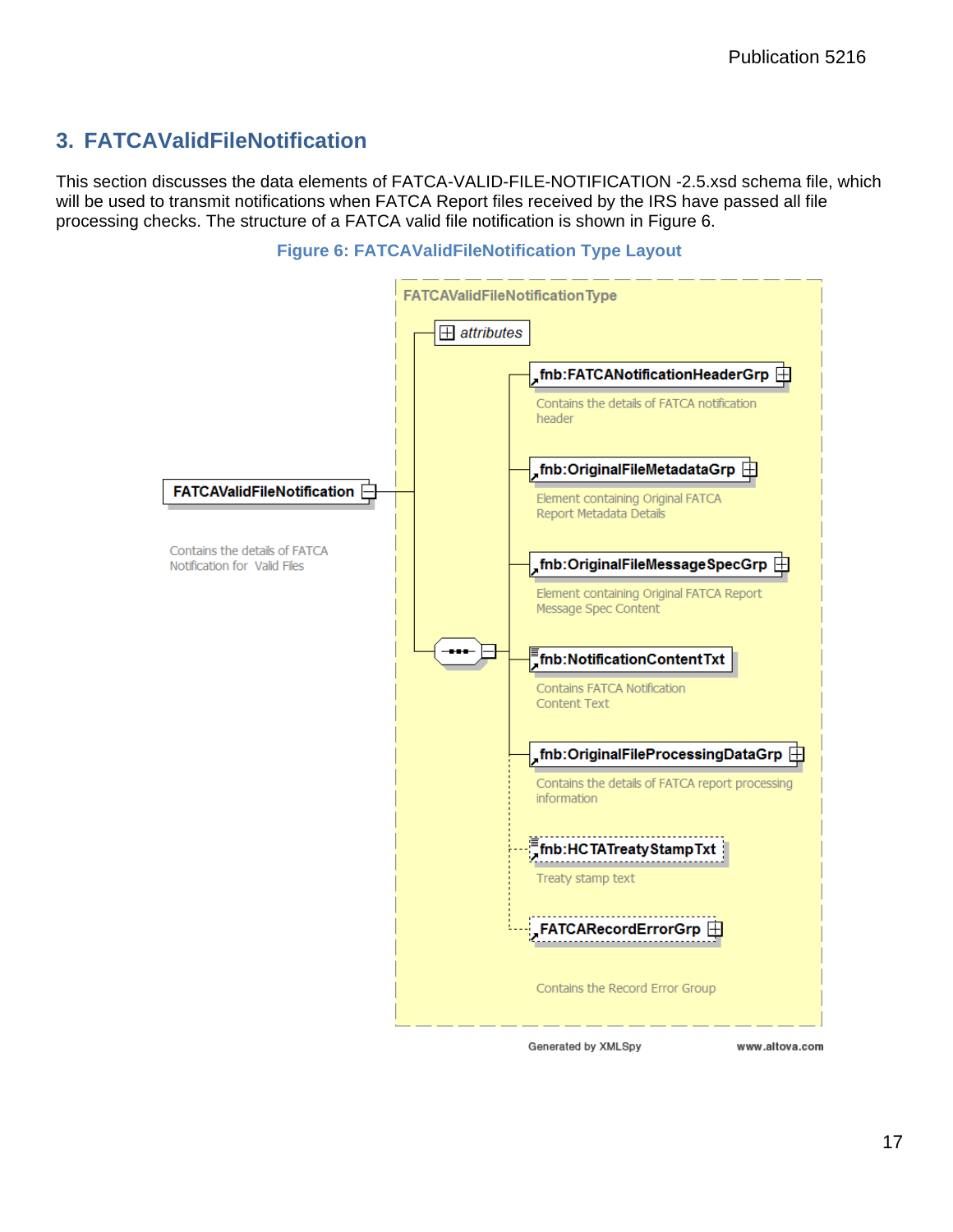# <span id="page-20-0"></span>**3. FATCAValidFileNotification**

This section discusses the data elements of FATCA-VALID-FILE-NOTIFICATION -2.5.xsd schema file, which will be used to transmit notifications when FATCA Report files received by the IRS have passed all file processing checks. The structure of a FATCA valid file notification is shown in Figure 6.



#### **Figure 6: FATCAValidFileNotification Type Layout**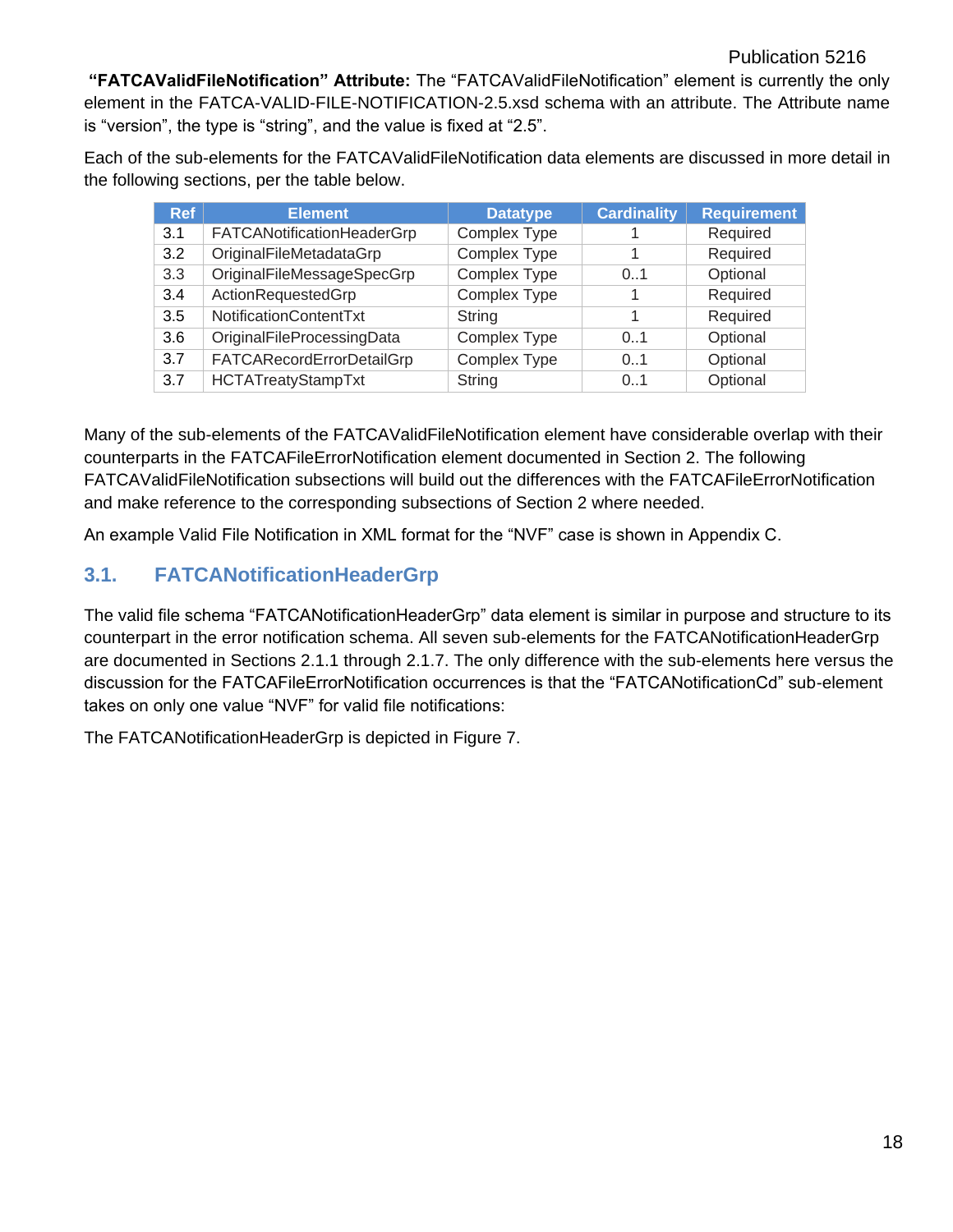**"FATCAValidFileNotification" Attribute:** The "FATCAValidFileNotification" element is currently the only element in the FATCA-VALID-FILE-NOTIFICATION-2.5.xsd schema with an attribute. The Attribute name is "version", the type is "string", and the value is fixed at "2.5".

Each of the sub-elements for the FATCAValidFileNotification data elements are discussed in more detail in the following sections, per the table below.

| <b>Ref</b> | <b>Element</b>                   | <b>Datatype</b>     | <b>Cardinality</b> | <b>Requirement</b> |
|------------|----------------------------------|---------------------|--------------------|--------------------|
| 3.1        | FATCANotificationHeaderGrp       | <b>Complex Type</b> |                    | Required           |
| 3.2        | OriginalFileMetadataGrp          | Complex Type        |                    | Required           |
| 3.3        | OriginalFileMessageSpecGrp       | Complex Type        | 0.1                | Optional           |
| 3.4        | ActionRequestedGrp               | <b>Complex Type</b> |                    | Required           |
| 3.5        | NotificationContentTxt           | String              |                    | Required           |
| 3.6        | OriginalFileProcessingData       | <b>Complex Type</b> | 0.1                | Optional           |
| 3.7        | <b>FATCARecordErrorDetailGrp</b> | Complex Type        | 0.1                | Optional           |
| 3.7        | <b>HCTATreatyStampTxt</b>        | String              | 0.1                | Optional           |

Many of the sub-elements of the FATCAValidFileNotification element have considerable overlap with their counterparts in the FATCAFileErrorNotification element documented in Section 2. The following FATCAValidFileNotification subsections will build out the differences with the FATCAFileErrorNotification and make reference to the corresponding subsections of Section 2 where needed.

An example Valid File Notification in XML format for the "NVF" case is shown in Appendix C.

## <span id="page-21-0"></span>**3.1. FATCANotificationHeaderGrp**

The valid file schema "FATCANotificationHeaderGrp" data element is similar in purpose and structure to its counterpart in the error notification schema. All seven sub-elements for the FATCANotificationHeaderGrp are documented in Sections 2.1.1 through 2.1.7. The only difference with the sub-elements here versus the discussion for the FATCAFileErrorNotification occurrences is that the "FATCANotificationCd" sub-element takes on only one value "NVF" for valid file notifications:

The FATCANotificationHeaderGrp is depicted in Figure 7.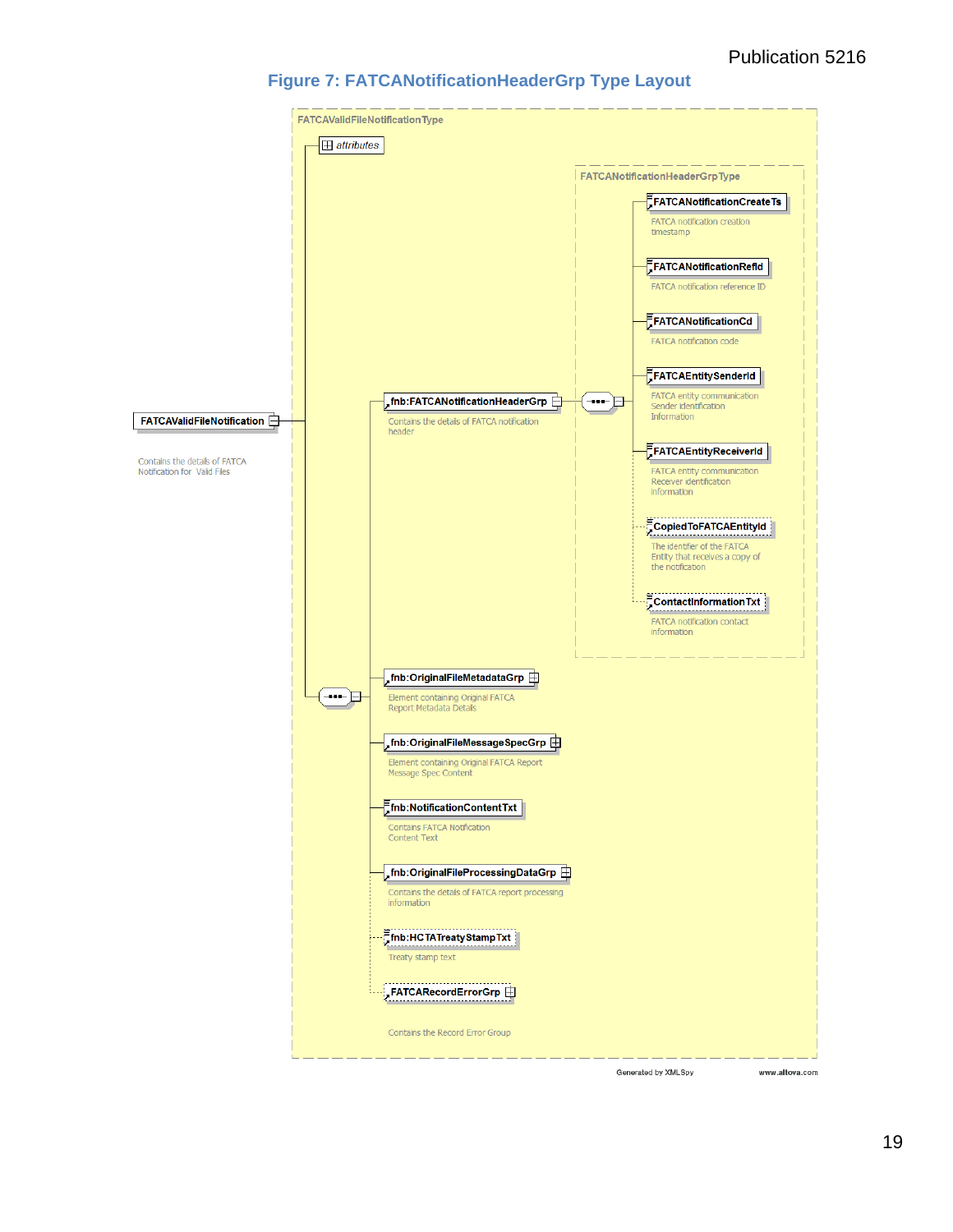#### **Figure 7: FATCANotificationHeaderGrp Type Layout**

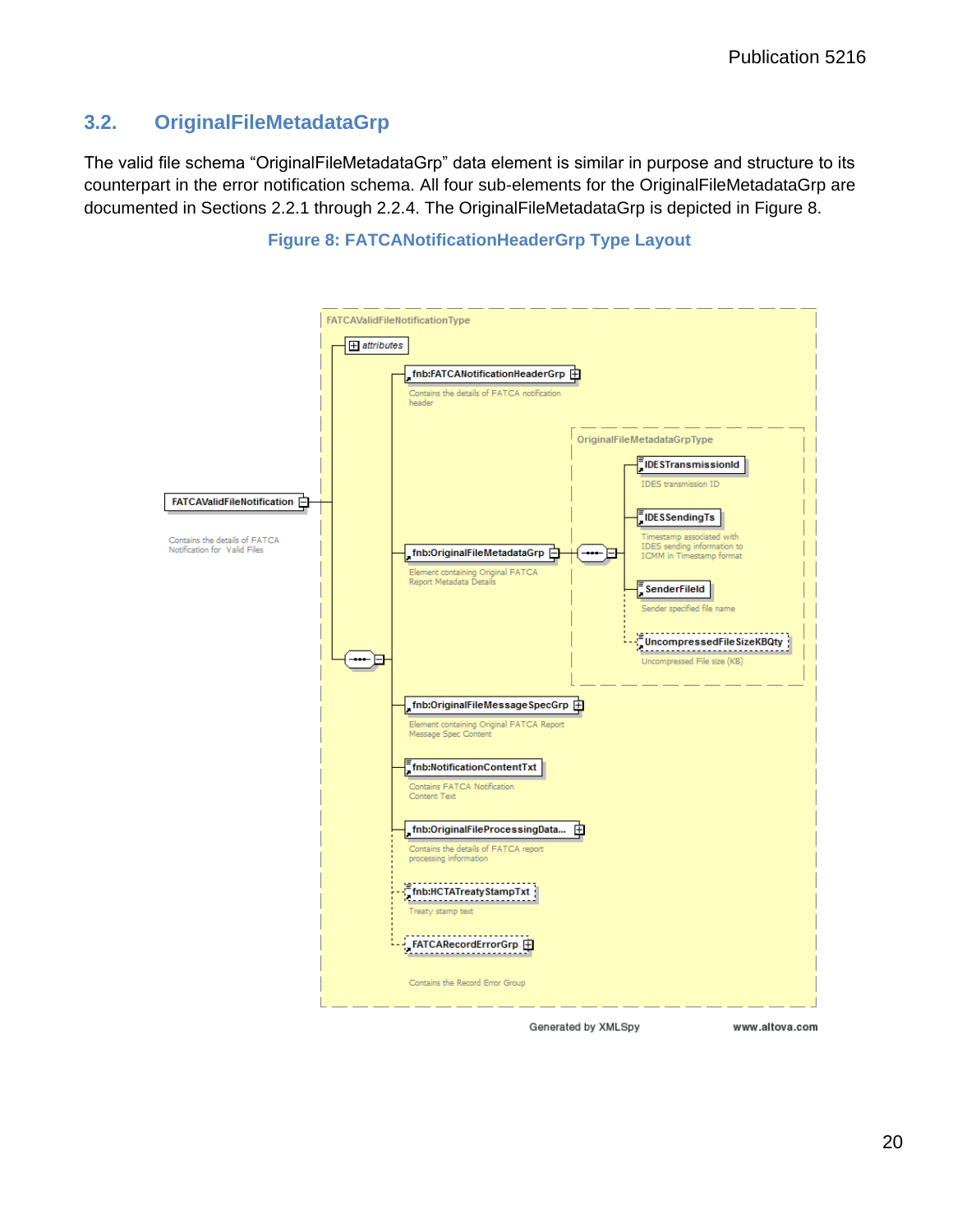#### <span id="page-23-0"></span>**3.2. OriginalFileMetadataGrp**

The valid file schema "OriginalFileMetadataGrp" data element is similar in purpose and structure to its counterpart in the error notification schema. All four sub-elements for the OriginalFileMetadataGrp are documented in Sections 2.2.1 through 2.2.4. The OriginalFileMetadataGrp is depicted in Figure 8.



#### **Figure 8: FATCANotificationHeaderGrp Type Layout**

Generated by XMLSpy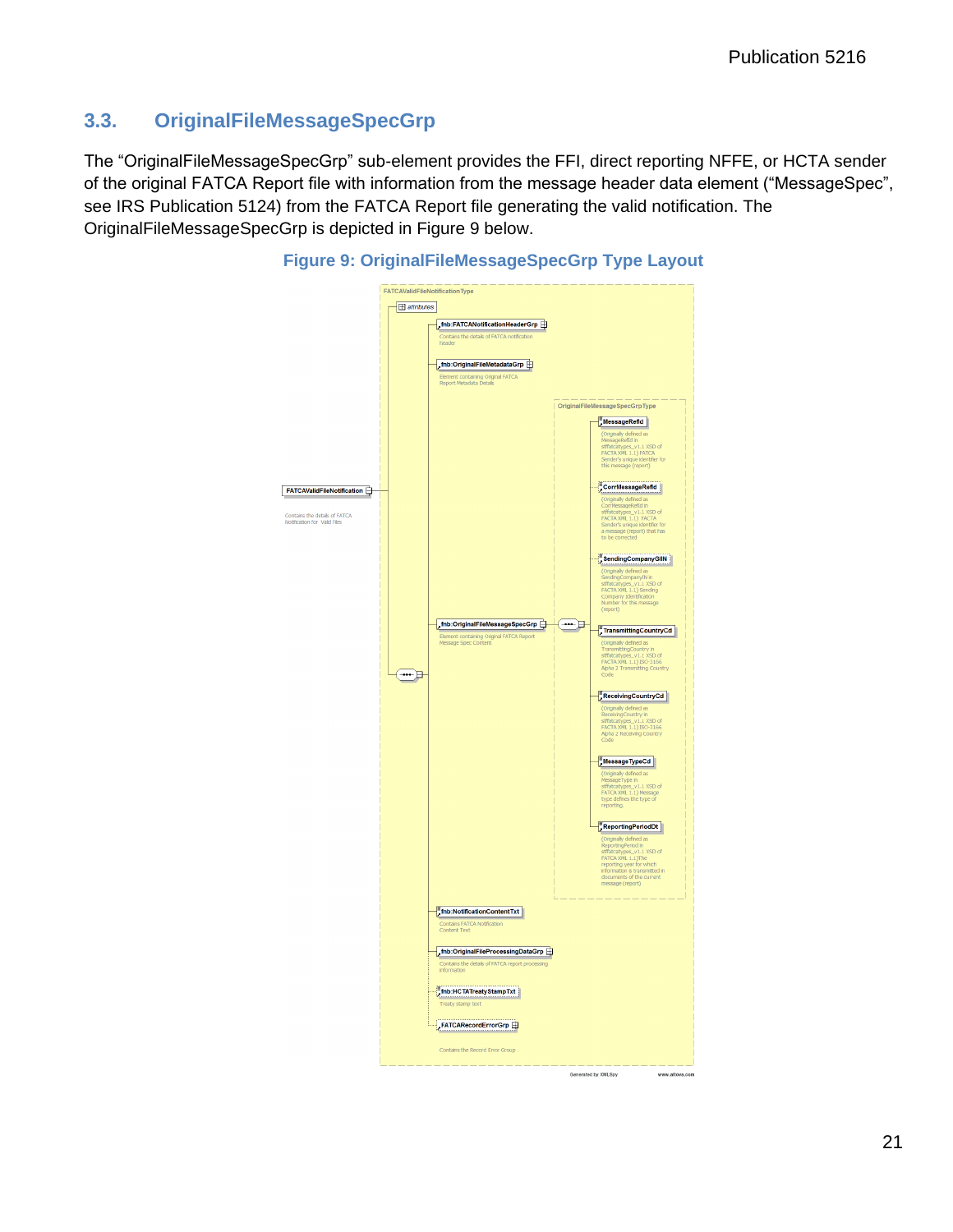### <span id="page-24-0"></span>**3.3. OriginalFileMessageSpecGrp**

The "OriginalFileMessageSpecGrp" sub-element provides the FFI, direct reporting NFFE, or HCTA sender of the original FATCA Report file with information from the message header data element ("MessageSpec", see IRS Publication 5124) from the FATCA Report file generating the valid notification. The OriginalFileMessageSpecGrp is depicted in Figure 9 below.



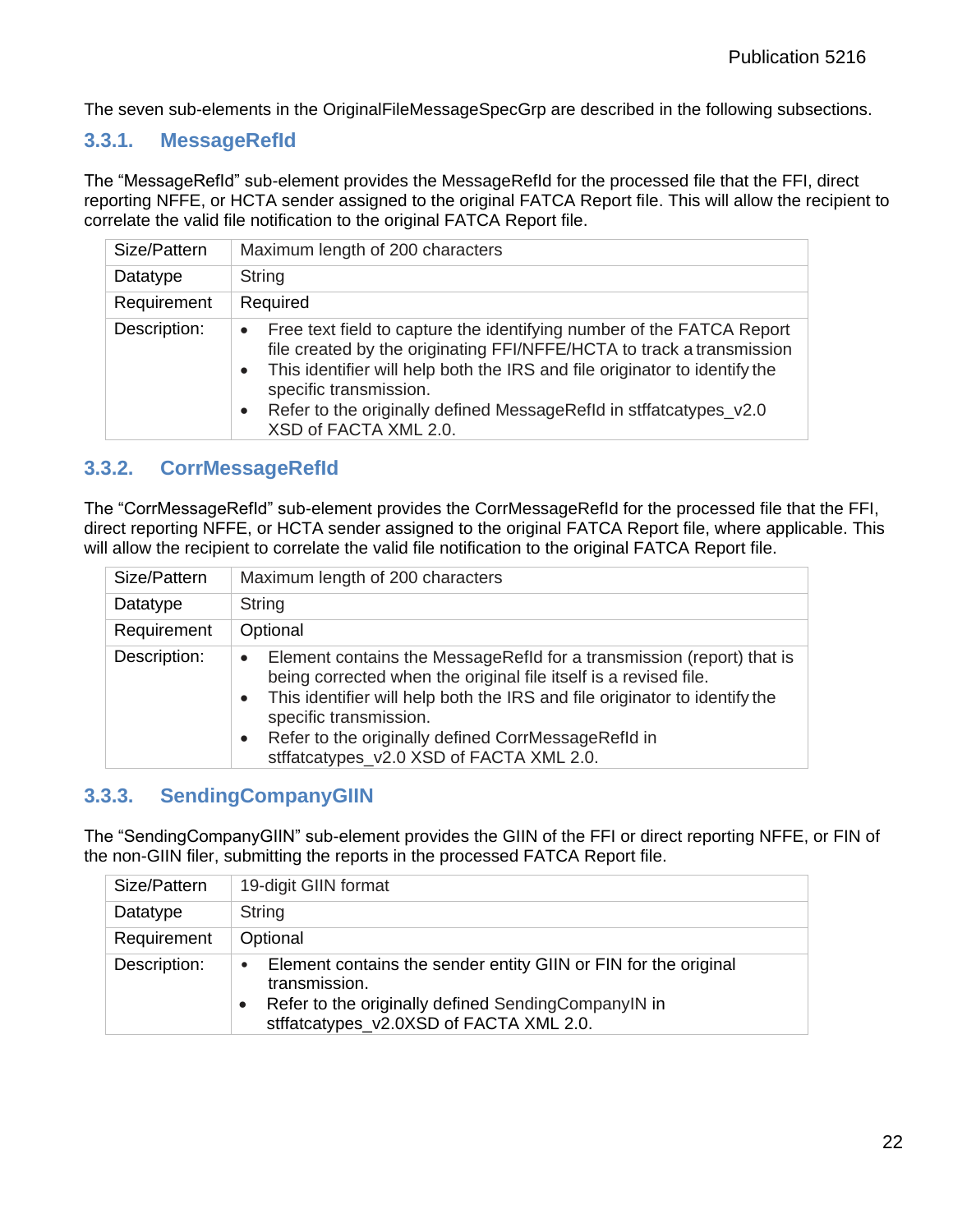The seven sub-elements in the OriginalFileMessageSpecGrp are described in the following subsections.

#### <span id="page-25-0"></span>**3.3.1. MessageRefId**

The "MessageRefId" sub-element provides the MessageRefId for the processed file that the FFI, direct reporting NFFE, or HCTA sender assigned to the original FATCA Report file. This will allow the recipient to correlate the valid file notification to the original FATCA Report file.

| Size/Pattern | Maximum length of 200 characters                                                                                                                                                                                                                                                                                                                                   |
|--------------|--------------------------------------------------------------------------------------------------------------------------------------------------------------------------------------------------------------------------------------------------------------------------------------------------------------------------------------------------------------------|
| Datatype     | String                                                                                                                                                                                                                                                                                                                                                             |
| Requirement  | Required                                                                                                                                                                                                                                                                                                                                                           |
| Description: | Free text field to capture the identifying number of the FATCA Report<br>$\bullet$<br>file created by the originating FFI/NFFE/HCTA to track a transmission<br>This identifier will help both the IRS and file originator to identify the<br>specific transmission.<br>Refer to the originally defined MessageRefld in stifatcatypes_v2.0<br>XSD of FACTA XML 2.0. |

#### <span id="page-25-1"></span>**3.3.2. CorrMessageRefId**

The "CorrMessageRefId" sub-element provides the CorrMessageRefId for the processed file that the FFI, direct reporting NFFE, or HCTA sender assigned to the original FATCA Report file, where applicable. This will allow the recipient to correlate the valid file notification to the original FATCA Report file.

| Size/Pattern | Maximum length of 200 characters                                                                                                                                                                                                                                                                                                                                                            |
|--------------|---------------------------------------------------------------------------------------------------------------------------------------------------------------------------------------------------------------------------------------------------------------------------------------------------------------------------------------------------------------------------------------------|
| Datatype     | String                                                                                                                                                                                                                                                                                                                                                                                      |
| Requirement  | Optional                                                                                                                                                                                                                                                                                                                                                                                    |
| Description: | Element contains the MessageRefld for a transmission (report) that is<br>$\bullet$<br>being corrected when the original file itself is a revised file.<br>This identifier will help both the IRS and file originator to identify the<br>$\bullet$<br>specific transmission.<br>Refer to the originally defined CorrMessageRefId in<br>$\bullet$<br>stffatcatypes_v2.0 XSD of FACTA XML 2.0. |

#### <span id="page-25-2"></span>**3.3.3. SendingCompanyGIIN**

The "SendingCompanyGIIN" sub-element provides the GIIN of the FFI or direct reporting NFFE, or FIN of the non-GIIN filer, submitting the reports in the processed FATCA Report file.

| Size/Pattern | 19-digit GIIN format                                                                                                                                                                            |
|--------------|-------------------------------------------------------------------------------------------------------------------------------------------------------------------------------------------------|
| Datatype     | <b>String</b>                                                                                                                                                                                   |
| Requirement  | Optional                                                                                                                                                                                        |
| Description: | Element contains the sender entity GIIN or FIN for the original<br>$\bullet$<br>transmission.<br>Refer to the originally defined SendingCompanyIN in<br>stffatcatypes_v2.0XSD of FACTA XML 2.0. |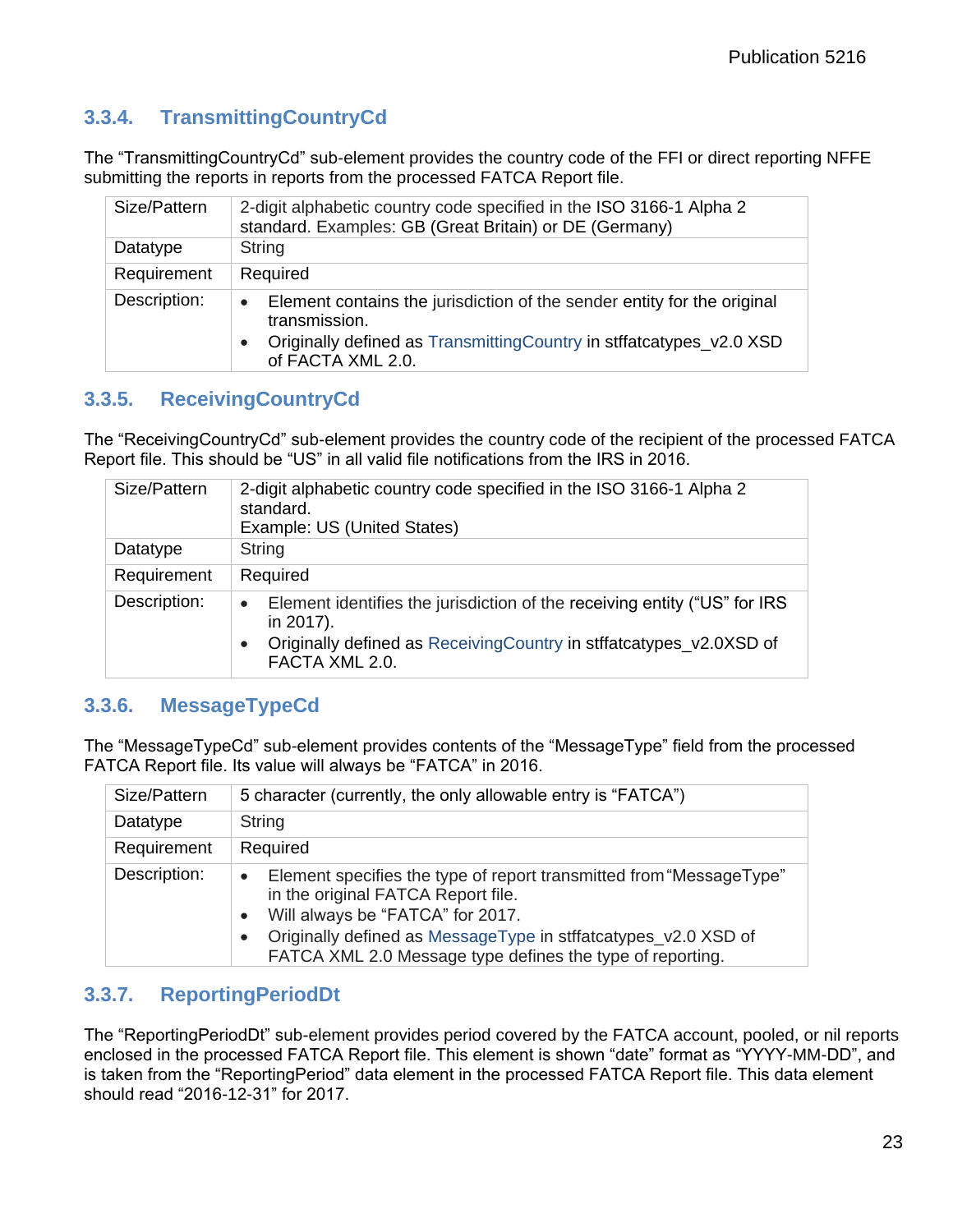# <span id="page-26-0"></span>**3.3.4. TransmittingCountryCd**

The "TransmittingCountryCd" sub-element provides the country code of the FFI or direct reporting NFFE submitting the reports in reports from the processed FATCA Report file.

| Size/Pattern | 2-digit alphabetic country code specified in the ISO 3166-1 Alpha 2<br>standard. Examples: GB (Great Britain) or DE (Germany)                                                                     |
|--------------|---------------------------------------------------------------------------------------------------------------------------------------------------------------------------------------------------|
| Datatype     | <b>String</b>                                                                                                                                                                                     |
| Requirement  | Required                                                                                                                                                                                          |
| Description: | Element contains the jurisdiction of the sender entity for the original<br>$\bullet$<br>transmission.<br>Originally defined as TransmittingCountry in stifatcatypes_v2.0 XSD<br>of FACTA XML 2.0. |

#### <span id="page-26-1"></span>**3.3.5. ReceivingCountryCd**

The "ReceivingCountryCd" sub-element provides the country code of the recipient of the processed FATCA Report file. This should be "US" in all valid file notifications from the IRS in 2016.

| Size/Pattern | 2-digit alphabetic country code specified in the ISO 3166-1 Alpha 2<br>standard.<br>Example: US (United States)                                                                              |
|--------------|----------------------------------------------------------------------------------------------------------------------------------------------------------------------------------------------|
| Datatype     | <b>String</b>                                                                                                                                                                                |
| Requirement  | Required                                                                                                                                                                                     |
| Description: | Element identifies the jurisdiction of the receiving entity ("US" for IRS<br>$\bullet$<br>in 2017).<br>Originally defined as Receiving Country in stifatcatypes_v2.0XSD of<br>FACTA XML 2.0. |

#### <span id="page-26-2"></span>**3.3.6. MessageTypeCd**

The "MessageTypeCd" sub-element provides contents of the "MessageType" field from the processed FATCA Report file. Its value will always be "FATCA" in 2016.

| Size/Pattern | 5 character (currently, the only allowable entry is "FATCA")                                                                                                                                                                                                                              |
|--------------|-------------------------------------------------------------------------------------------------------------------------------------------------------------------------------------------------------------------------------------------------------------------------------------------|
| Datatype     | String                                                                                                                                                                                                                                                                                    |
| Requirement  | Required                                                                                                                                                                                                                                                                                  |
| Description: | Element specifies the type of report transmitted from "MessageType"<br>$\bullet$<br>in the original FATCA Report file.<br>Will always be "FATCA" for 2017.<br>Originally defined as MessageType in stffatcatypes_v2.0 XSD of<br>FATCA XML 2.0 Message type defines the type of reporting. |

#### <span id="page-26-3"></span>**3.3.7. ReportingPeriodDt**

The "ReportingPeriodDt" sub-element provides period covered by the FATCA account, pooled, or nil reports enclosed in the processed FATCA Report file. This element is shown "date" format as "YYYY-MM-DD", and is taken from the "ReportingPeriod" data element in the processed FATCA Report file. This data element should read "2016-12-31" for 2017.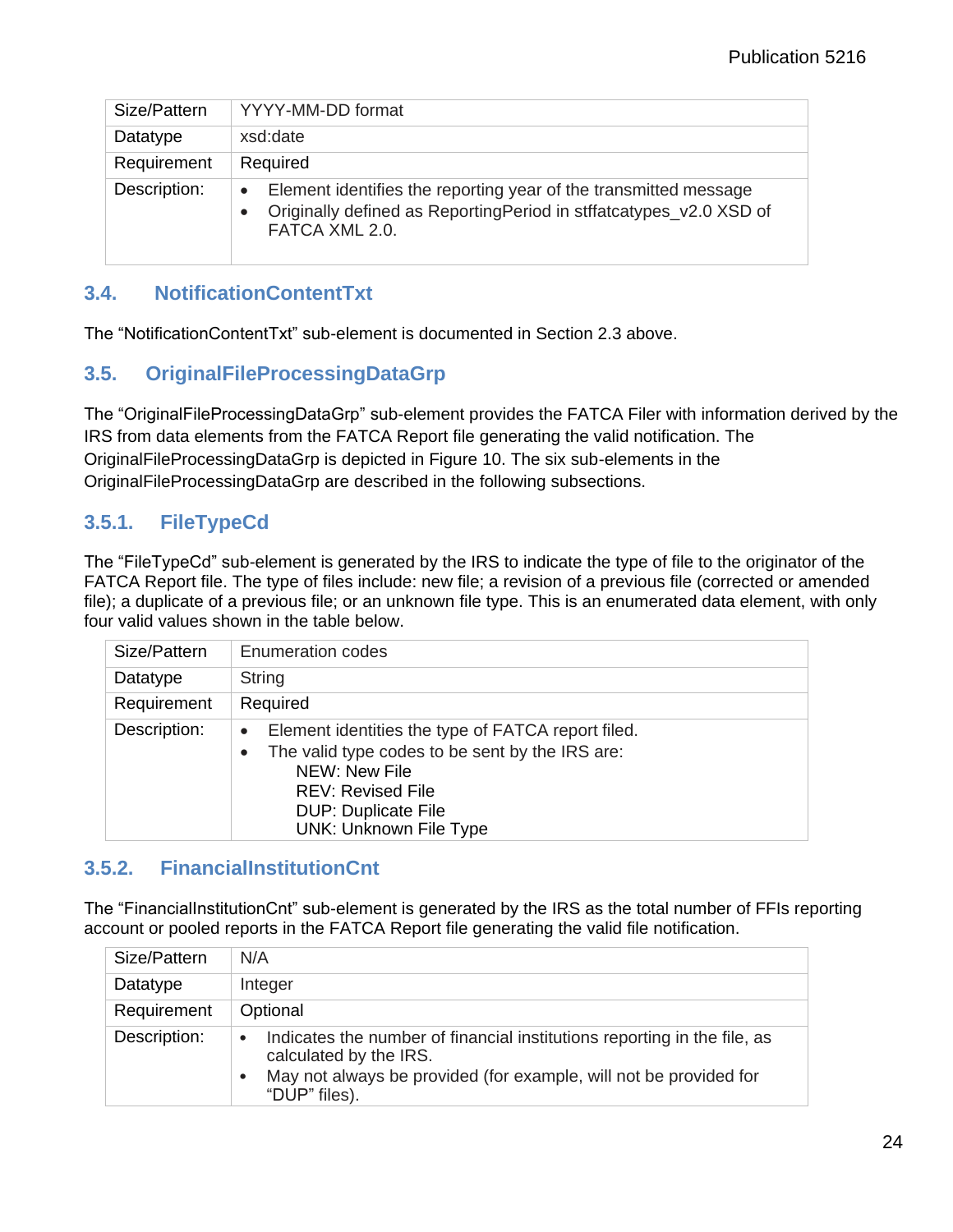| Size/Pattern | YYYY-MM-DD format                                                                                                                                                     |
|--------------|-----------------------------------------------------------------------------------------------------------------------------------------------------------------------|
| Datatype     | xsd:date                                                                                                                                                              |
| Requirement  | Required                                                                                                                                                              |
| Description: | Element identifies the reporting year of the transmitted message<br>$\bullet$<br>Originally defined as ReportingPeriod in stffatcatypes_v2.0 XSD of<br>FATCA XML 2.0. |

### <span id="page-27-0"></span>**3.4. NotificationContentTxt**

The "NotificationContentTxt" sub-element is documented in Section 2.3 above.

#### <span id="page-27-1"></span>**3.5. OriginalFileProcessingDataGrp**

The "OriginalFileProcessingDataGrp" sub-element provides the FATCA Filer with information derived by the IRS from data elements from the FATCA Report file generating the valid notification. The OriginalFileProcessingDataGrp is depicted in Figure 10. The six sub-elements in the OriginalFileProcessingDataGrp are described in the following subsections.

## <span id="page-27-2"></span>**3.5.1. FileTypeCd**

The "FileTypeCd" sub-element is generated by the IRS to indicate the type of file to the originator of the FATCA Report file. The type of files include: new file; a revision of a previous file (corrected or amended file); a duplicate of a previous file; or an unknown file type. This is an enumerated data element, with only four valid values shown in the table below.

| Size/Pattern | <b>Enumeration codes</b>                                                                                                                                                                                                                    |
|--------------|---------------------------------------------------------------------------------------------------------------------------------------------------------------------------------------------------------------------------------------------|
| Datatype     | <b>String</b>                                                                                                                                                                                                                               |
| Requirement  | Required                                                                                                                                                                                                                                    |
| Description: | Element identities the type of FATCA report filed.<br>$\bullet$<br>The valid type codes to be sent by the IRS are:<br>$\bullet$<br>NEW: New File<br><b>REV: Revised File</b><br><b>DUP: Duplicate File</b><br><b>UNK: Unknown File Type</b> |

#### <span id="page-27-3"></span>**3.5.2. FinancialInstitutionCnt**

The "FinancialInstitutionCnt" sub-element is generated by the IRS as the total number of FFIs reporting account or pooled reports in the FATCA Report file generating the valid file notification.

| Size/Pattern | N/A                                                                                                                                                                                                                |
|--------------|--------------------------------------------------------------------------------------------------------------------------------------------------------------------------------------------------------------------|
| Datatype     | Integer                                                                                                                                                                                                            |
| Requirement  | Optional                                                                                                                                                                                                           |
| Description: | Indicates the number of financial institutions reporting in the file, as<br>$\bullet$<br>calculated by the IRS.<br>May not always be provided (for example, will not be provided for<br>$\bullet$<br>"DUP" files). |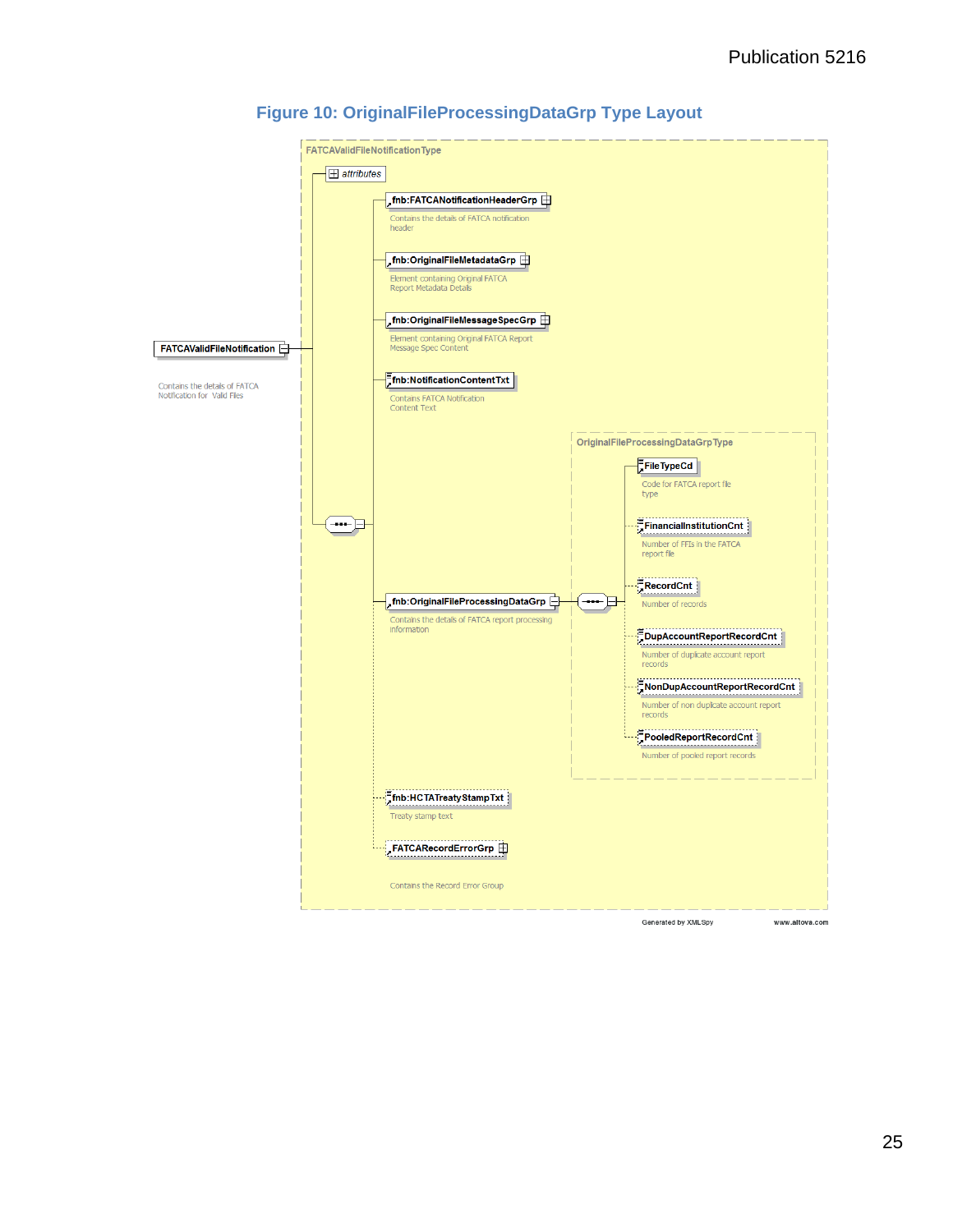

#### **Figure 10: OriginalFileProcessingDataGrp Type Layout**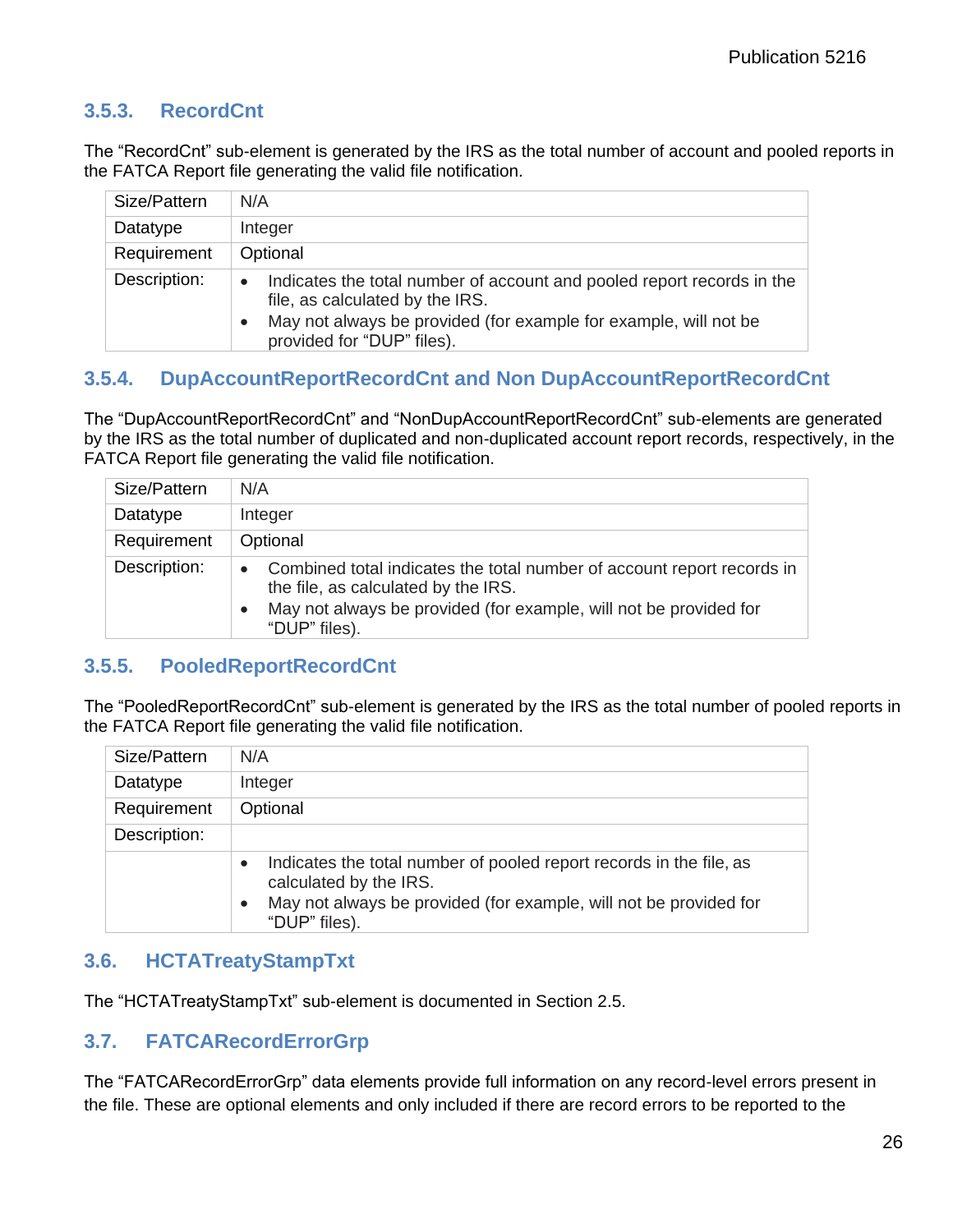#### <span id="page-29-0"></span>**3.5.3. RecordCnt**

The "RecordCnt" sub-element is generated by the IRS as the total number of account and pooled reports in the FATCA Report file generating the valid file notification.

| Size/Pattern | N/A                                                                                                                                                                                                                      |
|--------------|--------------------------------------------------------------------------------------------------------------------------------------------------------------------------------------------------------------------------|
| Datatype     | Integer                                                                                                                                                                                                                  |
| Requirement  | Optional                                                                                                                                                                                                                 |
| Description: | Indicates the total number of account and pooled report records in the<br>$\bullet$<br>file, as calculated by the IRS.<br>May not always be provided (for example for example, will not be<br>provided for "DUP" files). |

#### <span id="page-29-1"></span>**3.5.4. DupAccountReportRecordCnt and Non DupAccountReportRecordCnt**

The "DupAccountReportRecordCnt" and "NonDupAccountReportRecordCnt" sub-elements are generated by the IRS as the total number of duplicated and non-duplicated account report records, respectively, in the FATCA Report file generating the valid file notification.

| Size/Pattern | N/A                                                                                                                                                                                                              |
|--------------|------------------------------------------------------------------------------------------------------------------------------------------------------------------------------------------------------------------|
| Datatype     | Integer                                                                                                                                                                                                          |
| Requirement  | Optional                                                                                                                                                                                                         |
| Description: | Combined total indicates the total number of account report records in<br>$\bullet$<br>the file, as calculated by the IRS.<br>May not always be provided (for example, will not be provided for<br>"DUP" files). |

#### <span id="page-29-2"></span>**3.5.5. PooledReportRecordCnt**

The "PooledReportRecordCnt" sub-element is generated by the IRS as the total number of pooled reports in the FATCA Report file generating the valid file notification.

| Size/Pattern | N/A                                                                                                                                                                                                           |
|--------------|---------------------------------------------------------------------------------------------------------------------------------------------------------------------------------------------------------------|
| Datatype     | Integer                                                                                                                                                                                                       |
| Requirement  | Optional                                                                                                                                                                                                      |
| Description: |                                                                                                                                                                                                               |
|              | Indicates the total number of pooled report records in the file, as<br>$\bullet$<br>calculated by the IRS.<br>May not always be provided (for example, will not be provided for<br>$\bullet$<br>"DUP" files). |

#### <span id="page-29-3"></span>**3.6. HCTATreatyStampTxt**

The "HCTATreatyStampTxt" sub-element is documented in Section 2.5.

#### <span id="page-29-4"></span>**3.7. FATCARecordErrorGrp**

The "FATCARecordErrorGrp" data elements provide full information on any record-level errors present in the file. These are optional elements and only included if there are record errors to be reported to the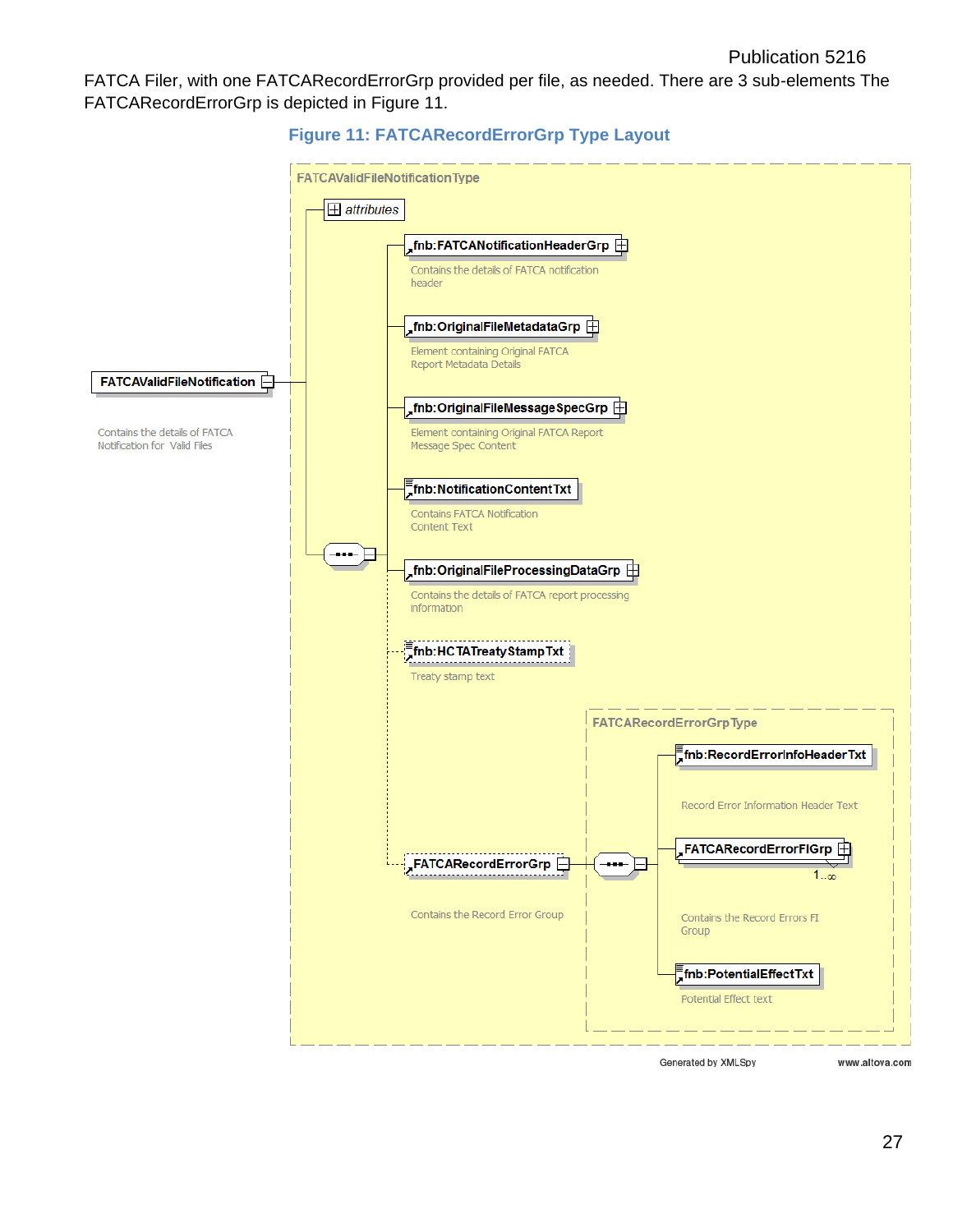FATCA Filer, with one FATCARecordErrorGrp provided per file, as needed. There are 3 sub-elements The FATCARecordErrorGrp is depicted in Figure 11.



**Figure 11: FATCARecordErrorGrp Type Layout**

Generated by XMLSpy

www.altova.com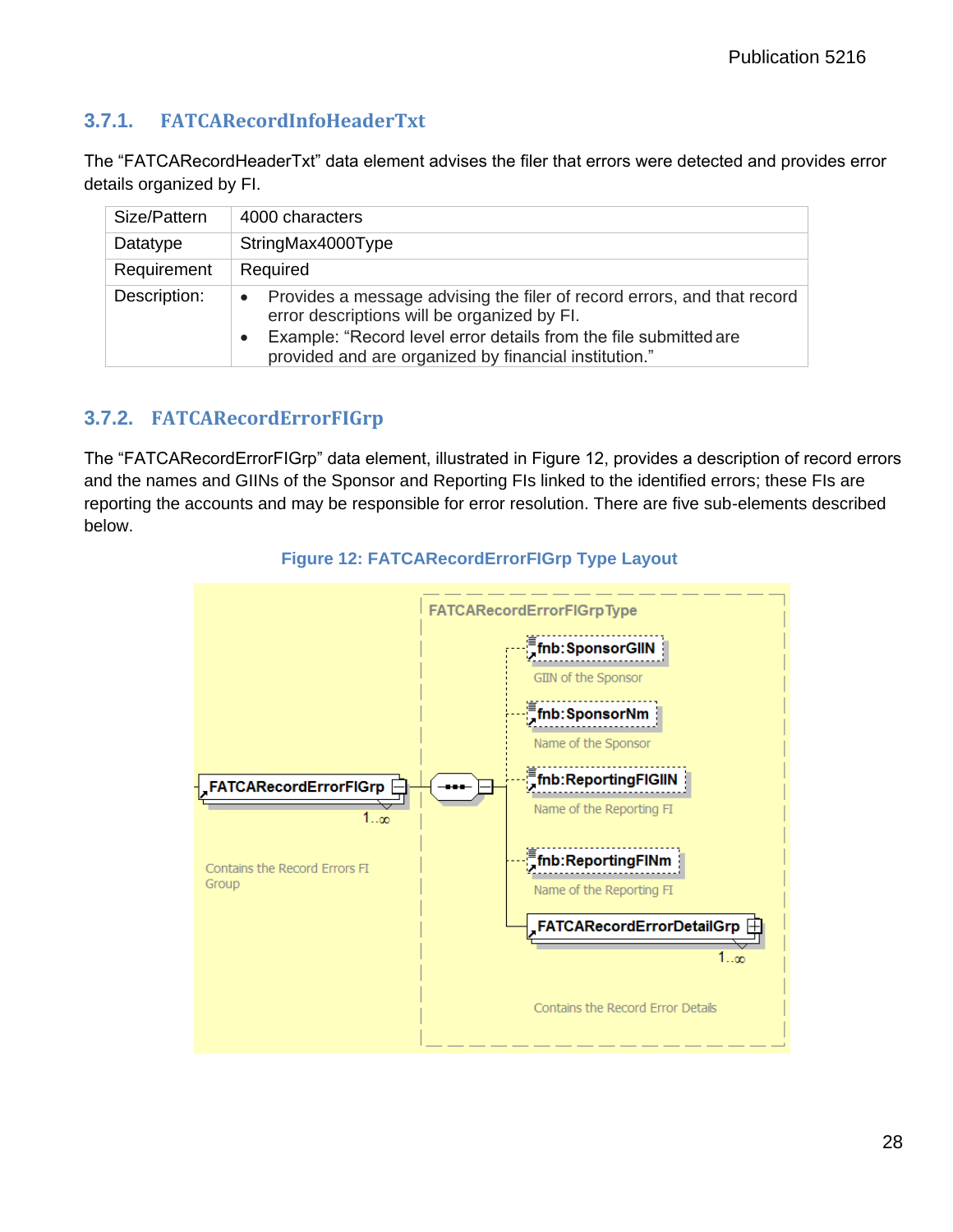### <span id="page-31-0"></span>**3.7.1. FATCARecordInfoHeaderTxt**

The "FATCARecordHeaderTxt" data element advises the filer that errors were detected and provides error details organized by FI.

| Size/Pattern | 4000 characters                                                                                                                                                                                                                                     |
|--------------|-----------------------------------------------------------------------------------------------------------------------------------------------------------------------------------------------------------------------------------------------------|
| Datatype     | StringMax4000Type                                                                                                                                                                                                                                   |
| Requirement  | Required                                                                                                                                                                                                                                            |
| Description: | Provides a message advising the filer of record errors, and that record<br>error descriptions will be organized by FI.<br>Example: "Record level error details from the file submitted are<br>provided and are organized by financial institution." |

## <span id="page-31-1"></span>**3.7.2. FATCARecordErrorFIGrp**

The "FATCARecordErrorFIGrp" data element, illustrated in Figure 12, provides a description of record errors and the names and GIINs of the Sponsor and Reporting FIs linked to the identified errors; these FIs are reporting the accounts and may be responsible for error resolution. There are five sub-elements described below.



**Figure 12: FATCARecordErrorFIGrp Type Layout**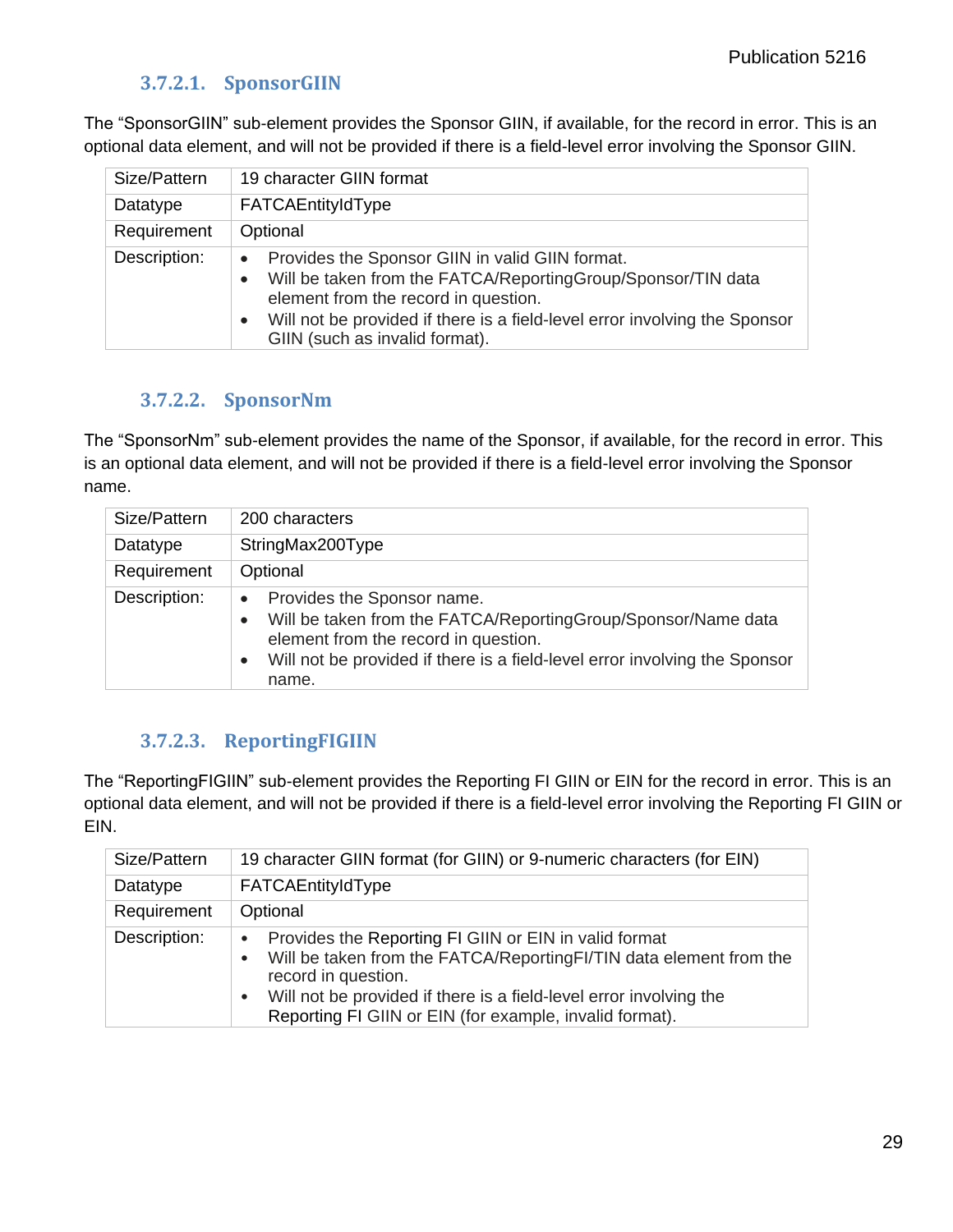#### **3.7.2.1. SponsorGIIN**

<span id="page-32-0"></span>The "SponsorGIIN" sub-element provides the Sponsor GIIN, if available, for the record in error. This is an optional data element, and will not be provided if there is a field-level error involving the Sponsor GIIN.

| Size/Pattern | 19 character GIIN format                                                                                                                                                                                                                                                |
|--------------|-------------------------------------------------------------------------------------------------------------------------------------------------------------------------------------------------------------------------------------------------------------------------|
| Datatype     | FATCAEntityIdType                                                                                                                                                                                                                                                       |
| Requirement  | Optional                                                                                                                                                                                                                                                                |
| Description: | Provides the Sponsor GIIN in valid GIIN format.<br>Will be taken from the FATCA/ReportingGroup/Sponsor/TIN data<br>element from the record in question.<br>Will not be provided if there is a field-level error involving the Sponsor<br>GIIN (such as invalid format). |

#### **3.7.2.2. SponsorNm**

<span id="page-32-1"></span>The "SponsorNm" sub-element provides the name of the Sponsor, if available, for the record in error. This is an optional data element, and will not be provided if there is a field-level error involving the Sponsor name.

| Size/Pattern | 200 characters                                                                                                                                                                                                                                                    |
|--------------|-------------------------------------------------------------------------------------------------------------------------------------------------------------------------------------------------------------------------------------------------------------------|
| Datatype     | StringMax200Type                                                                                                                                                                                                                                                  |
| Requirement  | Optional                                                                                                                                                                                                                                                          |
| Description: | Provides the Sponsor name.<br>$\bullet$<br>Will be taken from the FATCA/ReportingGroup/Sponsor/Name data<br>$\bullet$<br>element from the record in question.<br>Will not be provided if there is a field-level error involving the Sponsor<br>$\bullet$<br>name. |

#### **3.7.2.3. ReportingFIGIIN**

<span id="page-32-2"></span>The "ReportingFIGIIN" sub-element provides the Reporting FI GIIN or EIN for the record in error. This is an optional data element, and will not be provided if there is a field-level error involving the Reporting FI GIIN or EIN.

| Size/Pattern | 19 character GIIN format (for GIIN) or 9-numeric characters (for EIN)                                                                                                                                                                                                                            |
|--------------|--------------------------------------------------------------------------------------------------------------------------------------------------------------------------------------------------------------------------------------------------------------------------------------------------|
| Datatype     | FATCAEntityIdType                                                                                                                                                                                                                                                                                |
| Requirement  | Optional                                                                                                                                                                                                                                                                                         |
| Description: | Provides the Reporting FI GIIN or EIN in valid format<br>Will be taken from the FATCA/ReportingFI/TIN data element from the<br>record in question.<br>Will not be provided if there is a field-level error involving the<br>$\bullet$<br>Reporting FI GIIN or EIN (for example, invalid format). |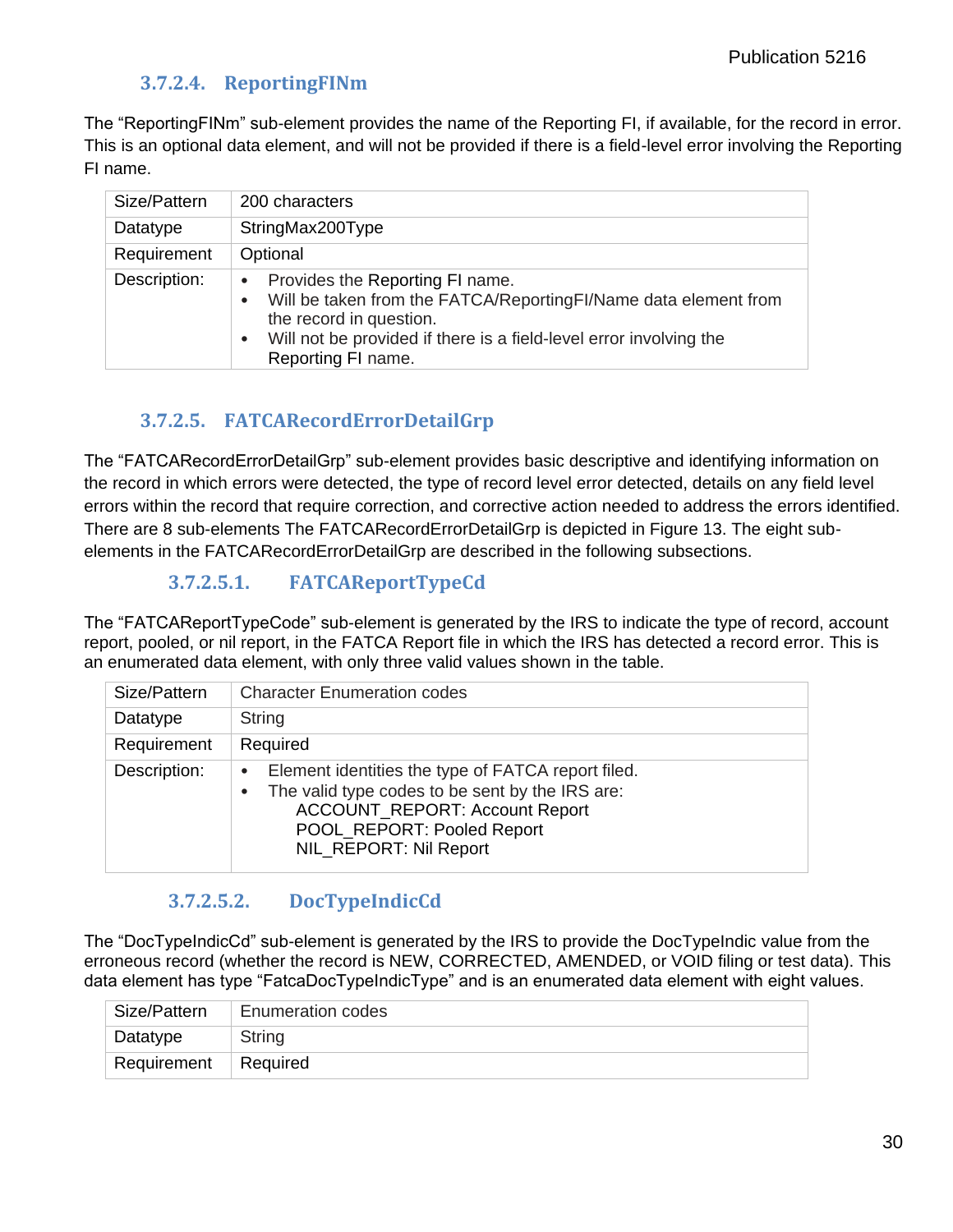#### **3.7.2.4. ReportingFINm**

<span id="page-33-0"></span>The "ReportingFINm" sub-element provides the name of the Reporting FI, if available, for the record in error. This is an optional data element, and will not be provided if there is a field-level error involving the Reporting FI name.

| Size/Pattern | 200 characters                                                                                                                                                                                                                         |
|--------------|----------------------------------------------------------------------------------------------------------------------------------------------------------------------------------------------------------------------------------------|
| Datatype     | StringMax200Type                                                                                                                                                                                                                       |
| Requirement  | Optional                                                                                                                                                                                                                               |
| Description: | Provides the Reporting FI name.<br>$\bullet$<br>Will be taken from the FATCA/ReportingFI/Name data element from<br>the record in question.<br>Will not be provided if there is a field-level error involving the<br>Reporting FI name. |

#### **3.7.2.5. FATCARecordErrorDetailGrp**

<span id="page-33-1"></span>The "FATCARecordErrorDetailGrp" sub-element provides basic descriptive and identifying information on the record in which errors were detected, the type of record level error detected, details on any field level errors within the record that require correction, and corrective action needed to address the errors identified. There are 8 sub-elements The FATCARecordErrorDetailGrp is depicted in Figure 13. The eight subelements in the FATCARecordErrorDetailGrp are described in the following subsections.

#### **3.7.2.5.1. FATCAReportTypeCd**

<span id="page-33-2"></span>The "FATCAReportTypeCode" sub-element is generated by the IRS to indicate the type of record, account report, pooled, or nil report, in the FATCA Report file in which the IRS has detected a record error. This is an enumerated data element, with only three valid values shown in the table.

| Size/Pattern | <b>Character Enumeration codes</b>                                                                                                                                                                                  |
|--------------|---------------------------------------------------------------------------------------------------------------------------------------------------------------------------------------------------------------------|
| Datatype     | String                                                                                                                                                                                                              |
| Requirement  | Required                                                                                                                                                                                                            |
| Description: | Element identities the type of FATCA report filed.<br>$\bullet$<br>The valid type codes to be sent by the IRS are:<br><b>ACCOUNT_REPORT: Account Report</b><br>POOL_REPORT: Pooled Report<br>NIL REPORT: Nil Report |

#### **3.7.2.5.2. DocTypeIndicCd**

<span id="page-33-3"></span>The "DocTypeIndicCd" sub-element is generated by the IRS to provide the DocTypeIndic value from the erroneous record (whether the record is NEW, CORRECTED, AMENDED, or VOID filing or test data). This data element has type "FatcaDocTypeIndicType" and is an enumerated data element with eight values.

| Size/Pattern | <b>Enumeration codes</b> |
|--------------|--------------------------|
| Datatype     | String                   |
| Requirement  | Required                 |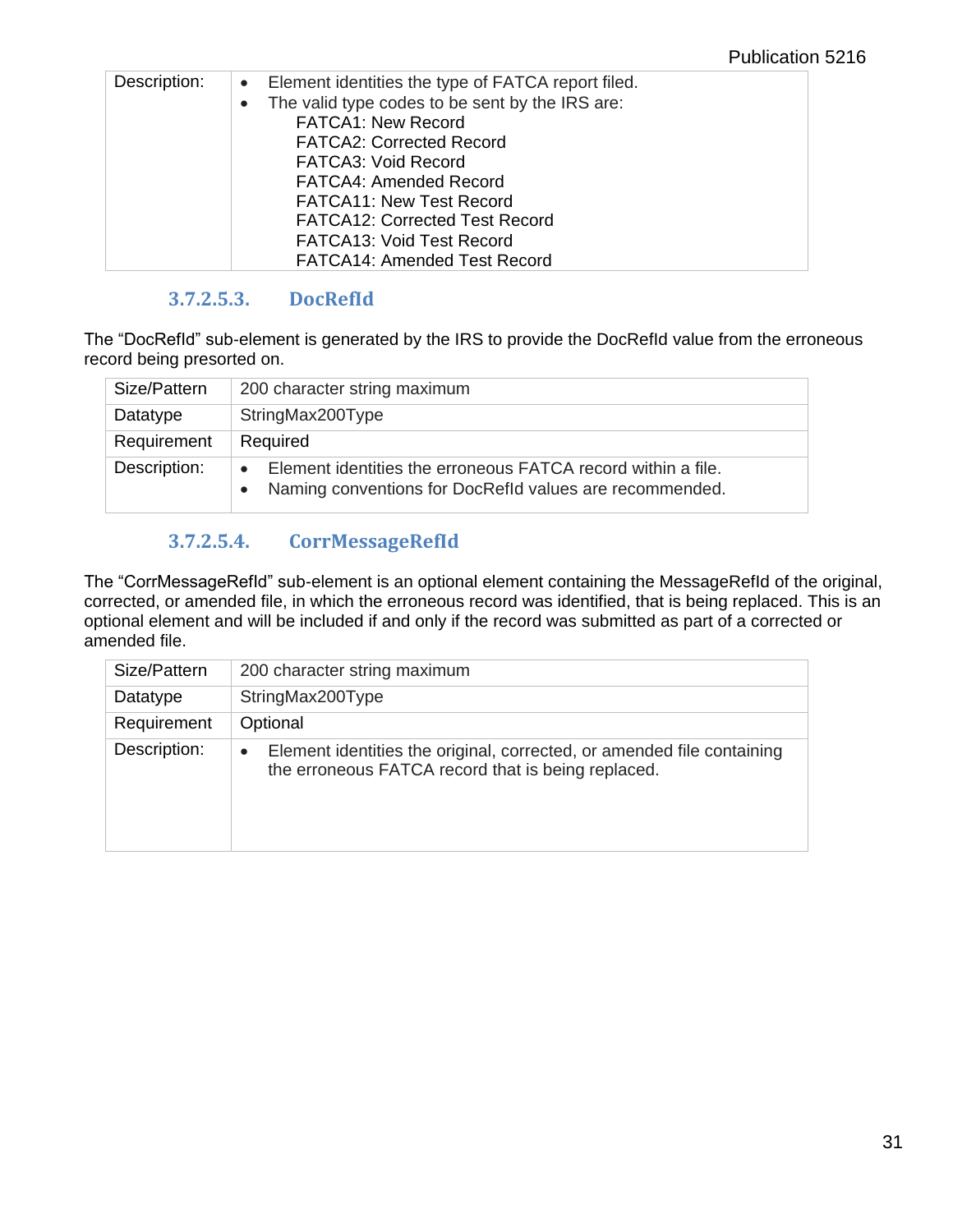| Description: | • Element identities the type of FATCA report filed.         |
|--------------|--------------------------------------------------------------|
|              | The valid type codes to be sent by the IRS are:<br>$\bullet$ |
|              | <b>FATCA1: New Record</b>                                    |
|              | <b>FATCA2: Corrected Record</b>                              |
|              | <b>FATCA3: Void Record</b>                                   |
|              | <b>FATCA4: Amended Record</b>                                |
|              | <b>FATCA11: New Test Record</b>                              |
|              | <b>FATCA12: Corrected Test Record</b>                        |
|              | <b>FATCA13: Void Test Record</b>                             |
|              | <b>FATCA14: Amended Test Record</b>                          |

#### **3.7.2.5.3. DocRefId**

<span id="page-34-0"></span>The "DocRefId" sub-element is generated by the IRS to provide the DocRefId value from the erroneous record being presorted on.

| Size/Pattern | 200 character string maximum                                                                                                         |
|--------------|--------------------------------------------------------------------------------------------------------------------------------------|
| Datatype     | StringMax200Type                                                                                                                     |
| Requirement  | Required                                                                                                                             |
| Description: | Element identities the erroneous FATCA record within a file.<br>$\bullet$<br>Naming conventions for DocRefld values are recommended. |

## **3.7.2.5.4. CorrMessageRefId**

<span id="page-34-1"></span>The "CorrMessageRefId" sub-element is an optional element containing the MessageRefId of the original, corrected, or amended file, in which the erroneous record was identified, that is being replaced. This is an optional element and will be included if and only if the record was submitted as part of a corrected or amended file.

| Size/Pattern | 200 character string maximum                                                                                                              |
|--------------|-------------------------------------------------------------------------------------------------------------------------------------------|
| Datatype     | StringMax200Type                                                                                                                          |
| Requirement  | Optional                                                                                                                                  |
| Description: | Element identities the original, corrected, or amended file containing<br>$\bullet$<br>the erroneous FATCA record that is being replaced. |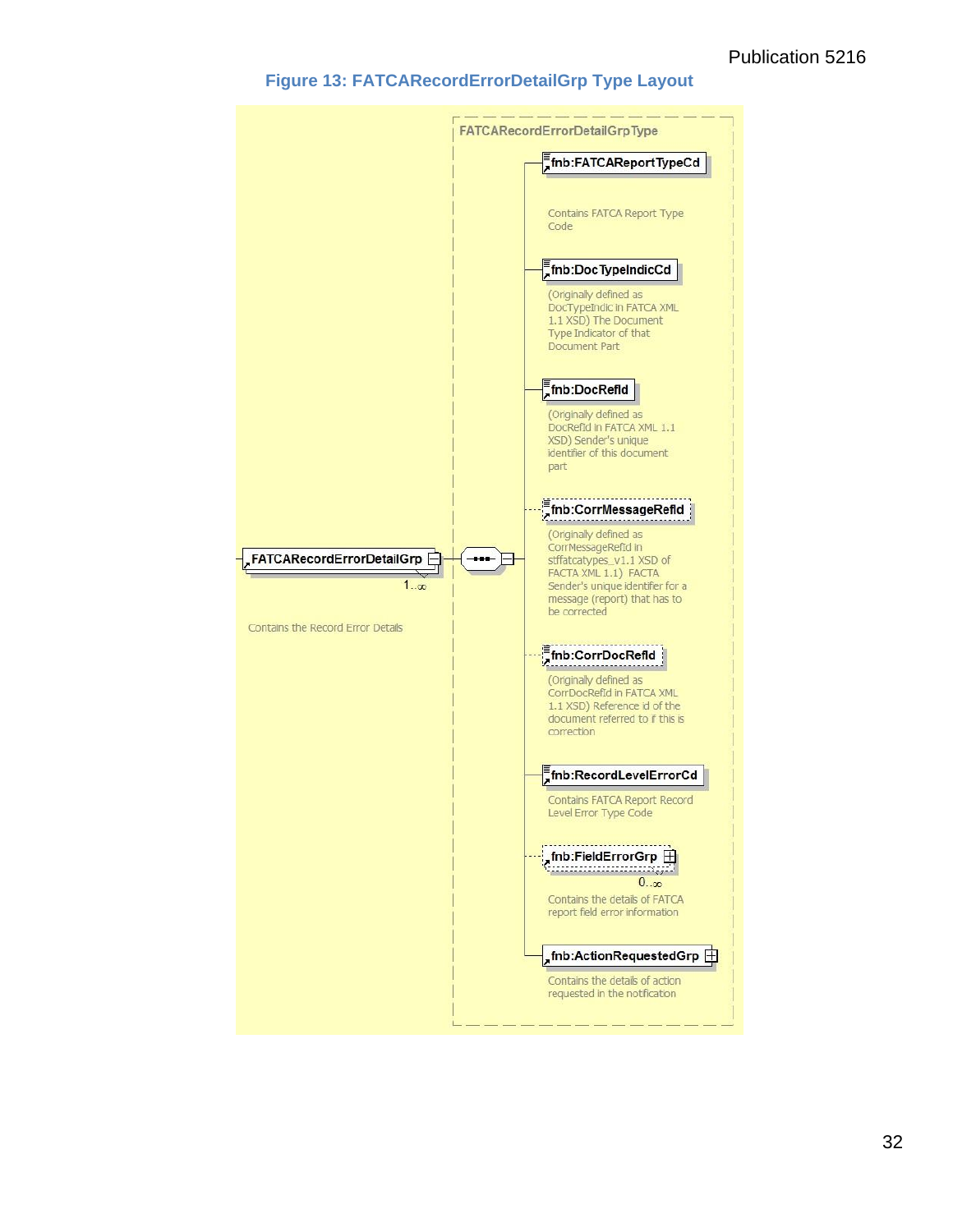#### **Figure 13: FATCARecordErrorDetailGrp Type Layout**

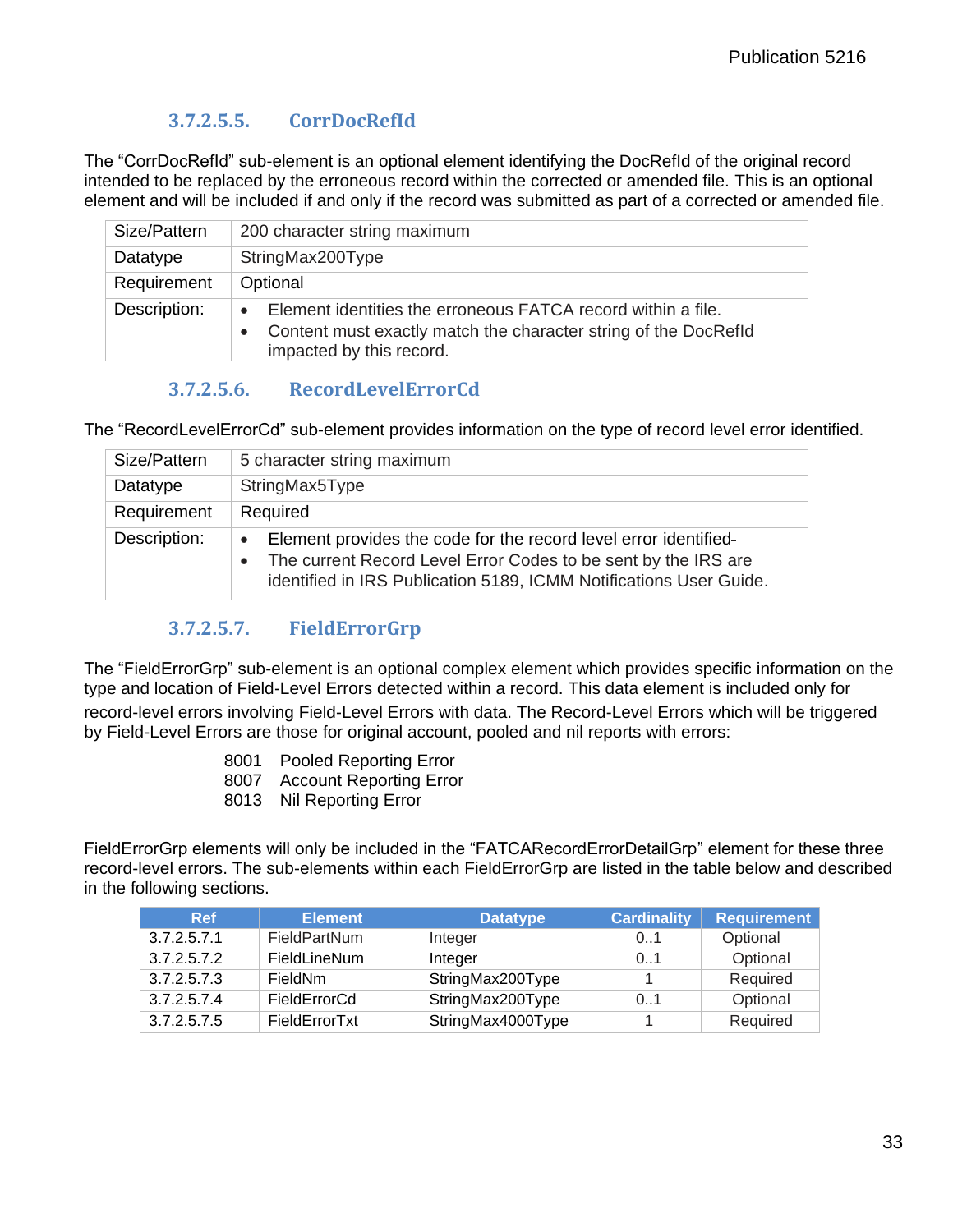#### **3.7.2.5.5. CorrDocRefId**

<span id="page-36-0"></span>The "CorrDocRefId" sub-element is an optional element identifying the DocRefId of the original record intended to be replaced by the erroneous record within the corrected or amended file. This is an optional element and will be included if and only if the record was submitted as part of a corrected or amended file.

| Size/Pattern | 200 character string maximum                                                                                                                                                          |
|--------------|---------------------------------------------------------------------------------------------------------------------------------------------------------------------------------------|
| Datatype     | StringMax200Type                                                                                                                                                                      |
| Requirement  | Optional                                                                                                                                                                              |
| Description: | Element identities the erroneous FATCA record within a file.<br>$\bullet$<br>Content must exactly match the character string of the DocRefld<br>$\bullet$<br>impacted by this record. |

#### **3.7.2.5.6. RecordLevelErrorCd**

<span id="page-36-1"></span>The "RecordLevelErrorCd" sub-element provides information on the type of record level error identified.

| Size/Pattern | 5 character string maximum                                                                                                                                                                                                         |
|--------------|------------------------------------------------------------------------------------------------------------------------------------------------------------------------------------------------------------------------------------|
| Datatype     | StringMax5Type                                                                                                                                                                                                                     |
| Requirement  | Required                                                                                                                                                                                                                           |
| Description: | Element provides the code for the record level error identified-<br>$\bullet$<br>The current Record Level Error Codes to be sent by the IRS are<br>$\bullet$<br>identified in IRS Publication 5189, ICMM Notifications User Guide. |

#### **3.7.2.5.7. FieldErrorGrp**

<span id="page-36-2"></span>The "FieldErrorGrp" sub-element is an optional complex element which provides specific information on the type and location of Field-Level Errors detected within a record. This data element is included only for record-level errors involving Field-Level Errors with data. The Record-Level Errors which will be triggered by Field-Level Errors are those for original account, pooled and nil reports with errors:

- 8001 Pooled Reporting Error
- 8007 Account Reporting Error
- 8013 Nil Reporting Error

FieldErrorGrp elements will only be included in the "FATCARecordErrorDetailGrp" element for these three record-level errors. The sub-elements within each FieldErrorGrp are listed in the table below and described in the following sections.

<span id="page-36-3"></span>

| <b>Ref</b>  | <b>Element</b> | <b>Datatype</b>   | <b>Cardinality</b> | <b>Requirement</b> |
|-------------|----------------|-------------------|--------------------|--------------------|
| 3.7.2.5.7.1 | FieldPartNum   | Integer           | 0.1                | Optional           |
| 3.7.2.5.7.2 | FieldLineNum   | Integer           | 0.1                | Optional           |
| 3.7.2.5.7.3 | FieldNm        | StringMax200Type  |                    | Required           |
| 3.7.2.5.7.4 | FieldErrorCd   | StringMax200Type  | 0.1                | Optional           |
| 3.7.2.5.7.5 | FieldErrorTxt  | StringMax4000Type |                    | Required           |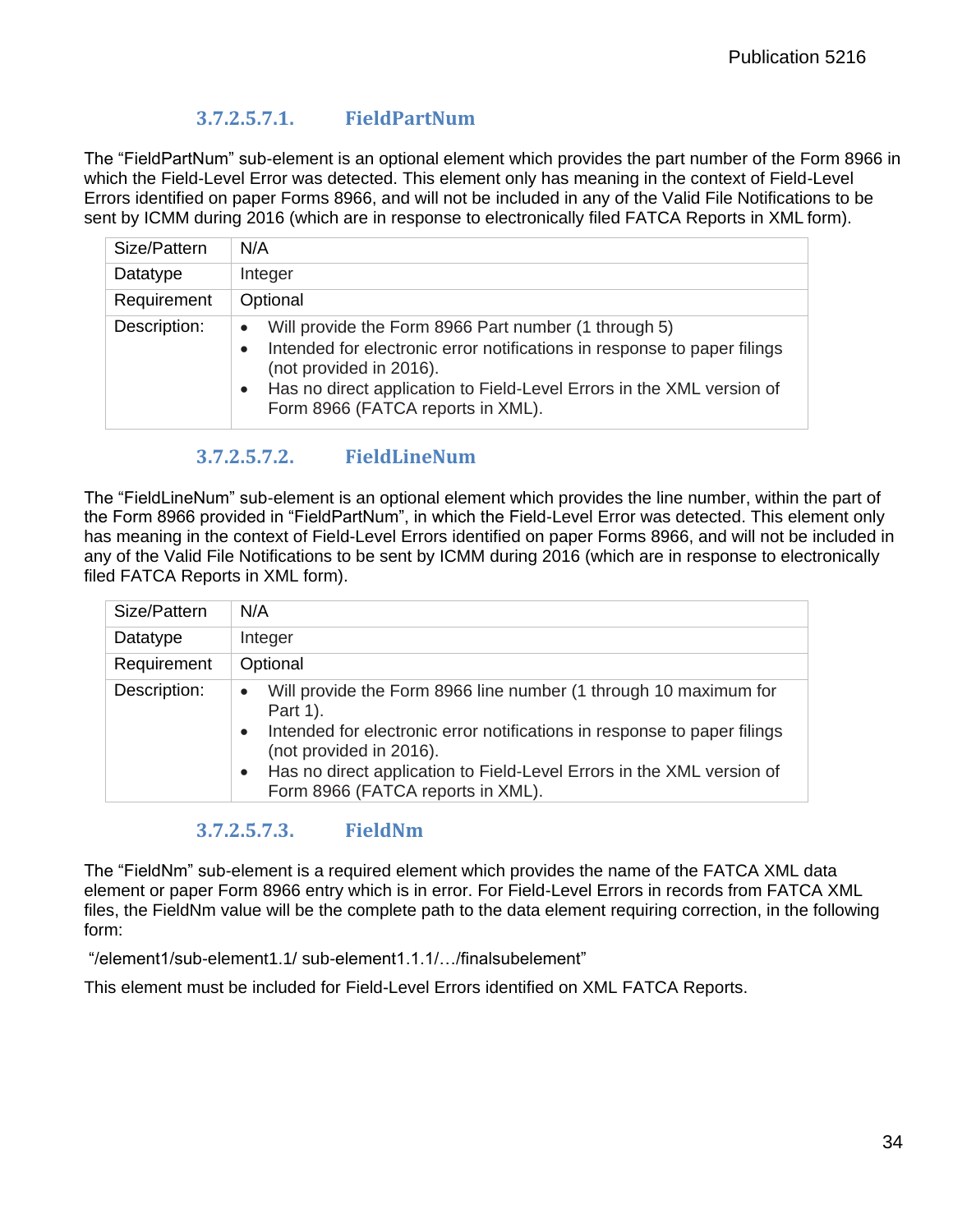#### **3.7.2.5.7.1. FieldPartNum**

The "FieldPartNum" sub-element is an optional element which provides the part number of the Form 8966 in which the Field-Level Error was detected. This element only has meaning in the context of Field-Level Errors identified on paper Forms 8966, and will not be included in any of the Valid File Notifications to be sent by ICMM during 2016 (which are in response to electronically filed FATCA Reports in XML form).

| Size/Pattern | N/A                                                                                                                                                                                                                                                                                    |  |
|--------------|----------------------------------------------------------------------------------------------------------------------------------------------------------------------------------------------------------------------------------------------------------------------------------------|--|
| Datatype     | Integer                                                                                                                                                                                                                                                                                |  |
| Requirement  | Optional                                                                                                                                                                                                                                                                               |  |
| Description: | Will provide the Form 8966 Part number (1 through 5)<br>$\bullet$<br>Intended for electronic error notifications in response to paper filings<br>(not provided in 2016).<br>Has no direct application to Field-Level Errors in the XML version of<br>Form 8966 (FATCA reports in XML). |  |

#### **3.7.2.5.7.2. FieldLineNum**

<span id="page-37-0"></span>The "FieldLineNum" sub-element is an optional element which provides the line number, within the part of the Form 8966 provided in "FieldPartNum", in which the Field-Level Error was detected. This element only has meaning in the context of Field-Level Errors identified on paper Forms 8966, and will not be included in any of the Valid File Notifications to be sent by ICMM during 2016 (which are in response to electronically filed FATCA Reports in XML form).

| Size/Pattern | N/A                                                                                                              |  |
|--------------|------------------------------------------------------------------------------------------------------------------|--|
| Datatype     | Integer                                                                                                          |  |
| Requirement  | Optional                                                                                                         |  |
| Description: | Will provide the Form 8966 line number (1 through 10 maximum for<br>$\bullet$<br>Part 1).                        |  |
|              | Intended for electronic error notifications in response to paper filings<br>$\bullet$<br>(not provided in 2016). |  |
|              | Has no direct application to Field-Level Errors in the XML version of<br>Form 8966 (FATCA reports in XML).       |  |

#### **3.7.2.5.7.3. FieldNm**

The "FieldNm" sub-element is a required element which provides the name of the FATCA XML data element or paper Form 8966 entry which is in error. For Field-Level Errors in records from FATCA XML files, the FieldNm value will be the complete path to the data element requiring correction, in the following form:

"/element1/sub-element1.1/ sub-element1.1.1/…/finalsubelement"

This element must be included for Field-Level Errors identified on XML FATCA Reports.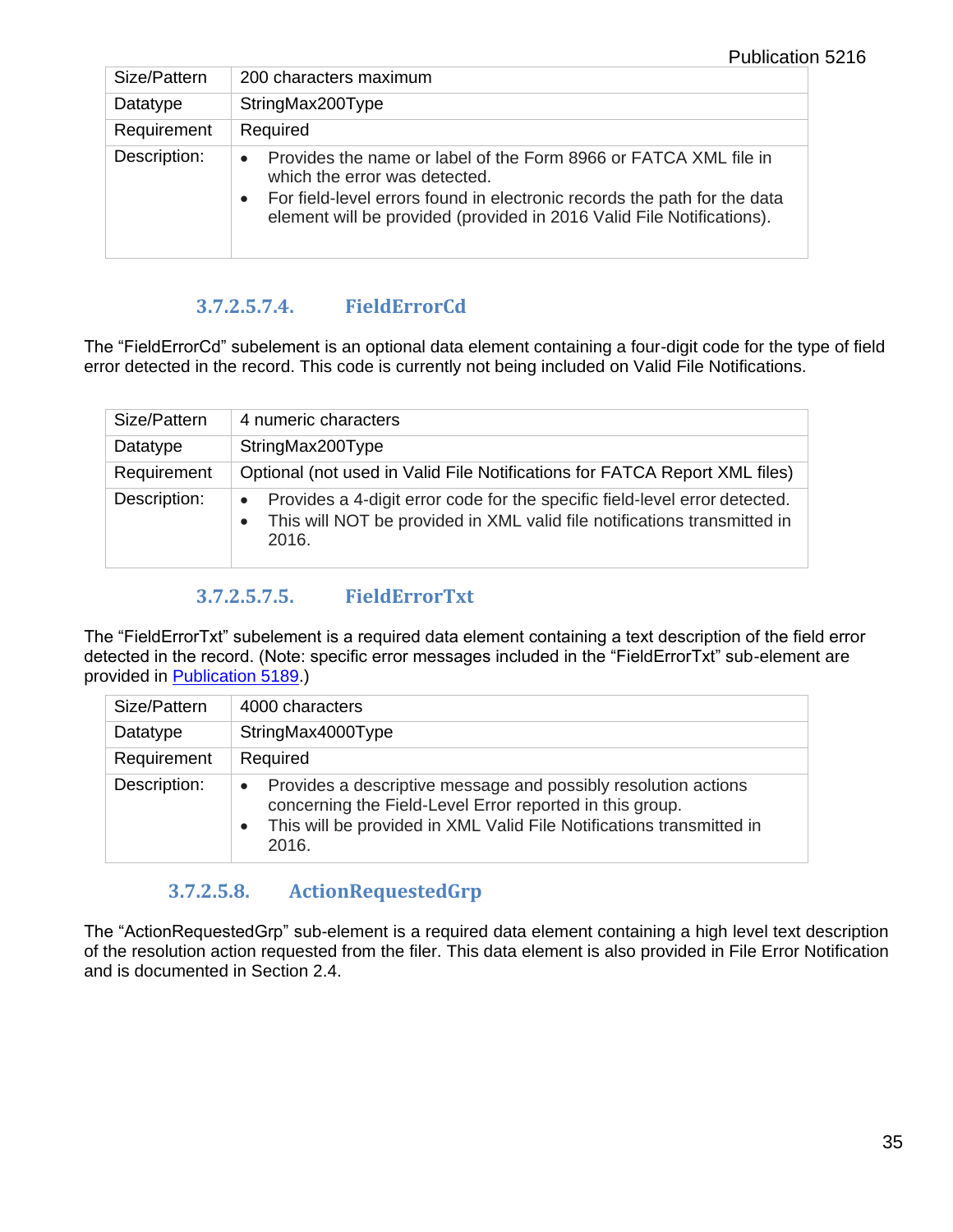| Size/Pattern | 200 characters maximum                                                                                                                                                                                                                                                           |  |
|--------------|----------------------------------------------------------------------------------------------------------------------------------------------------------------------------------------------------------------------------------------------------------------------------------|--|
| Datatype     | StringMax200Type                                                                                                                                                                                                                                                                 |  |
| Requirement  | Required                                                                                                                                                                                                                                                                         |  |
| Description: | Provides the name or label of the Form 8966 or FATCA XML file in<br>$\bullet$<br>which the error was detected.<br>For field-level errors found in electronic records the path for the data<br>$\bullet$<br>element will be provided (provided in 2016 Valid File Notifications). |  |

#### **3.7.2.5.7.4. FieldErrorCd**

<span id="page-38-0"></span>The "FieldErrorCd" subelement is an optional data element containing a four-digit code for the type of field error detected in the record. This code is currently not being included on Valid File Notifications.

| Size/Pattern | 4 numeric characters                                                                                                                                            |
|--------------|-----------------------------------------------------------------------------------------------------------------------------------------------------------------|
| Datatype     | StringMax200Type                                                                                                                                                |
| Requirement  | Optional (not used in Valid File Notifications for FATCA Report XML files)                                                                                      |
| Description: | Provides a 4-digit error code for the specific field-level error detected.<br>This will NOT be provided in XML valid file notifications transmitted in<br>2016. |

#### **3.7.2.5.7.5. FieldErrorTxt**

<span id="page-38-1"></span>The "FieldErrorTxt" subelement is a required data element containing a text description of the field error detected in the record. (Note: specific error messages included in the "FieldErrorTxt" sub-element are provided in [Publication 5189.](http://www.irs.gov/Businesses/Corporations/FATCA-XML-Schemas-and-Business-Rules-for-Form-8966))

| Size/Pattern | 4000 characters                                                                                                                                                                                                          |
|--------------|--------------------------------------------------------------------------------------------------------------------------------------------------------------------------------------------------------------------------|
| Datatype     | StringMax4000Type                                                                                                                                                                                                        |
| Requirement  | Required                                                                                                                                                                                                                 |
| Description: | Provides a descriptive message and possibly resolution actions<br>$\bullet$<br>concerning the Field-Level Error reported in this group.<br>This will be provided in XML Valid File Notifications transmitted in<br>2016. |

#### **3.7.2.5.8. ActionRequestedGrp**

<span id="page-38-2"></span>The "ActionRequestedGrp" sub-element is a required data element containing a high level text description of the resolution action requested from the filer. This data element is also provided in File Error Notification and is documented in Section 2.4.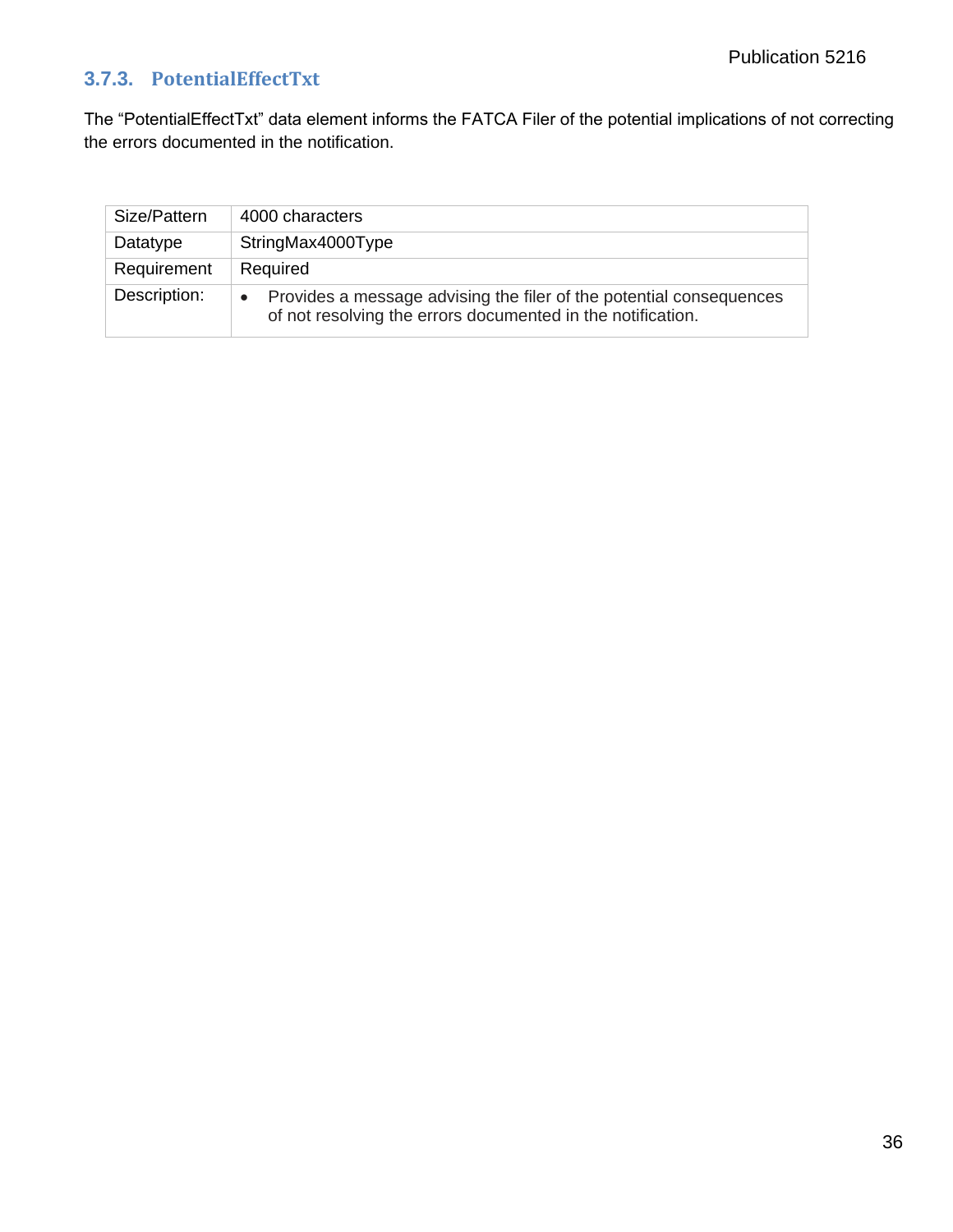## <span id="page-39-0"></span>**3.7.3. PotentialEffectTxt**

The "PotentialEffectTxt" data element informs the FATCA Filer of the potential implications of not correcting the errors documented in the notification.

| Size/Pattern | 4000 characters                                                                                                                                 |
|--------------|-------------------------------------------------------------------------------------------------------------------------------------------------|
| Datatype     | StringMax4000Type                                                                                                                               |
| Requirement  | Required                                                                                                                                        |
| Description: | Provides a message advising the filer of the potential consequences<br>$\bullet$<br>of not resolving the errors documented in the notification. |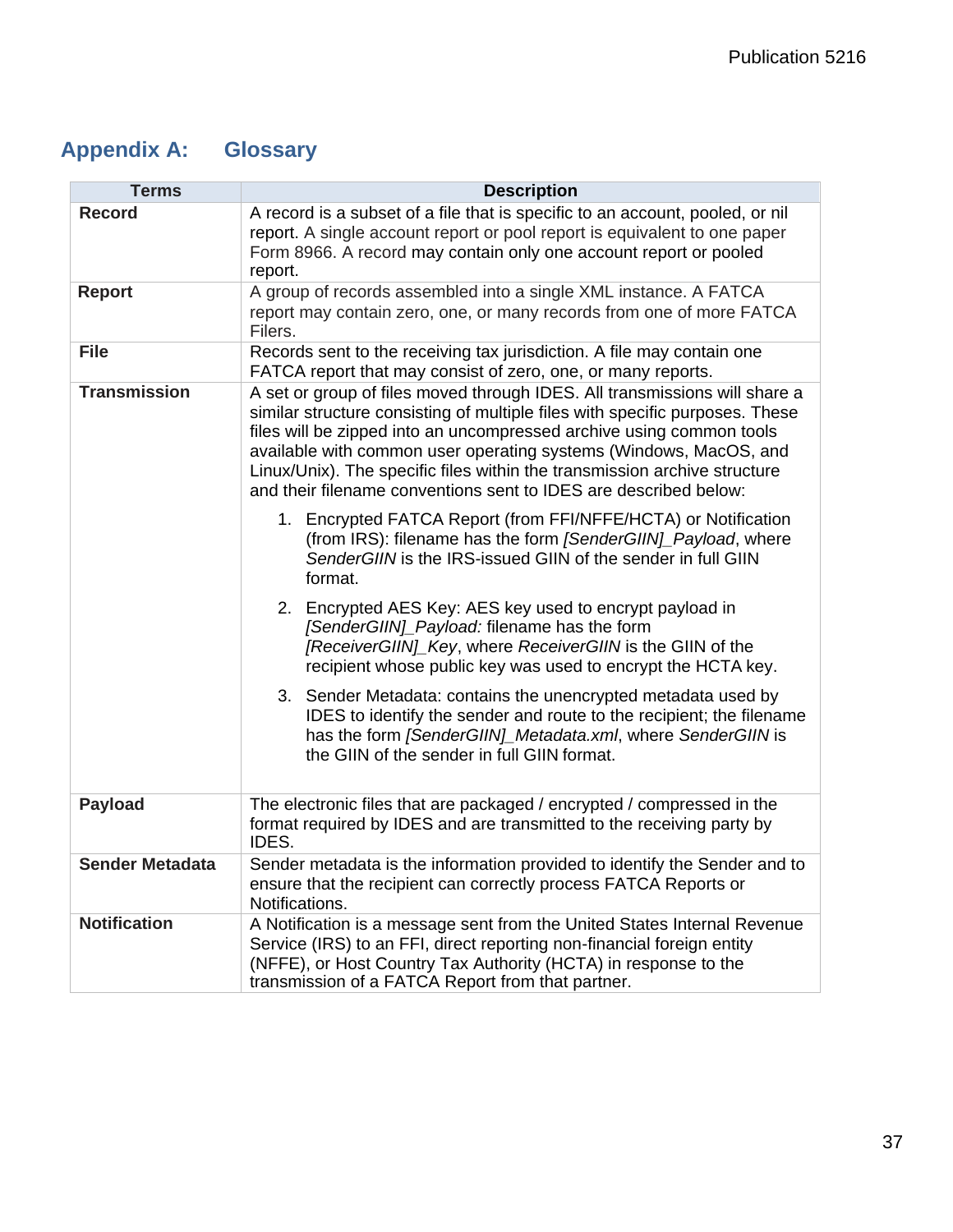# <span id="page-40-0"></span>**Appendix A: Glossary**

| <b>Terms</b>           | <b>Description</b>                                                                                                                                                                                                                                                                                                                                                                                                                                       |  |
|------------------------|----------------------------------------------------------------------------------------------------------------------------------------------------------------------------------------------------------------------------------------------------------------------------------------------------------------------------------------------------------------------------------------------------------------------------------------------------------|--|
| <b>Record</b>          | A record is a subset of a file that is specific to an account, pooled, or nil<br>report. A single account report or pool report is equivalent to one paper<br>Form 8966. A record may contain only one account report or pooled<br>report.                                                                                                                                                                                                               |  |
| <b>Report</b>          | A group of records assembled into a single XML instance. A FATCA<br>report may contain zero, one, or many records from one of more FATCA<br>Filers.                                                                                                                                                                                                                                                                                                      |  |
| <b>File</b>            | Records sent to the receiving tax jurisdiction. A file may contain one<br>FATCA report that may consist of zero, one, or many reports.                                                                                                                                                                                                                                                                                                                   |  |
| <b>Transmission</b>    | A set or group of files moved through IDES. All transmissions will share a<br>similar structure consisting of multiple files with specific purposes. These<br>files will be zipped into an uncompressed archive using common tools<br>available with common user operating systems (Windows, MacOS, and<br>Linux/Unix). The specific files within the transmission archive structure<br>and their filename conventions sent to IDES are described below: |  |
|                        | 1. Encrypted FATCA Report (from FFI/NFFE/HCTA) or Notification<br>(from IRS): filename has the form [SenderGIIN]_Payload, where<br>SenderGIIN is the IRS-issued GIIN of the sender in full GIIN<br>format.                                                                                                                                                                                                                                               |  |
|                        | 2. Encrypted AES Key: AES key used to encrypt payload in<br>[SenderGIIN]_Payload: filename has the form<br>[ReceiverGIIN]_Key, where ReceiverGIIN is the GIIN of the<br>recipient whose public key was used to encrypt the HCTA key.                                                                                                                                                                                                                     |  |
|                        | 3. Sender Metadata: contains the unencrypted metadata used by<br>IDES to identify the sender and route to the recipient; the filename<br>has the form [SenderGIIN]_Metadata.xml, where SenderGIIN is<br>the GIIN of the sender in full GIIN format.                                                                                                                                                                                                      |  |
| <b>Payload</b>         | The electronic files that are packaged / encrypted / compressed in the<br>format required by IDES and are transmitted to the receiving party by<br>IDES.                                                                                                                                                                                                                                                                                                 |  |
| <b>Sender Metadata</b> | Sender metadata is the information provided to identify the Sender and to<br>ensure that the recipient can correctly process FATCA Reports or<br>Notifications.                                                                                                                                                                                                                                                                                          |  |
| <b>Notification</b>    | A Notification is a message sent from the United States Internal Revenue<br>Service (IRS) to an FFI, direct reporting non-financial foreign entity<br>(NFFE), or Host Country Tax Authority (HCTA) in response to the<br>transmission of a FATCA Report from that partner.                                                                                                                                                                               |  |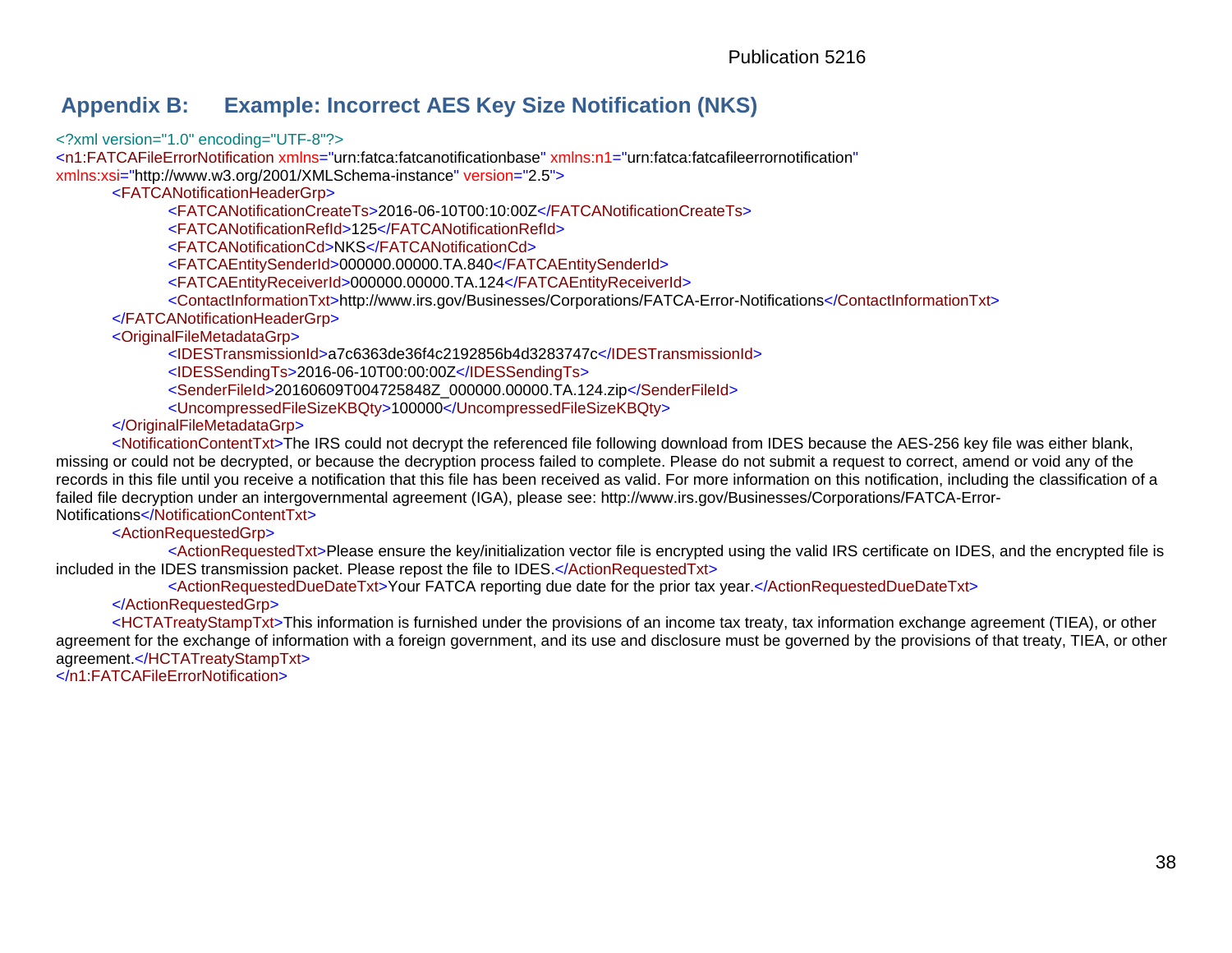## **Appendix B: Example: Incorrect AES Key Size Notification (NKS)**

<?xml version="1.0" encoding="UTF-8"?>

<n1:FATCAFileErrorNotification xmlns="urn:fatca:fatcanotificationbase" xmlns:n1="urn:fatca:fatcafileerrornotification" xmlns:xsi=["http://www.w3.org/2001/XMLSchema-instance"](http://www.w3.org/2001/XMLSchema-instance) version="2.5">

<FATCANotificationHeaderGrp>

<FATCANotificationCreateTs>2016-06-10T00:10:00Z</FATCANotificationCreateTs>

<FATCANotificationRefId>125</FATCANotificationRefId>

<FATCANotificationCd>NKS</FATCANotificationCd>

<FATCAEntitySenderId>000000.00000.TA.840</FATCAEntitySenderId>

<FATCAEntityReceiverId>000000.00000.TA.124</FATCAEntityReceiverId>

<ContactInformationTxt[>http://www.irs.gov/Businesses/Corporations/FATCA-Error-Notifications<](http://www.irs.gov/Businesses/Corporations/FATCA-Error-Notifications)/ContactInformationTxt>

</FATCANotificationHeaderGrp>

<OriginalFileMetadataGrp>

<IDESTransmissionId>a7c6363de36f4c2192856b4d3283747c</IDESTransmissionId> <IDESSendingTs>2016-06-10T00:00:00Z</IDESSendingTs> <SenderFileId>20160609T004725848Z\_000000.00000.TA.124.zip</SenderFileId> <UncompressedFileSizeKBQty>100000</UncompressedFileSizeKBQty>

</OriginalFileMetadataGrp>

<span id="page-41-0"></span><NotificationContentTxt>The IRS could not decrypt the referenced file following download from IDES because the AES-256 key file was either blank, missing or could not be decrypted, or because the decryption process failed to complete. Please do not submit a request to correct, amend or void any of the records in this file until you receive a notification that this file has been received as valid. For more information on this notification, including the classification of a failed file decryption under an intergovernmental agreement (IGA), please see:<http://www.irs.gov/Businesses/Corporations/FATCA-Error->Notifications</NotificationContentTxt>

<ActionRequestedGrp>

<ActionRequestedTxt>Please ensure the key/initialization vector file is encrypted using the valid IRS certificate on IDES, and the encrypted file is included in the IDES transmission packet. Please repost the file to IDES.</ActionRequestedTxt>

<ActionRequestedDueDateTxt>Your FATCA reporting due date for the prior tax year.</ActionRequestedDueDateTxt>

</ActionRequestedGrp>

<HCTATreatyStampTxt>This information is furnished under the provisions of an income tax treaty, tax information exchange agreement (TIEA), or other agreement for the exchange of information with a foreign government, and its use and disclosure must be governed by the provisions of that treaty, TIEA, or other agreement.</HCTATreatyStampTxt>

</n1:FATCAFileErrorNotification>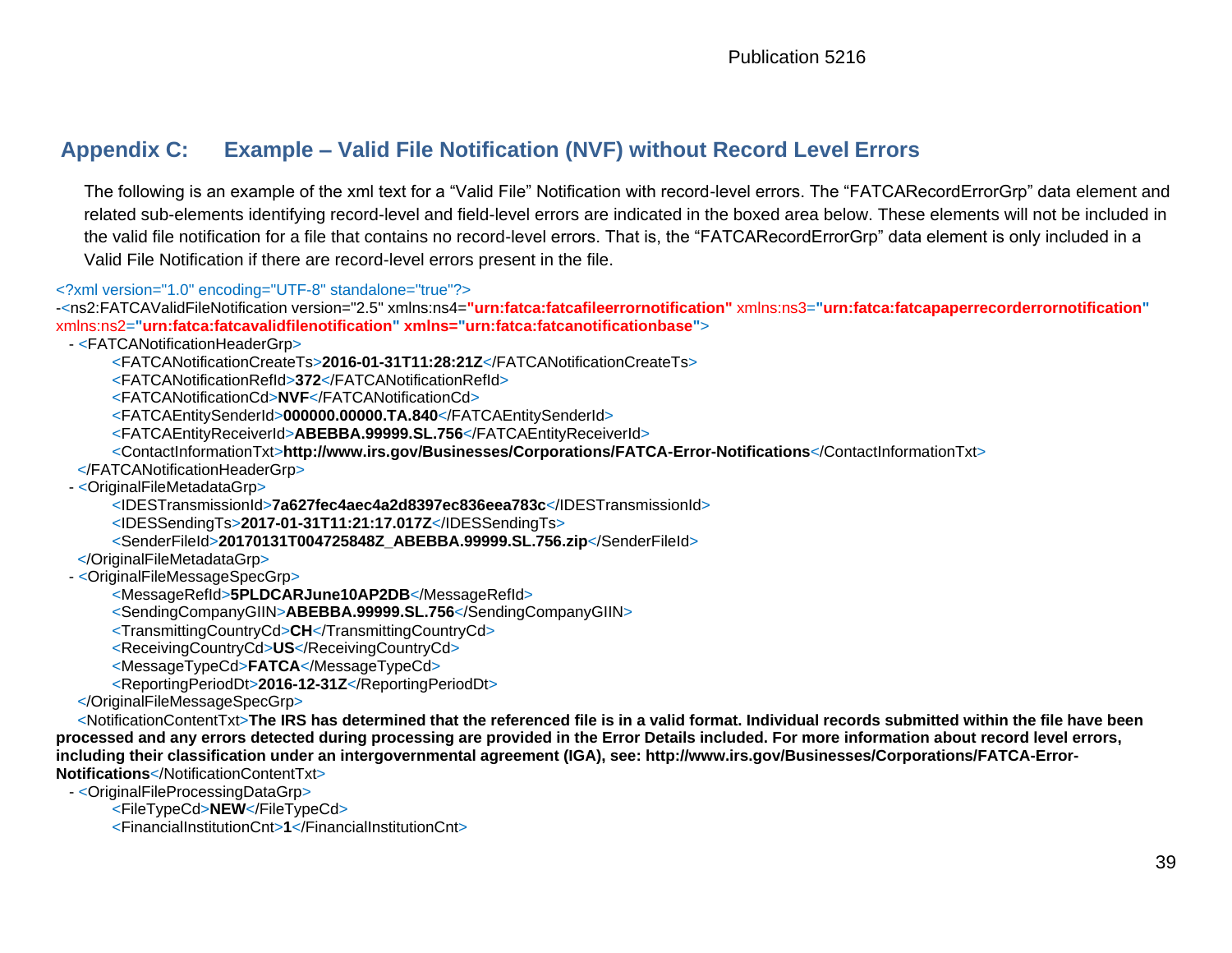# **Appendix C: Example – Valid File Notification (NVF) without Record Level Errors**

The following is an example of the xml text for a "Valid File" Notification with record-level errors. The "FATCARecordErrorGrp" data element and related sub-elements identifying record-level and field-level errors are indicated in the boxed area below. These elements will not be included in the valid file notification for a file that contains no record-level errors. That is, the "FATCARecordErrorGrp" data element is only included in a Valid File Notification if there are record-level errors present in the file.

<?xml version="1.0" encoding="UTF-8" standalone="true"?>

-<ns2:FATCAValidFileNotification version="2.5" xmlns:ns4=**"urn:fatca:fatcafileerrornotification"** xmlns:ns3=**"urn:fatca:fatcapaperrecorderrornotification"**  xmlns:ns2=**"urn:fatca:fatcavalidfilenotification" xmlns="urn:fatca:fatcanotificationbase"**>

- <FATCANotificationHeaderGrp>

<FATCANotificationCreateTs>**2016-01-31T11:28:21Z**</FATCANotificationCreateTs>

<FATCANotificationRefId>**372**</FATCANotificationRefId>

<FATCANotificationCd>**NVF**</FATCANotificationCd>

<FATCAEntitySenderId>**000000.00000.TA.840**</FATCAEntitySenderId>

<FATCAEntityReceiverId>**ABEBBA.99999.SL.756**</FATCAEntityReceiverId>

<span id="page-42-0"></span><ContactInformationTxt>**<http://www.irs.gov/Businesses/Corporations/FATCA-Error-Notifications>**</ContactInformationTxt>

</FATCANotificationHeaderGrp>

- < OriginalFileMetadataGrp>

<IDESTransmissionId>**7a627fec4aec4a2d8397ec836eea783c**</IDESTransmissionId>

<IDESSendingTs>**2017-01-31T11:21:17.017Z**</IDESSendingTs>

<SenderFileId>**20170131T004725848Z\_ABEBBA.99999.SL.756.zip**</SenderFileId>

</OriginalFileMetadataGrp>

- <OriginalFileMessageSpecGrp>

<MessageRefId>**5PLDCARJune10AP2DB**</MessageRefId>

<SendingCompanyGIIN>**ABEBBA.99999.SL.756**</SendingCompanyGIIN>

<TransmittingCountryCd>**CH**</TransmittingCountryCd>

<ReceivingCountryCd>**US**</ReceivingCountryCd>

<MessageTypeCd>**FATCA**</MessageTypeCd>

<ReportingPeriodDt>**2016-12-31Z**</ReportingPeriodDt>

</OriginalFileMessageSpecGrp>

<NotificationContentTxt>**The IRS has determined that the referenced file is in a valid format. Individual records submitted within the file have been processed and any errors detected during processing are provided in the Error Details included. For more information about record level errors, including their classification under an intergovernmental agreement (IGA), see:<http://www.irs.gov/Businesses/Corporations/FATCA-Error->Notifications**</NotificationContentTxt>

- <OriginalFileProcessingDataGrp>

<FileTypeCd>**NEW**</FileTypeCd>

<FinancialInstitutionCnt>**1**</FinancialInstitutionCnt>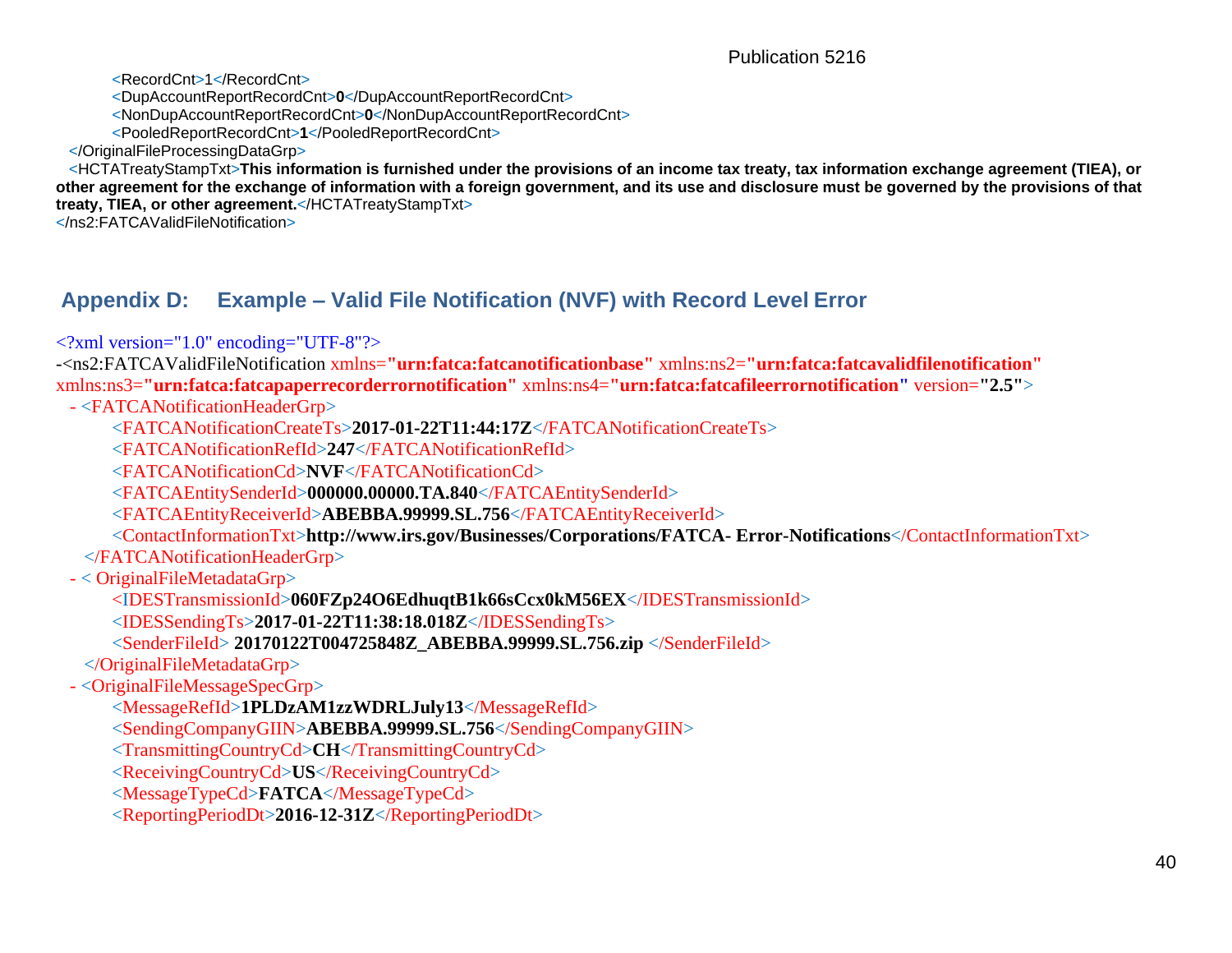Publication 5216

<RecordCnt>1</RecordCnt> <DupAccountReportRecordCnt>**0**</DupAccountReportRecordCnt> <NonDupAccountReportRecordCnt>**0**</NonDupAccountReportRecordCnt> <PooledReportRecordCnt>**1**</PooledReportRecordCnt> </OriginalFileProcessingDataGrp> <HCTATreatyStampTxt>**This information is furnished under the provisions of an income tax treaty, tax information exchange agreement (TIEA), or other agreement for the exchange of information with a foreign government, and its use and disclosure must be governed by the provisions of that treaty, TIEA, or other agreement.**</HCTATreatyStampTxt>

</ns2:FATCAValidFileNotification>

# **Appendix D: Example – Valid File Notification (NVF) with Record Level Error**

<?xml version="1.0" encoding="UTF-8"?>

-<ns2:FATCAValidFileNotification xmlns=**"urn:fatca:fatcanotificationbase"** xmlns:ns2=**"urn:fatca:fatcavalidfilenotification"**  xmlns:ns3=**"urn:fatca:fatcapaperrecorderrornotification"** xmlns:ns4=**"urn:fatca:fatcafileerrornotification"** version=**"2.5"**>

- <FATCANotificationHeaderGrp>

<FATCANotificationCreateTs>**2017-01-22T11:44:17Z**</FATCANotificationCreateTs>

<FATCANotificationRefId>**247**</FATCANotificationRefId>

<FATCANotificationCd>**NVF**</FATCANotificationCd>

<FATCAEntitySenderId>**000000.00000.TA.840**</FATCAEntitySenderId>

<FATCAEntityReceiverId>**ABEBBA.99999.SL.756**</FATCAEntityReceiverId>

<ContactInformationTxt>**<http://www.irs.gov/Businesses/Corporations/FATCA-> Error-Notifications**</ContactInformationTxt>

</FATCANotificationHeaderGrp>

<span id="page-43-0"></span>- < OriginalFileMetadataGrp>

<IDESTransmissionId>**060FZp24O6EdhuqtB1k66sCcx0kM56EX**</IDESTransmissionId>

<IDESSendingTs>**2017-01-22T11:38:18.018Z**</IDESSendingTs>

<SenderFileId> **20170122T004725848Z\_ABEBBA.99999.SL.756.zip** </SenderFileId>

</OriginalFileMetadataGrp>

- <OriginalFileMessageSpecGrp>

<MessageRefId>**1PLDzAM1zzWDRLJuly13**</MessageRefId>

<SendingCompanyGIIN>**ABEBBA.99999.SL.756**</SendingCompanyGIIN>

<TransmittingCountryCd>**CH**</TransmittingCountryCd>

<ReceivingCountryCd>**US**</ReceivingCountryCd>

<MessageTypeCd>**FATCA**</MessageTypeCd>

<ReportingPeriodDt>**2016-12-31Z**</ReportingPeriodDt>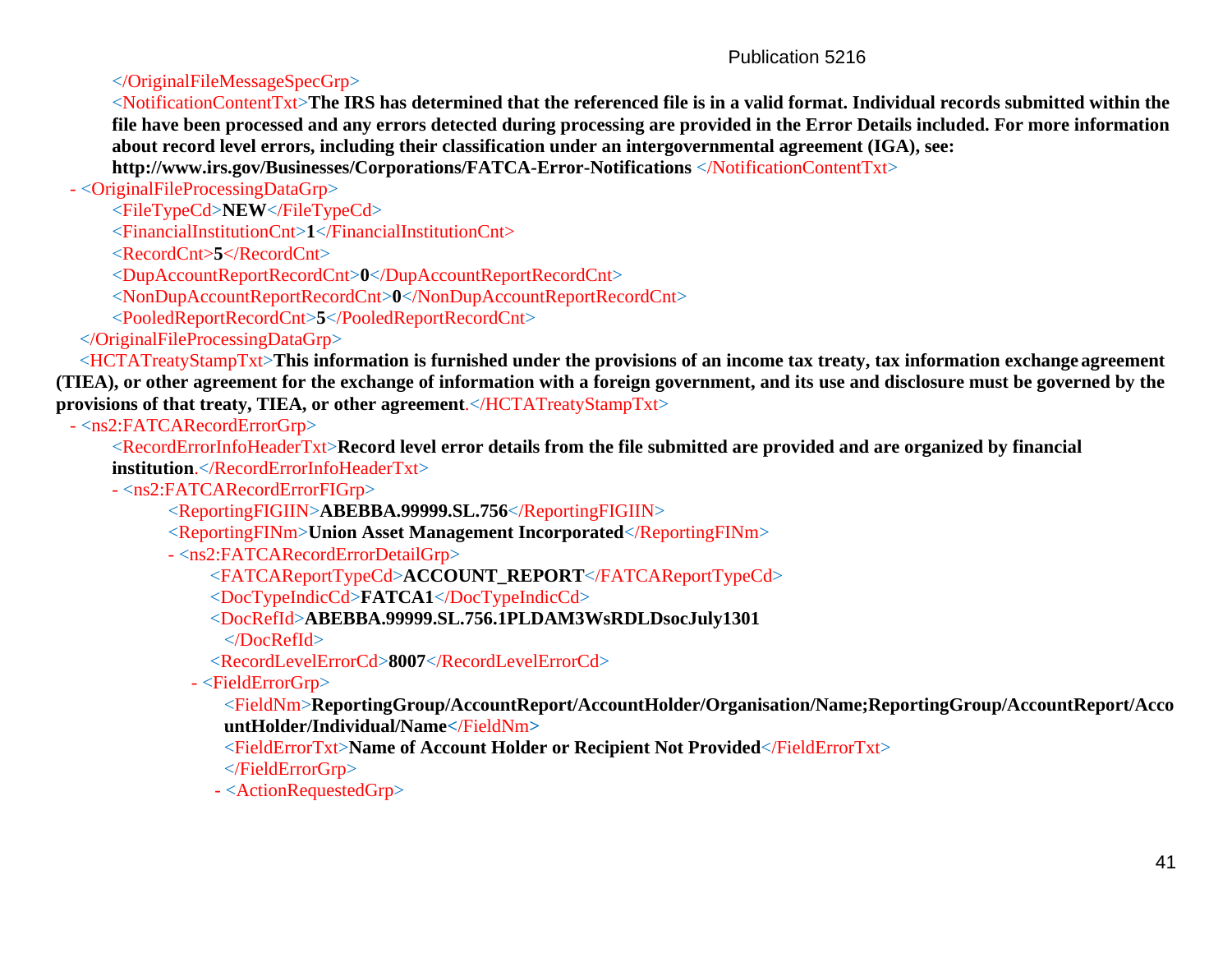#### Publication 5216

</OriginalFileMessageSpecGrp>

<NotificationContentTxt>**The IRS has determined that the referenced file is in a valid format. Individual records submitted within the file have been processed and any errors detected during processing are provided in the Error Details included. For more information about record level errors, including their classification under an intergovernmental agreement (IGA), see:** 

**<http://www.irs.gov/Businesses/Corporations/FATCA-Error-Notifications>**</NotificationContentTxt>

- <OriginalFileProcessingDataGrp>

<FileTypeCd>**NEW**</FileTypeCd>

<FinancialInstitutionCnt>**1**</FinancialInstitutionCnt>

<RecordCnt>**5**</RecordCnt>

<DupAccountReportRecordCnt>**0**</DupAccountReportRecordCnt>

<NonDupAccountReportRecordCnt>**0**</NonDupAccountReportRecordCnt>

<PooledReportRecordCnt>**5**</PooledReportRecordCnt>

</OriginalFileProcessingDataGrp>

<HCTATreatyStampTxt>**This information is furnished under the provisions of an income tax treaty, tax information exchange agreement (TIEA), or other agreement for the exchange of information with a foreign government, and its use and disclosure must be governed by the provisions of that treaty, TIEA, or other agreement**.</HCTATreatyStampTxt>

- <ns2:FATCARecordErrorGrp>

<RecordErrorInfoHeaderTxt>**Record level error details from the file submitted are provided and are organized by financial institution**.</RecordErrorInfoHeaderTxt>

- <ns2:FATCARecordErrorFIGrp>

<ReportingFIGIIN>**ABEBBA.99999.SL.756**</ReportingFIGIIN>

<ReportingFINm>**Union Asset Management Incorporated**</ReportingFINm>

- <ns2:FATCARecordErrorDetailGrp>

<FATCAReportTypeCd>**ACCOUNT\_REPORT**</FATCAReportTypeCd>

<DocTypeIndicCd>**FATCA1**</DocTypeIndicCd>

<DocRefId>**ABEBBA.99999.SL.756.1PLDAM3WsRDLDsocJuly1301**

</DocRefId>

<RecordLevelErrorCd>**8007**</RecordLevelErrorCd>

- <FieldErrorGrp>

<FieldNm>**ReportingGroup/AccountReport/AccountHolder/Organisation/Name;ReportingGroup/AccountReport/Acco untHolder/Individual/Name<**/FieldNm**>**

<FieldErrorTxt>**Name of Account Holder or Recipient Not Provided**</FieldErrorTxt>

</FieldErrorGrp>

- <ActionRequestedGrp>